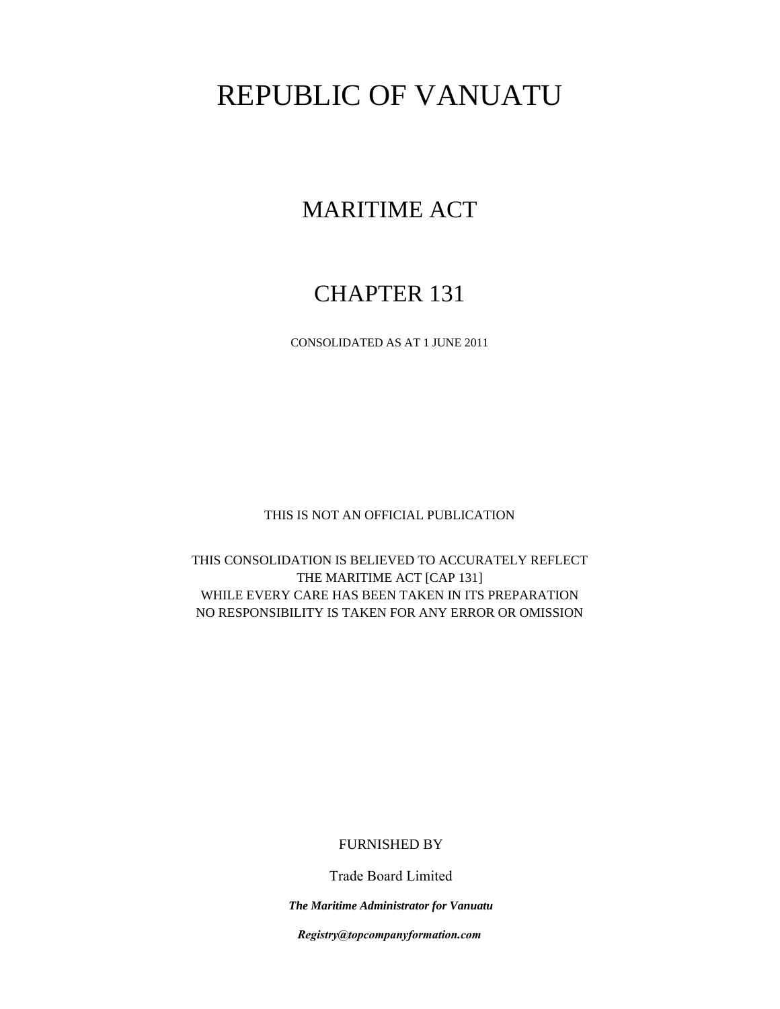# REPUBLIC OF VANUATU

# MARITIME ACT

# CHAPTER 131

CONSOLIDATED AS AT 1 JUNE 2011

THIS IS NOT AN OFFICIAL PUBLICATION

THIS CONSOLIDATION IS BELIEVED TO ACCURATELY REFLECT THE MARITIME ACT [CAP 131] WHILE EVERY CARE HAS BEEN TAKEN IN ITS PREPARATION NO RESPONSIBILITY IS TAKEN FOR ANY ERROR OR OMISSION

## FURNISHED BY

Trade Board Limited

*The Maritime Administrator for Vanuatu*

*Registry@topcompanyformation.com*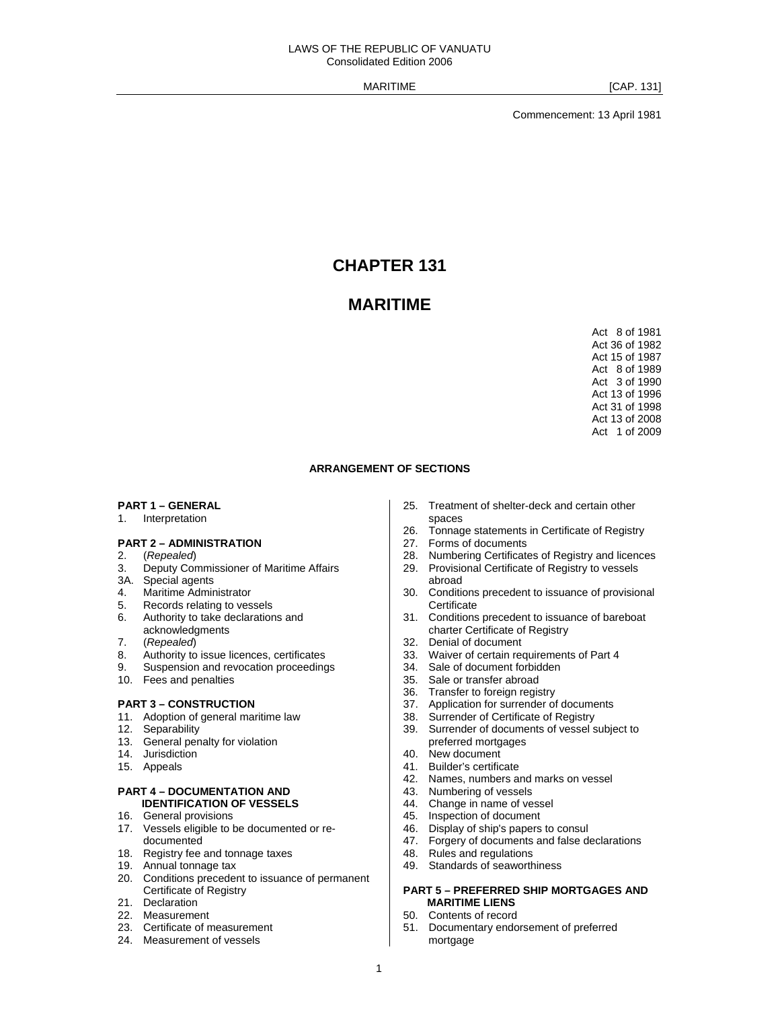MARITIME **Example 20** (CAP. 131)

Commencement: 13 April 1981

# **CHAPTER 131**

# **MARITIME**

Act 8 of 1981 Act 36 of 1982 Act 15 of 1987 Act 8 of 1989 Act 3 of 1990 Act 13 of 1996 Act 31 of 1998 Act 13 of 2008 Act 1 of 2009

#### **ARRANGEMENT OF SECTIONS**

#### **PART 1 – GENERAL**

1. Interpretation

#### **PART 2 – ADMINISTRATION**

- 2. (*Repealed*)
- 3. Deputy Commissioner of Maritime Affairs
- 3A. Special agents
- 4. Maritime Administrator
- 5. Records relating to vessels
- 6. Authority to take declarations and acknowledgments
- 7. (*Repealed*)
- 8. Authority to issue licences, certificates
- 9. Suspension and revocation proceedings
- 10. Fees and penalties

#### **PART 3 – CONSTRUCTION**

- 11. Adoption of general maritime law
- 12. Separability
- 13. General penalty for violation
- 14. Jurisdiction
- 15. Appeals

#### **PART 4 – DOCUMENTATION AND IDENTIFICATION OF VESSELS**

- 16. General provisions
- 17. Vessels eligible to be documented or redocumented
- 18. Registry fee and tonnage taxes
- 19. Annual tonnage tax
- 20. Conditions precedent to issuance of permanent Certificate of Registry
- 21. Declaration
- 22. Measurement
- 23. Certificate of measurement
- 24. Measurement of vessels
- 25. Treatment of shelter-deck and certain other spaces
- 26. Tonnage statements in Certificate of Registry
- 27. Forms of documents
- 28. Numbering Certificates of Registry and licences
- 29. Provisional Certificate of Registry to vessels abroad
- 30. Conditions precedent to issuance of provisional **Certificate**
- 31. Conditions precedent to issuance of bareboat charter Certificate of Registry
- 32. Denial of document
- 33. Waiver of certain requirements of Part 4
- 34. Sale of document forbidden
- 35. Sale or transfer abroad
- 36. Transfer to foreign registry
- 37. Application for surrender of documents
- 38. Surrender of Certificate of Registry
- 39. Surrender of documents of vessel subject to preferred mortgages
- 40. New document
- 41. Builder's certificate
- 42. Names, numbers and marks on vessel
- 43. Numbering of vessels
- 44. Change in name of vessel
- 45. Inspection of document
- 46. Display of ship's papers to consul
- 47. Forgery of documents and false declarations
- 48. Rules and regulations
- 49. Standards of seaworthiness

#### **PART 5 – PREFERRED SHIP MORTGAGES AND MARITIME LIENS**

- 50. Contents of record
- 51. Documentary endorsement of preferred mortgage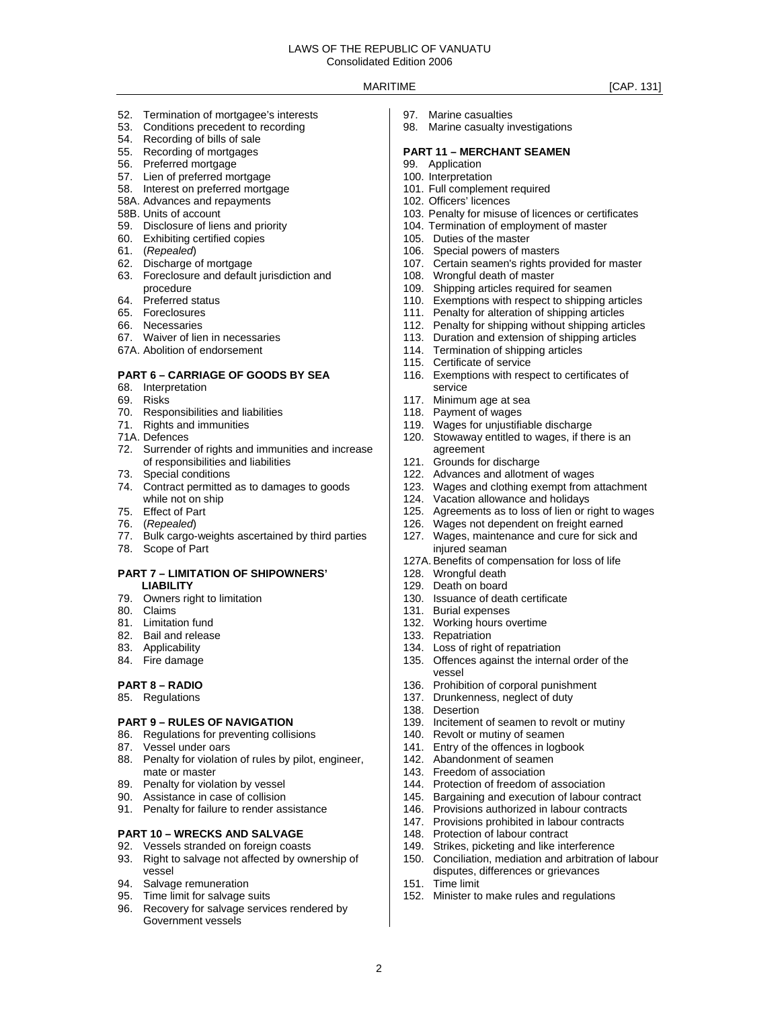- 52. Termination of mortgagee's interests
- 53. Conditions precedent to recording
- 54. Recording of bills of sale
- 55. Recording of mortgages
- 56. Preferred mortgage
- 57. Lien of preferred mortgage
- 58. Interest on preferred mortgage
- 58A. Advances and repayments
- 58B. Units of account
- 59. Disclosure of liens and priority
- 60. Exhibiting certified copies
- 61. (*Repealed*)
- 62. Discharge of mortgage
- 63. Foreclosure and default jurisdiction and procedure
- 64. Preferred status
- 65. Foreclosures
- 66. Necessaries
- 67. Waiver of lien in necessaries
- 67A. Abolition of endorsement

#### **PART 6 – CARRIAGE OF GOODS BY SEA**

- 68. Interpretation
- 69. Risks
- 70. Responsibilities and liabilities
- 71. Rights and immunities
- 71A. Defences
- 72. Surrender of rights and immunities and increase of responsibilities and liabilities
- 73. Special conditions
- 74. Contract permitted as to damages to goods while not on ship
- 75. Effect of Part
- 76. (*Repealed*)
- 77. Bulk cargo-weights ascertained by third parties
- 78. Scope of Part

#### **PART 7 – LIMITATION OF SHIPOWNERS' LIABILITY**

- 79. Owners right to limitation
- 80. Claims
- 81. Limitation fund
- 82. Bail and release
- 83. Applicability
- 84. Fire damage

#### **PART 8 – RADIO**

85. Regulations

# **PART 9 – RULES OF NAVIGATION**

- 86. Regulations for preventing collisions
- 87. Vessel under oars
- 88. Penalty for violation of rules by pilot, engineer, mate or master
- 89. Penalty for violation by vessel
- 90. Assistance in case of collision
- 91. Penalty for failure to render assistance

#### **PART 10 – WRECKS AND SALVAGE**

- 92. Vessels stranded on foreign coasts
- 93. Right to salvage not affected by ownership of vessel
- 94. Salvage remuneration
- 95. Time limit for salvage suits
- 96. Recovery for salvage services rendered by Government vessels
- 97. Marine casualties
- 98. Marine casualty investigations

#### **PART 11 – MERCHANT SEAMEN**

- 99. Application
- 100. Interpretation
- 101. Full complement required
- 102. Officers' licences
- 103. Penalty for misuse of licences or certificates
- 104. Termination of employment of master
- 105. Duties of the master
- 106. Special powers of masters
- 107. Certain seamen's rights provided for master
- 108. Wrongful death of master
- 109. Shipping articles required for seamen
- 110. Exemptions with respect to shipping articles
- 111. Penalty for alteration of shipping articles
- 112. Penalty for shipping without shipping articles
- 113. Duration and extension of shipping articles
- 114. Termination of shipping articles
- 115. Certificate of service
- 116. Exemptions with respect to certificates of service
- 117. Minimum age at sea
- 118. Payment of wages
- 119. Wages for unjustifiable discharge
- 120. Stowaway entitled to wages, if there is an agreement
- 121. Grounds for discharge
- 122. Advances and allotment of wages
- 123. Wages and clothing exempt from attachment
- 124. Vacation allowance and holidays
- 125. Agreements as to loss of lien or right to wages
- 126. Wages not dependent on freight earned
- 127. Wages, maintenance and cure for sick and injured seaman
- 127A. Benefits of compensation for loss of life
- 128. Wrongful death
- 129. Death on board
- 130. Issuance of death certificate
- 131. Burial expenses
- 132. Working hours overtime
- 133. Repatriation

138. Desertion

151. Time limit

2

- 134. Loss of right of repatriation
- 135. Offences against the internal order of the vessel

139. Incitement of seamen to revolt or mutiny

144. Protection of freedom of association 145. Bargaining and execution of labour contract 146. Provisions authorized in labour contracts 147. Provisions prohibited in labour contracts

149. Strikes, picketing and like interference 150. Conciliation, mediation and arbitration of labour disputes, differences or grievances

152. Minister to make rules and regulations

- 136. Prohibition of corporal punishment
- 137. Drunkenness, neglect of duty

140. Revolt or mutiny of seamen 141. Entry of the offences in logbook 142. Abandonment of seamen 143. Freedom of association

148. Protection of labour contract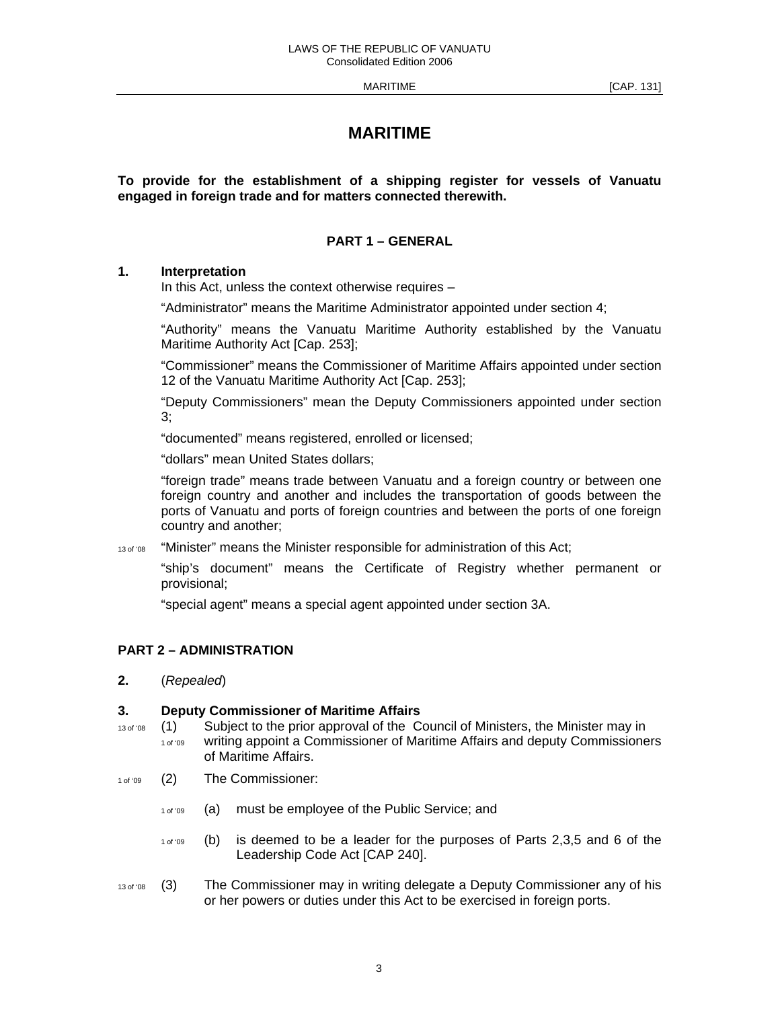# **MARITIME**

**To provide for the establishment of a shipping register for vessels of Vanuatu engaged in foreign trade and for matters connected therewith.** 

#### **PART 1 – GENERAL**

#### **1. Interpretation**

In this Act, unless the context otherwise requires –

"Administrator" means the Maritime Administrator appointed under section 4;

 "Authority" means the Vanuatu Maritime Authority established by the Vanuatu Maritime Authority Act [Cap. 253];

 "Commissioner" means the Commissioner of Maritime Affairs appointed under section 12 of the Vanuatu Maritime Authority Act [Cap. 253];

 "Deputy Commissioners" mean the Deputy Commissioners appointed under section 3;

"documented" means registered, enrolled or licensed;

"dollars" mean United States dollars;

 "foreign trade" means trade between Vanuatu and a foreign country or between one foreign country and another and includes the transportation of goods between the ports of Vanuatu and ports of foreign countries and between the ports of one foreign country and another;

13 of '08 "Minister" means the Minister responsible for administration of this Act;

 "ship's document" means the Certificate of Registry whether permanent or provisional;

"special agent" means a special agent appointed under section 3A.

#### **PART 2 – ADMINISTRATION**

**2.** (*Repealed*)

#### **3. Deputy Commissioner of Maritime Affairs**

- $13 \text{ of } 08$  (1) Subject to the prior approval of the Council of Ministers, the Minister may in 1 of '09 writing appoint a Commissioner of Maritime Affairs and deputy Commissioners of Maritime Affairs.
- 1 of '09 (2) The Commissioner:
	- 1 of '09 (a) must be employee of the Public Service; and
	- $1 \text{ of } 09$  (b) is deemed to be a leader for the purposes of Parts 2,3,5 and 6 of the Leadership Code Act [CAP 240].
- $13 \text{ of } 08$  (3) The Commissioner may in writing delegate a Deputy Commissioner any of his or her powers or duties under this Act to be exercised in foreign ports.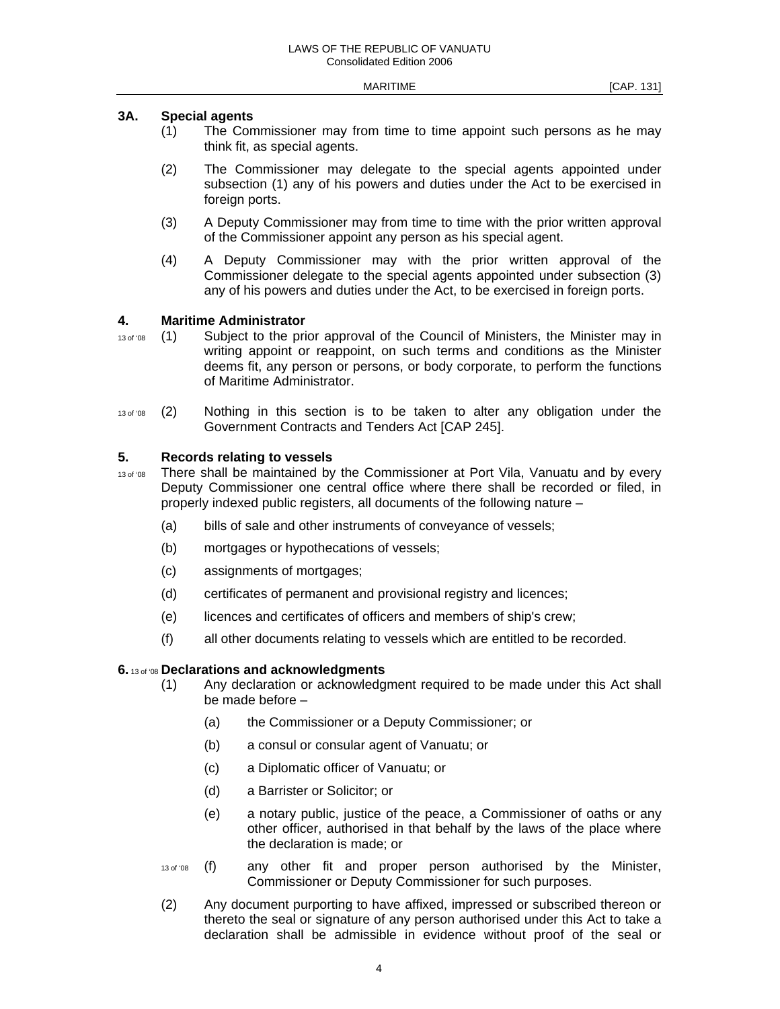#### **3A. Special agents**

- (1) The Commissioner may from time to time appoint such persons as he may think fit, as special agents.
- (2) The Commissioner may delegate to the special agents appointed under subsection (1) any of his powers and duties under the Act to be exercised in foreign ports.
- (3) A Deputy Commissioner may from time to time with the prior written approval of the Commissioner appoint any person as his special agent.
- (4) A Deputy Commissioner may with the prior written approval of the Commissioner delegate to the special agents appointed under subsection (3) any of his powers and duties under the Act, to be exercised in foreign ports.

#### **4. Maritime Administrator**

- 13 of '08 (1) Subject to the prior approval of the Council of Ministers, the Minister may in writing appoint or reappoint, on such terms and conditions as the Minister deems fit, any person or persons, or body corporate, to perform the functions of Maritime Administrator.
- 13 of '08 (2) Nothing in this section is to be taken to alter any obligation under the Government Contracts and Tenders Act [CAP 245].

#### **5. Records relating to vessels**

- 13 of 08 There shall be maintained by the Commissioner at Port Vila, Vanuatu and by every Deputy Commissioner one central office where there shall be recorded or filed, in properly indexed public registers, all documents of the following nature –
	- (a) bills of sale and other instruments of conveyance of vessels;
	- (b) mortgages or hypothecations of vessels;
	- (c) assignments of mortgages;
	- (d) certificates of permanent and provisional registry and licences;
	- (e) licences and certificates of officers and members of ship's crew;
	- (f) all other documents relating to vessels which are entitled to be recorded.

#### **6.** 13 of '08 **Declarations and acknowledgments**

- (1) Any declaration or acknowledgment required to be made under this Act shall be made before –
	- (a) the Commissioner or a Deputy Commissioner; or
	- (b) a consul or consular agent of Vanuatu; or
	- (c) a Diplomatic officer of Vanuatu; or
	- (d) a Barrister or Solicitor; or
	- (e) a notary public, justice of the peace, a Commissioner of oaths or any other officer, authorised in that behalf by the laws of the place where the declaration is made; or
- 13 of '08 (f) any other fit and proper person authorised by the Minister, Commissioner or Deputy Commissioner for such purposes.
- (2) Any document purporting to have affixed, impressed or subscribed thereon or thereto the seal or signature of any person authorised under this Act to take a declaration shall be admissible in evidence without proof of the seal or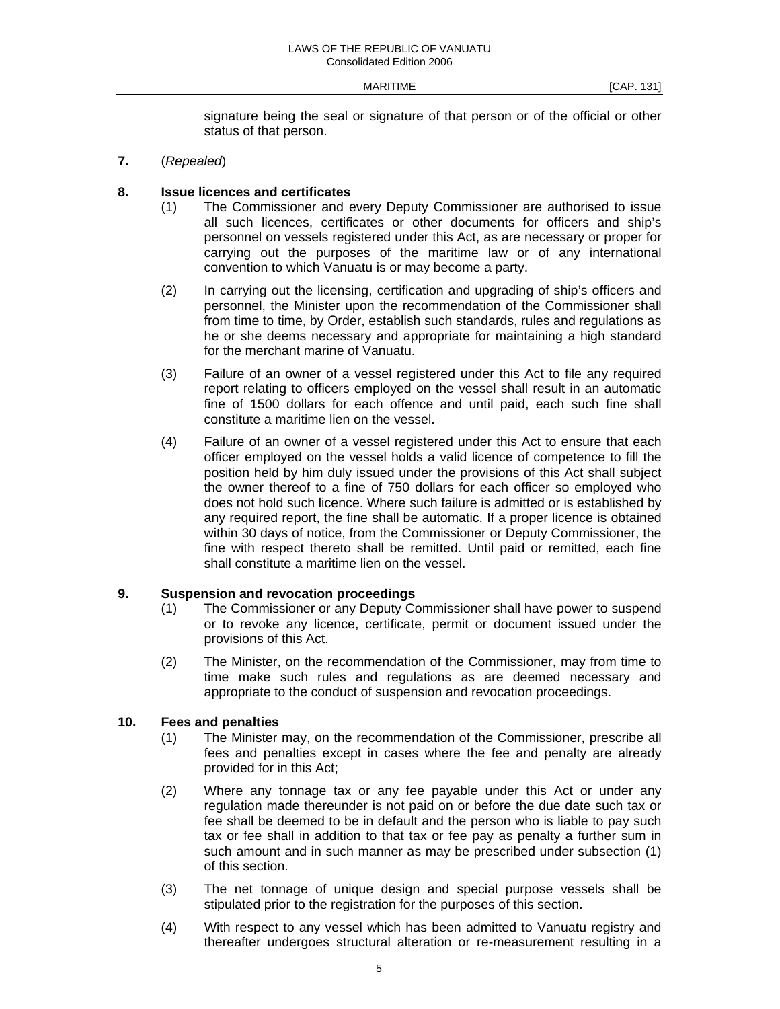signature being the seal or signature of that person or of the official or other status of that person.

**7.** (*Repealed*)

# **8. Issue licences and certificates**

- (1) The Commissioner and every Deputy Commissioner are authorised to issue all such licences, certificates or other documents for officers and ship's personnel on vessels registered under this Act, as are necessary or proper for carrying out the purposes of the maritime law or of any international convention to which Vanuatu is or may become a party.
- (2) In carrying out the licensing, certification and upgrading of ship's officers and personnel, the Minister upon the recommendation of the Commissioner shall from time to time, by Order, establish such standards, rules and regulations as he or she deems necessary and appropriate for maintaining a high standard for the merchant marine of Vanuatu.
- (3) Failure of an owner of a vessel registered under this Act to file any required report relating to officers employed on the vessel shall result in an automatic fine of 1500 dollars for each offence and until paid, each such fine shall constitute a maritime lien on the vessel.
- (4) Failure of an owner of a vessel registered under this Act to ensure that each officer employed on the vessel holds a valid licence of competence to fill the position held by him duly issued under the provisions of this Act shall subject the owner thereof to a fine of 750 dollars for each officer so employed who does not hold such licence. Where such failure is admitted or is established by any required report, the fine shall be automatic. If a proper licence is obtained within 30 days of notice, from the Commissioner or Deputy Commissioner, the fine with respect thereto shall be remitted. Until paid or remitted, each fine shall constitute a maritime lien on the vessel.

# **9. Suspension and revocation proceedings**

- (1) The Commissioner or any Deputy Commissioner shall have power to suspend or to revoke any licence, certificate, permit or document issued under the provisions of this Act.
- (2) The Minister, on the recommendation of the Commissioner, may from time to time make such rules and regulations as are deemed necessary and appropriate to the conduct of suspension and revocation proceedings.

# **10. Fees and penalties**

- (1) The Minister may, on the recommendation of the Commissioner, prescribe all fees and penalties except in cases where the fee and penalty are already provided for in this Act;
- (2) Where any tonnage tax or any fee payable under this Act or under any regulation made thereunder is not paid on or before the due date such tax or fee shall be deemed to be in default and the person who is liable to pay such tax or fee shall in addition to that tax or fee pay as penalty a further sum in such amount and in such manner as may be prescribed under subsection (1) of this section.
- (3) The net tonnage of unique design and special purpose vessels shall be stipulated prior to the registration for the purposes of this section.
- (4) With respect to any vessel which has been admitted to Vanuatu registry and thereafter undergoes structural alteration or re-measurement resulting in a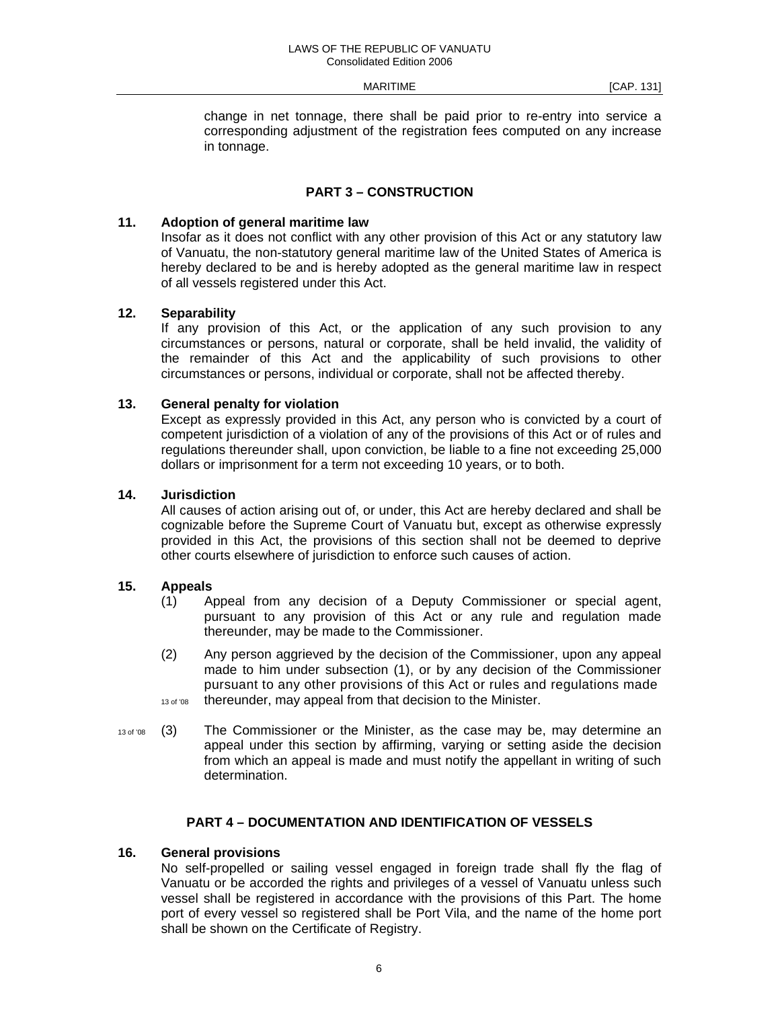change in net tonnage, there shall be paid prior to re-entry into service a corresponding adjustment of the registration fees computed on any increase in tonnage.

# **PART 3 – CONSTRUCTION**

## **11. Adoption of general maritime law**

 Insofar as it does not conflict with any other provision of this Act or any statutory law of Vanuatu, the non-statutory general maritime law of the United States of America is hereby declared to be and is hereby adopted as the general maritime law in respect of all vessels registered under this Act.

## **12. Separability**

 If any provision of this Act, or the application of any such provision to any circumstances or persons, natural or corporate, shall be held invalid, the validity of the remainder of this Act and the applicability of such provisions to other circumstances or persons, individual or corporate, shall not be affected thereby.

#### **13. General penalty for violation**

 Except as expressly provided in this Act, any person who is convicted by a court of competent jurisdiction of a violation of any of the provisions of this Act or of rules and regulations thereunder shall, upon conviction, be liable to a fine not exceeding 25,000 dollars or imprisonment for a term not exceeding 10 years, or to both.

#### **14. Jurisdiction**

 All causes of action arising out of, or under, this Act are hereby declared and shall be cognizable before the Supreme Court of Vanuatu but, except as otherwise expressly provided in this Act, the provisions of this section shall not be deemed to deprive other courts elsewhere of jurisdiction to enforce such causes of action.

#### **15. Appeals**

- (1) Appeal from any decision of a Deputy Commissioner or special agent, pursuant to any provision of this Act or any rule and regulation made thereunder, may be made to the Commissioner.
- (2) Any person aggrieved by the decision of the Commissioner, upon any appeal made to him under subsection (1), or by any decision of the Commissioner pursuant to any other provisions of this Act or rules and regulations made 13 of '08 thereunder, may appeal from that decision to the Minister.
- 13 of '08 (3) The Commissioner or the Minister, as the case may be, may determine an appeal under this section by affirming, varying or setting aside the decision from which an appeal is made and must notify the appellant in writing of such determination.

### **PART 4 – DOCUMENTATION AND IDENTIFICATION OF VESSELS**

#### **16. General provisions**

 No self-propelled or sailing vessel engaged in foreign trade shall fly the flag of Vanuatu or be accorded the rights and privileges of a vessel of Vanuatu unless such vessel shall be registered in accordance with the provisions of this Part. The home port of every vessel so registered shall be Port Vila, and the name of the home port shall be shown on the Certificate of Registry.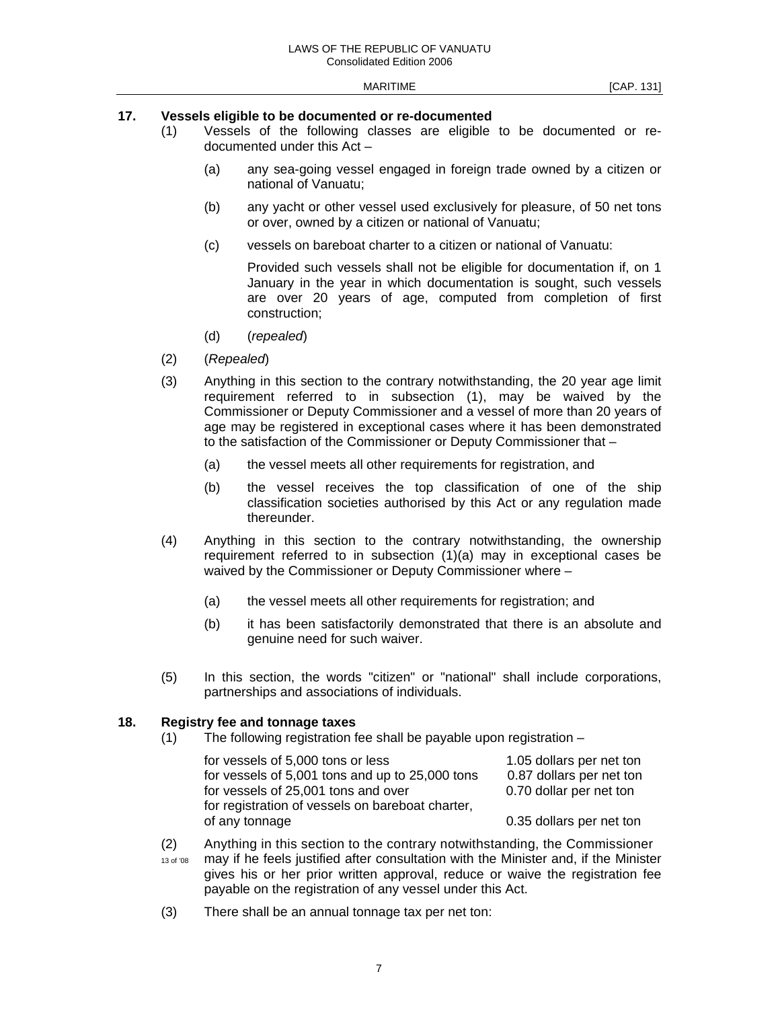#### **17. Vessels eligible to be documented or re-documented**

- (1) Vessels of the following classes are eligible to be documented or redocumented under this Act –
	- (a) any sea-going vessel engaged in foreign trade owned by a citizen or national of Vanuatu;
	- (b) any yacht or other vessel used exclusively for pleasure, of 50 net tons or over, owned by a citizen or national of Vanuatu;
	- (c) vessels on bareboat charter to a citizen or national of Vanuatu:

 Provided such vessels shall not be eligible for documentation if, on 1 January in the year in which documentation is sought, such vessels are over 20 years of age, computed from completion of first construction;

- (d) (*repealed*)
- (2) (*Repealed*)
- (3) Anything in this section to the contrary notwithstanding, the 20 year age limit requirement referred to in subsection (1), may be waived by the Commissioner or Deputy Commissioner and a vessel of more than 20 years of age may be registered in exceptional cases where it has been demonstrated to the satisfaction of the Commissioner or Deputy Commissioner that –
	- (a) the vessel meets all other requirements for registration, and
	- (b) the vessel receives the top classification of one of the ship classification societies authorised by this Act or any regulation made thereunder.
- (4) Anything in this section to the contrary notwithstanding, the ownership requirement referred to in subsection (1)(a) may in exceptional cases be waived by the Commissioner or Deputy Commissioner where –
	- (a) the vessel meets all other requirements for registration; and
	- (b) it has been satisfactorily demonstrated that there is an absolute and genuine need for such waiver.
- (5) In this section, the words "citizen" or "national" shall include corporations, partnerships and associations of individuals.

#### **18. Registry fee and tonnage taxes**

(1) The following registration fee shall be payable upon registration –

| for vessels of 5,000 tons or less                | 1.05 dollars per net ton |
|--------------------------------------------------|--------------------------|
| for vessels of 5,001 tons and up to 25,000 tons  | 0.87 dollars per net ton |
| for vessels of 25,001 tons and over              | 0.70 dollar per net ton  |
| for registration of vessels on bareboat charter, |                          |
| of any tonnage                                   | 0.35 dollars per net ton |

- (2) Anything in this section to the contrary notwithstanding, the Commissioner 13 of '08 may if he feels justified after consultation with the Minister and, if the Minister gives his or her prior written approval, reduce or waive the registration fee payable on the registration of any vessel under this Act.
- (3) There shall be an annual tonnage tax per net ton: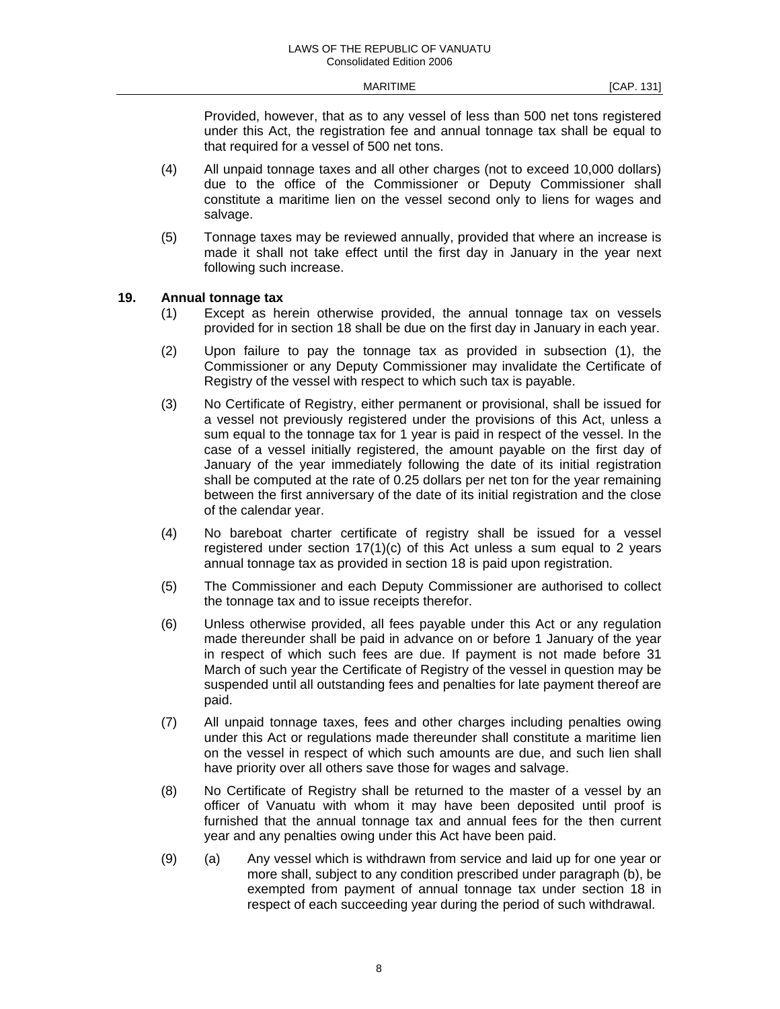Provided, however, that as to any vessel of less than 500 net tons registered under this Act, the registration fee and annual tonnage tax shall be equal to that required for a vessel of 500 net tons.

- (4) All unpaid tonnage taxes and all other charges (not to exceed 10,000 dollars) due to the office of the Commissioner or Deputy Commissioner shall constitute a maritime lien on the vessel second only to liens for wages and salvage.
- (5) Tonnage taxes may be reviewed annually, provided that where an increase is made it shall not take effect until the first day in January in the year next following such increase.

#### **19. Annual tonnage tax**

- (1) Except as herein otherwise provided, the annual tonnage tax on vessels provided for in section 18 shall be due on the first day in January in each year.
- (2) Upon failure to pay the tonnage tax as provided in subsection (1), the Commissioner or any Deputy Commissioner may invalidate the Certificate of Registry of the vessel with respect to which such tax is payable.
- (3) No Certificate of Registry, either permanent or provisional, shall be issued for a vessel not previously registered under the provisions of this Act, unless a sum equal to the tonnage tax for 1 year is paid in respect of the vessel. In the case of a vessel initially registered, the amount payable on the first day of January of the year immediately following the date of its initial registration shall be computed at the rate of 0.25 dollars per net ton for the year remaining between the first anniversary of the date of its initial registration and the close of the calendar year.
- (4) No bareboat charter certificate of registry shall be issued for a vessel registered under section  $17(1)(c)$  of this Act unless a sum equal to 2 years annual tonnage tax as provided in section 18 is paid upon registration.
- (5) The Commissioner and each Deputy Commissioner are authorised to collect the tonnage tax and to issue receipts therefor.
- (6) Unless otherwise provided, all fees payable under this Act or any regulation made thereunder shall be paid in advance on or before 1 January of the year in respect of which such fees are due. If payment is not made before 31 March of such year the Certificate of Registry of the vessel in question may be suspended until all outstanding fees and penalties for late payment thereof are paid.
- (7) All unpaid tonnage taxes, fees and other charges including penalties owing under this Act or regulations made thereunder shall constitute a maritime lien on the vessel in respect of which such amounts are due, and such lien shall have priority over all others save those for wages and salvage.
- (8) No Certificate of Registry shall be returned to the master of a vessel by an officer of Vanuatu with whom it may have been deposited until proof is furnished that the annual tonnage tax and annual fees for the then current year and any penalties owing under this Act have been paid.
- (9) (a) Any vessel which is withdrawn from service and laid up for one year or more shall, subject to any condition prescribed under paragraph (b), be exempted from payment of annual tonnage tax under section 18 in respect of each succeeding year during the period of such withdrawal.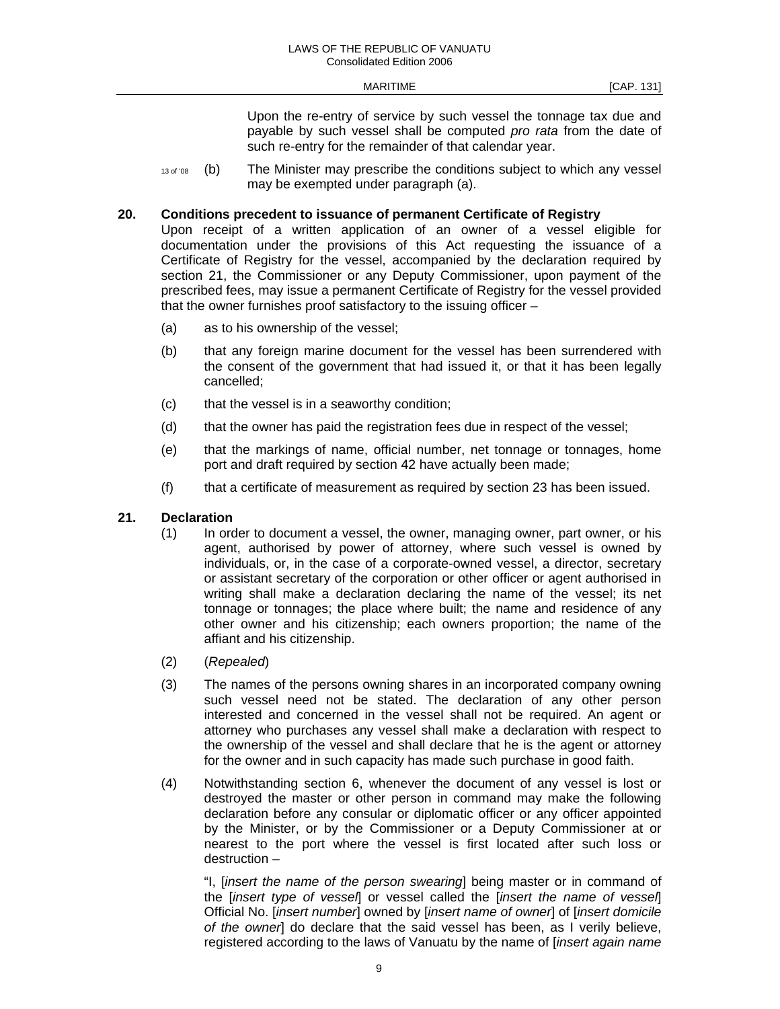Upon the re-entry of service by such vessel the tonnage tax due and payable by such vessel shall be computed *pro rata* from the date of such re-entry for the remainder of that calendar year.

13 of '08 (b) The Minister may prescribe the conditions subject to which any vessel may be exempted under paragraph (a).

#### **20. Conditions precedent to issuance of permanent Certificate of Registry**

 Upon receipt of a written application of an owner of a vessel eligible for documentation under the provisions of this Act requesting the issuance of a Certificate of Registry for the vessel, accompanied by the declaration required by section 21, the Commissioner or any Deputy Commissioner, upon payment of the prescribed fees, may issue a permanent Certificate of Registry for the vessel provided that the owner furnishes proof satisfactory to the issuing officer –

- (a) as to his ownership of the vessel;
- (b) that any foreign marine document for the vessel has been surrendered with the consent of the government that had issued it, or that it has been legally cancelled;
- (c) that the vessel is in a seaworthy condition;
- (d) that the owner has paid the registration fees due in respect of the vessel;
- (e) that the markings of name, official number, net tonnage or tonnages, home port and draft required by section 42 have actually been made;
- (f) that a certificate of measurement as required by section 23 has been issued.

# **21. Declaration**

- (1) In order to document a vessel, the owner, managing owner, part owner, or his agent, authorised by power of attorney, where such vessel is owned by individuals, or, in the case of a corporate-owned vessel, a director, secretary or assistant secretary of the corporation or other officer or agent authorised in writing shall make a declaration declaring the name of the vessel; its net tonnage or tonnages; the place where built; the name and residence of any other owner and his citizenship; each owners proportion; the name of the affiant and his citizenship.
- (2) (*Repealed*)
- (3) The names of the persons owning shares in an incorporated company owning such vessel need not be stated. The declaration of any other person interested and concerned in the vessel shall not be required. An agent or attorney who purchases any vessel shall make a declaration with respect to the ownership of the vessel and shall declare that he is the agent or attorney for the owner and in such capacity has made such purchase in good faith.
- (4) Notwithstanding section 6, whenever the document of any vessel is lost or destroyed the master or other person in command may make the following declaration before any consular or diplomatic officer or any officer appointed by the Minister, or by the Commissioner or a Deputy Commissioner at or nearest to the port where the vessel is first located after such loss or destruction –

 "I, [*insert the name of the person swearing*] being master or in command of the [*insert type of vessel*] or vessel called the [*insert the name of vessel*] Official No. [*insert number*] owned by [*insert name of owner*] of [*insert domicile of the owner*] do declare that the said vessel has been, as I verily believe, registered according to the laws of Vanuatu by the name of [*insert again name*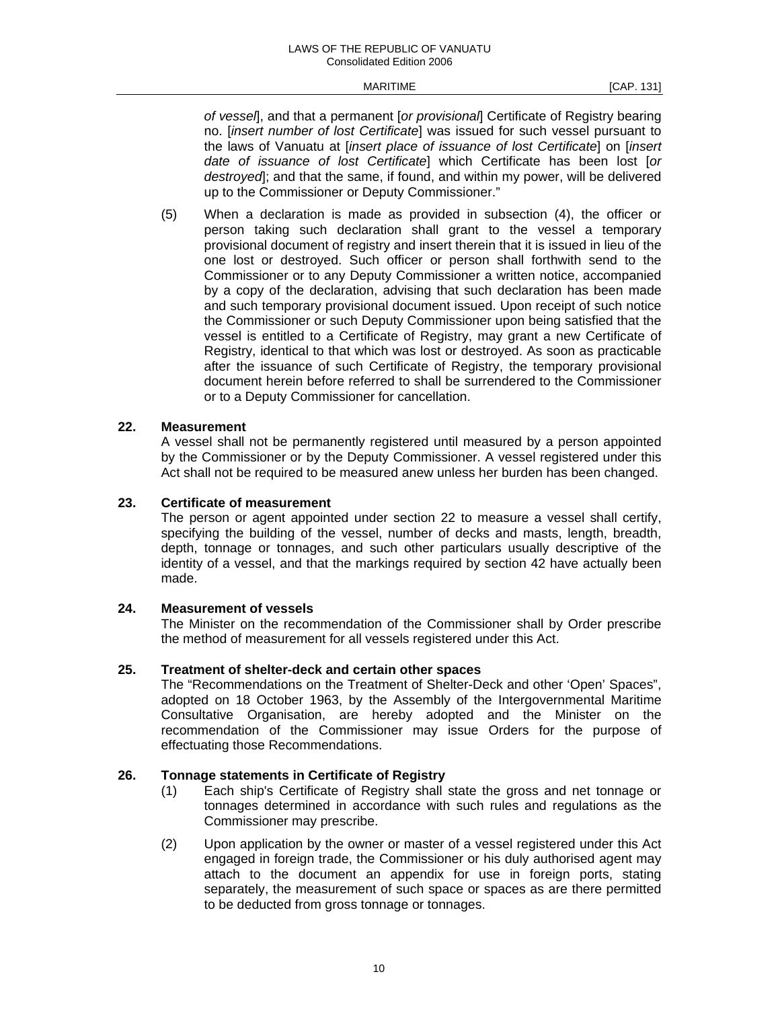*of vessel*], and that a permanent [*or provisional*] Certificate of Registry bearing no. [*insert number of lost Certificate*] was issued for such vessel pursuant to the laws of Vanuatu at [*insert place of issuance of lost Certificate*] on [*insert date of issuance of lost Certificate*] which Certificate has been lost [*or destroyed*]; and that the same, if found, and within my power, will be delivered up to the Commissioner or Deputy Commissioner."

 (5) When a declaration is made as provided in subsection (4), the officer or person taking such declaration shall grant to the vessel a temporary provisional document of registry and insert therein that it is issued in lieu of the one lost or destroyed. Such officer or person shall forthwith send to the Commissioner or to any Deputy Commissioner a written notice, accompanied by a copy of the declaration, advising that such declaration has been made and such temporary provisional document issued. Upon receipt of such notice the Commissioner or such Deputy Commissioner upon being satisfied that the vessel is entitled to a Certificate of Registry, may grant a new Certificate of Registry, identical to that which was lost or destroyed. As soon as practicable after the issuance of such Certificate of Registry, the temporary provisional document herein before referred to shall be surrendered to the Commissioner or to a Deputy Commissioner for cancellation.

# **22. Measurement**

 A vessel shall not be permanently registered until measured by a person appointed by the Commissioner or by the Deputy Commissioner. A vessel registered under this Act shall not be required to be measured anew unless her burden has been changed.

# **23. Certificate of measurement**

 The person or agent appointed under section 22 to measure a vessel shall certify, specifying the building of the vessel, number of decks and masts, length, breadth, depth, tonnage or tonnages, and such other particulars usually descriptive of the identity of a vessel, and that the markings required by section 42 have actually been made.

# **24. Measurement of vessels**

 The Minister on the recommendation of the Commissioner shall by Order prescribe the method of measurement for all vessels registered under this Act.

# **25. Treatment of shelter-deck and certain other spaces**

 The "Recommendations on the Treatment of Shelter-Deck and other 'Open' Spaces", adopted on 18 October 1963, by the Assembly of the Intergovernmental Maritime Consultative Organisation, are hereby adopted and the Minister on the recommendation of the Commissioner may issue Orders for the purpose of effectuating those Recommendations.

# **26. Tonnage statements in Certificate of Registry**

- (1) Each ship's Certificate of Registry shall state the gross and net tonnage or tonnages determined in accordance with such rules and regulations as the Commissioner may prescribe.
- (2) Upon application by the owner or master of a vessel registered under this Act engaged in foreign trade, the Commissioner or his duly authorised agent may attach to the document an appendix for use in foreign ports, stating separately, the measurement of such space or spaces as are there permitted to be deducted from gross tonnage or tonnages.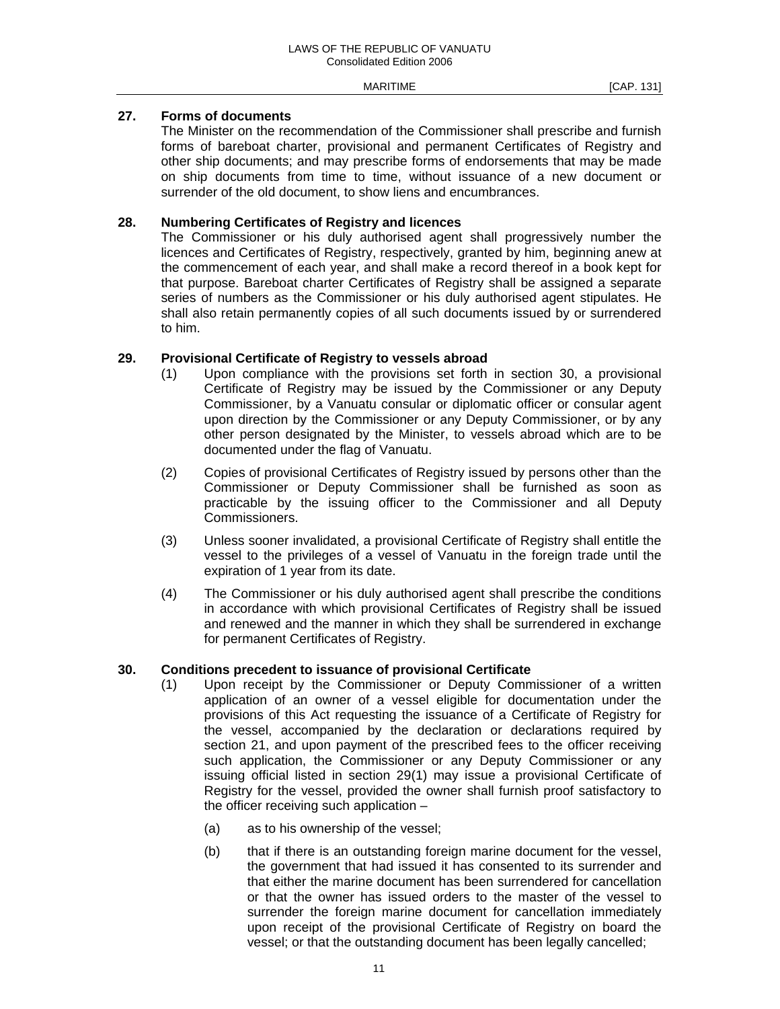# **27. Forms of documents**

 The Minister on the recommendation of the Commissioner shall prescribe and furnish forms of bareboat charter, provisional and permanent Certificates of Registry and other ship documents; and may prescribe forms of endorsements that may be made on ship documents from time to time, without issuance of a new document or surrender of the old document, to show liens and encumbrances.

# **28. Numbering Certificates of Registry and licences**

 The Commissioner or his duly authorised agent shall progressively number the licences and Certificates of Registry, respectively, granted by him, beginning anew at the commencement of each year, and shall make a record thereof in a book kept for that purpose. Bareboat charter Certificates of Registry shall be assigned a separate series of numbers as the Commissioner or his duly authorised agent stipulates. He shall also retain permanently copies of all such documents issued by or surrendered to him.

# **29. Provisional Certificate of Registry to vessels abroad**

- (1) Upon compliance with the provisions set forth in section 30, a provisional Certificate of Registry may be issued by the Commissioner or any Deputy Commissioner, by a Vanuatu consular or diplomatic officer or consular agent upon direction by the Commissioner or any Deputy Commissioner, or by any other person designated by the Minister, to vessels abroad which are to be documented under the flag of Vanuatu.
- (2) Copies of provisional Certificates of Registry issued by persons other than the Commissioner or Deputy Commissioner shall be furnished as soon as practicable by the issuing officer to the Commissioner and all Deputy Commissioners.
- (3) Unless sooner invalidated, a provisional Certificate of Registry shall entitle the vessel to the privileges of a vessel of Vanuatu in the foreign trade until the expiration of 1 year from its date.
- (4) The Commissioner or his duly authorised agent shall prescribe the conditions in accordance with which provisional Certificates of Registry shall be issued and renewed and the manner in which they shall be surrendered in exchange for permanent Certificates of Registry.

#### **30. Conditions precedent to issuance of provisional Certificate**

- (1) Upon receipt by the Commissioner or Deputy Commissioner of a written application of an owner of a vessel eligible for documentation under the provisions of this Act requesting the issuance of a Certificate of Registry for the vessel, accompanied by the declaration or declarations required by section 21, and upon payment of the prescribed fees to the officer receiving such application, the Commissioner or any Deputy Commissioner or any issuing official listed in section 29(1) may issue a provisional Certificate of Registry for the vessel, provided the owner shall furnish proof satisfactory to the officer receiving such application –
	- (a) as to his ownership of the vessel;
	- (b) that if there is an outstanding foreign marine document for the vessel, the government that had issued it has consented to its surrender and that either the marine document has been surrendered for cancellation or that the owner has issued orders to the master of the vessel to surrender the foreign marine document for cancellation immediately upon receipt of the provisional Certificate of Registry on board the vessel; or that the outstanding document has been legally cancelled;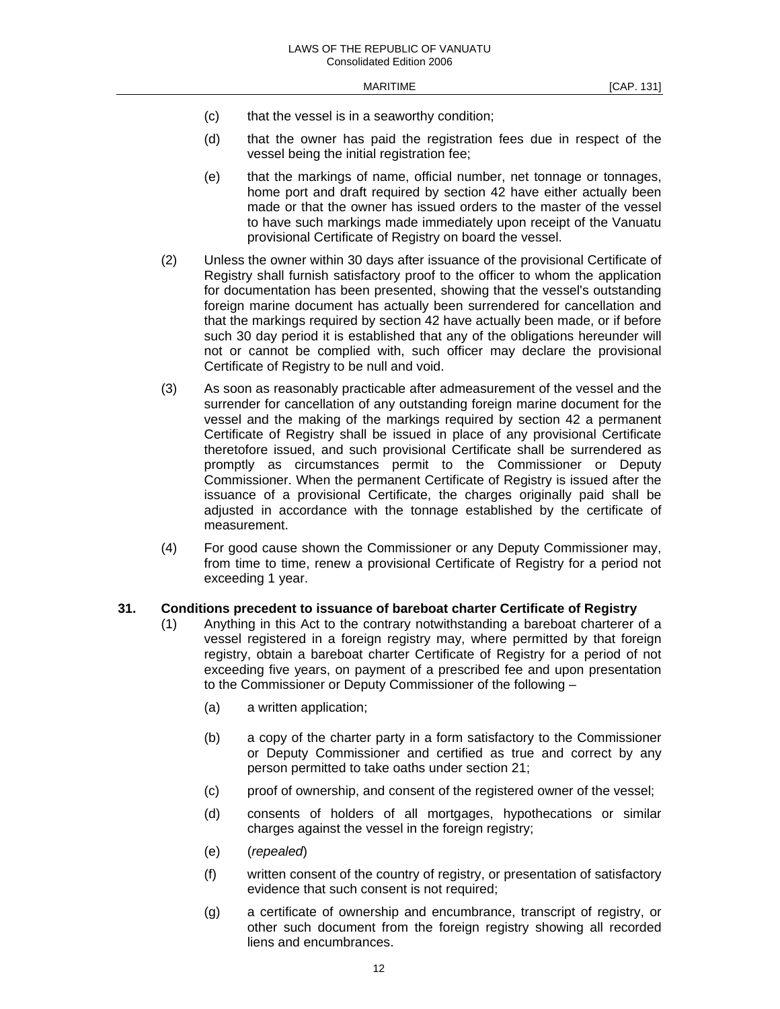- (c) that the vessel is in a seaworthy condition;
- (d) that the owner has paid the registration fees due in respect of the vessel being the initial registration fee;
- (e) that the markings of name, official number, net tonnage or tonnages, home port and draft required by section 42 have either actually been made or that the owner has issued orders to the master of the vessel to have such markings made immediately upon receipt of the Vanuatu provisional Certificate of Registry on board the vessel.
- (2) Unless the owner within 30 days after issuance of the provisional Certificate of Registry shall furnish satisfactory proof to the officer to whom the application for documentation has been presented, showing that the vessel's outstanding foreign marine document has actually been surrendered for cancellation and that the markings required by section 42 have actually been made, or if before such 30 day period it is established that any of the obligations hereunder will not or cannot be complied with, such officer may declare the provisional Certificate of Registry to be null and void.
- (3) As soon as reasonably practicable after admeasurement of the vessel and the surrender for cancellation of any outstanding foreign marine document for the vessel and the making of the markings required by section 42 a permanent Certificate of Registry shall be issued in place of any provisional Certificate theretofore issued, and such provisional Certificate shall be surrendered as promptly as circumstances permit to the Commissioner or Deputy Commissioner. When the permanent Certificate of Registry is issued after the issuance of a provisional Certificate, the charges originally paid shall be adjusted in accordance with the tonnage established by the certificate of measurement.
- (4) For good cause shown the Commissioner or any Deputy Commissioner may, from time to time, renew a provisional Certificate of Registry for a period not exceeding 1 year.

#### **31. Conditions precedent to issuance of bareboat charter Certificate of Registry**

- (1) Anything in this Act to the contrary notwithstanding a bareboat charterer of a vessel registered in a foreign registry may, where permitted by that foreign registry, obtain a bareboat charter Certificate of Registry for a period of not exceeding five years, on payment of a prescribed fee and upon presentation to the Commissioner or Deputy Commissioner of the following –
	- (a) a written application;
	- (b) a copy of the charter party in a form satisfactory to the Commissioner or Deputy Commissioner and certified as true and correct by any person permitted to take oaths under section 21;
	- (c) proof of ownership, and consent of the registered owner of the vessel;
	- (d) consents of holders of all mortgages, hypothecations or similar charges against the vessel in the foreign registry;
	- (e) (*repealed*)
	- (f) written consent of the country of registry, or presentation of satisfactory evidence that such consent is not required;
	- (g) a certificate of ownership and encumbrance, transcript of registry, or other such document from the foreign registry showing all recorded liens and encumbrances.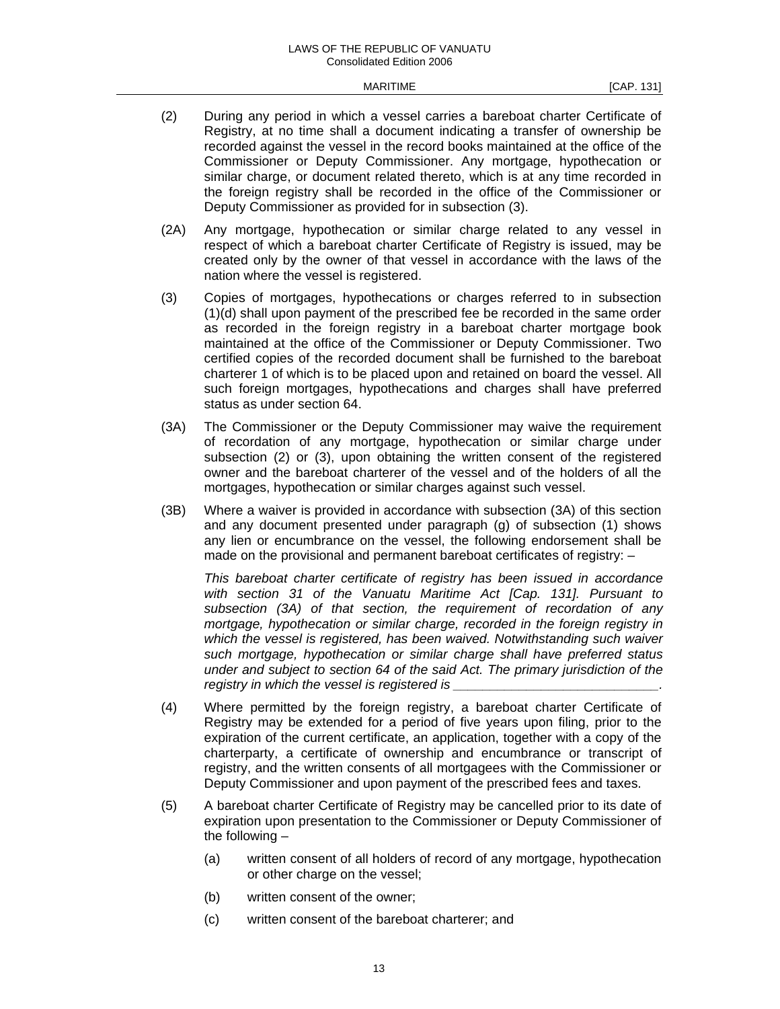- (2) During any period in which a vessel carries a bareboat charter Certificate of Registry, at no time shall a document indicating a transfer of ownership be recorded against the vessel in the record books maintained at the office of the Commissioner or Deputy Commissioner. Any mortgage, hypothecation or similar charge, or document related thereto, which is at any time recorded in the foreign registry shall be recorded in the office of the Commissioner or Deputy Commissioner as provided for in subsection (3).
- (2A) Any mortgage, hypothecation or similar charge related to any vessel in respect of which a bareboat charter Certificate of Registry is issued, may be created only by the owner of that vessel in accordance with the laws of the nation where the vessel is registered.
- (3) Copies of mortgages, hypothecations or charges referred to in subsection (1)(d) shall upon payment of the prescribed fee be recorded in the same order as recorded in the foreign registry in a bareboat charter mortgage book maintained at the office of the Commissioner or Deputy Commissioner. Two certified copies of the recorded document shall be furnished to the bareboat charterer 1 of which is to be placed upon and retained on board the vessel. All such foreign mortgages, hypothecations and charges shall have preferred status as under section 64.
- (3A) The Commissioner or the Deputy Commissioner may waive the requirement of recordation of any mortgage, hypothecation or similar charge under subsection (2) or (3), upon obtaining the written consent of the registered owner and the bareboat charterer of the vessel and of the holders of all the mortgages, hypothecation or similar charges against such vessel.
- (3B) Where a waiver is provided in accordance with subsection (3A) of this section and any document presented under paragraph (g) of subsection (1) shows any lien or encumbrance on the vessel, the following endorsement shall be made on the provisional and permanent bareboat certificates of registry: –

 *This bareboat charter certificate of registry has been issued in accordance with section 31 of the Vanuatu Maritime Act [Cap. 131]. Pursuant to subsection (3A) of that section, the requirement of recordation of any mortgage, hypothecation or similar charge, recorded in the foreign registry in which the vessel is registered, has been waived. Notwithstanding such waiver such mortgage, hypothecation or similar charge shall have preferred status under and subject to section 64 of the said Act. The primary jurisdiction of the registry in which the vessel is registered is* 

- (4) Where permitted by the foreign registry, a bareboat charter Certificate of Registry may be extended for a period of five years upon filing, prior to the expiration of the current certificate, an application, together with a copy of the charterparty, a certificate of ownership and encumbrance or transcript of registry, and the written consents of all mortgagees with the Commissioner or Deputy Commissioner and upon payment of the prescribed fees and taxes.
- (5) A bareboat charter Certificate of Registry may be cancelled prior to its date of expiration upon presentation to the Commissioner or Deputy Commissioner of the following –
	- (a) written consent of all holders of record of any mortgage, hypothecation or other charge on the vessel;
	- (b) written consent of the owner;
	- (c) written consent of the bareboat charterer; and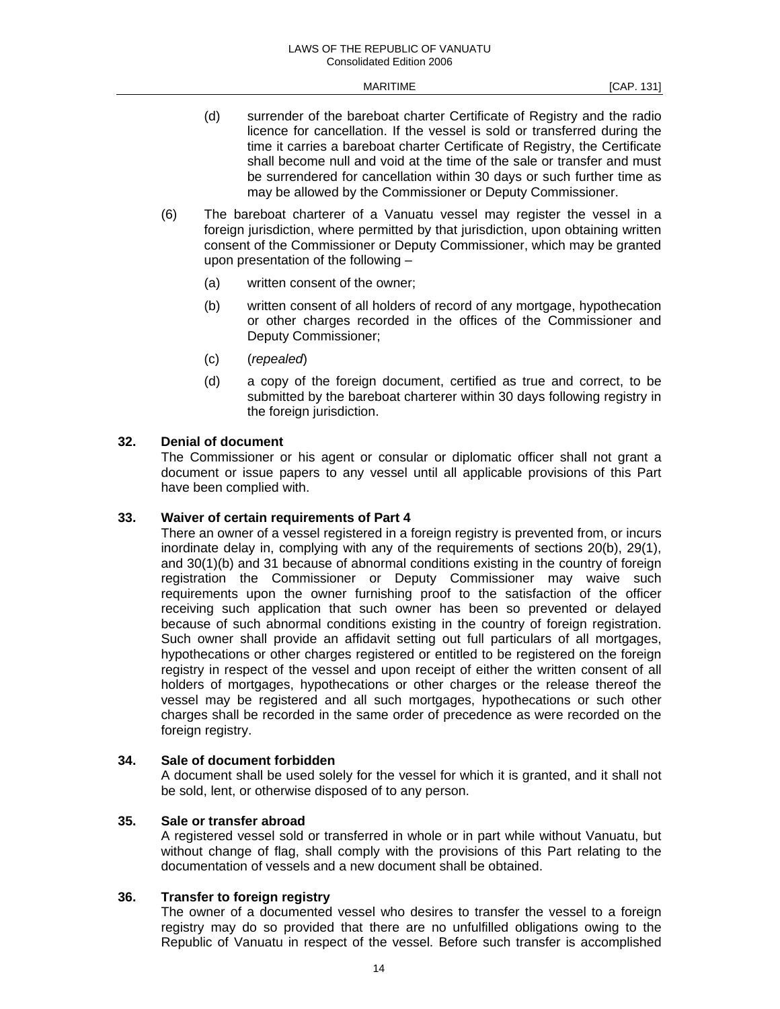- (d) surrender of the bareboat charter Certificate of Registry and the radio licence for cancellation. If the vessel is sold or transferred during the time it carries a bareboat charter Certificate of Registry, the Certificate shall become null and void at the time of the sale or transfer and must be surrendered for cancellation within 30 days or such further time as may be allowed by the Commissioner or Deputy Commissioner.
- (6) The bareboat charterer of a Vanuatu vessel may register the vessel in a foreign jurisdiction, where permitted by that jurisdiction, upon obtaining written consent of the Commissioner or Deputy Commissioner, which may be granted upon presentation of the following –
	- (a) written consent of the owner;
	- (b) written consent of all holders of record of any mortgage, hypothecation or other charges recorded in the offices of the Commissioner and Deputy Commissioner;
	- (c) (*repealed*)
	- (d) a copy of the foreign document, certified as true and correct, to be submitted by the bareboat charterer within 30 days following registry in the foreign jurisdiction.

## **32. Denial of document**

 The Commissioner or his agent or consular or diplomatic officer shall not grant a document or issue papers to any vessel until all applicable provisions of this Part have been complied with.

#### **33. Waiver of certain requirements of Part 4**

 There an owner of a vessel registered in a foreign registry is prevented from, or incurs inordinate delay in, complying with any of the requirements of sections 20(b), 29(1), and 30(1)(b) and 31 because of abnormal conditions existing in the country of foreign registration the Commissioner or Deputy Commissioner may waive such requirements upon the owner furnishing proof to the satisfaction of the officer receiving such application that such owner has been so prevented or delayed because of such abnormal conditions existing in the country of foreign registration. Such owner shall provide an affidavit setting out full particulars of all mortgages, hypothecations or other charges registered or entitled to be registered on the foreign registry in respect of the vessel and upon receipt of either the written consent of all holders of mortgages, hypothecations or other charges or the release thereof the vessel may be registered and all such mortgages, hypothecations or such other charges shall be recorded in the same order of precedence as were recorded on the foreign registry.

# **34. Sale of document forbidden**

 A document shall be used solely for the vessel for which it is granted, and it shall not be sold, lent, or otherwise disposed of to any person.

# **35. Sale or transfer abroad**

 A registered vessel sold or transferred in whole or in part while without Vanuatu, but without change of flag, shall comply with the provisions of this Part relating to the documentation of vessels and a new document shall be obtained.

# **36. Transfer to foreign registry**

 The owner of a documented vessel who desires to transfer the vessel to a foreign registry may do so provided that there are no unfulfilled obligations owing to the Republic of Vanuatu in respect of the vessel. Before such transfer is accomplished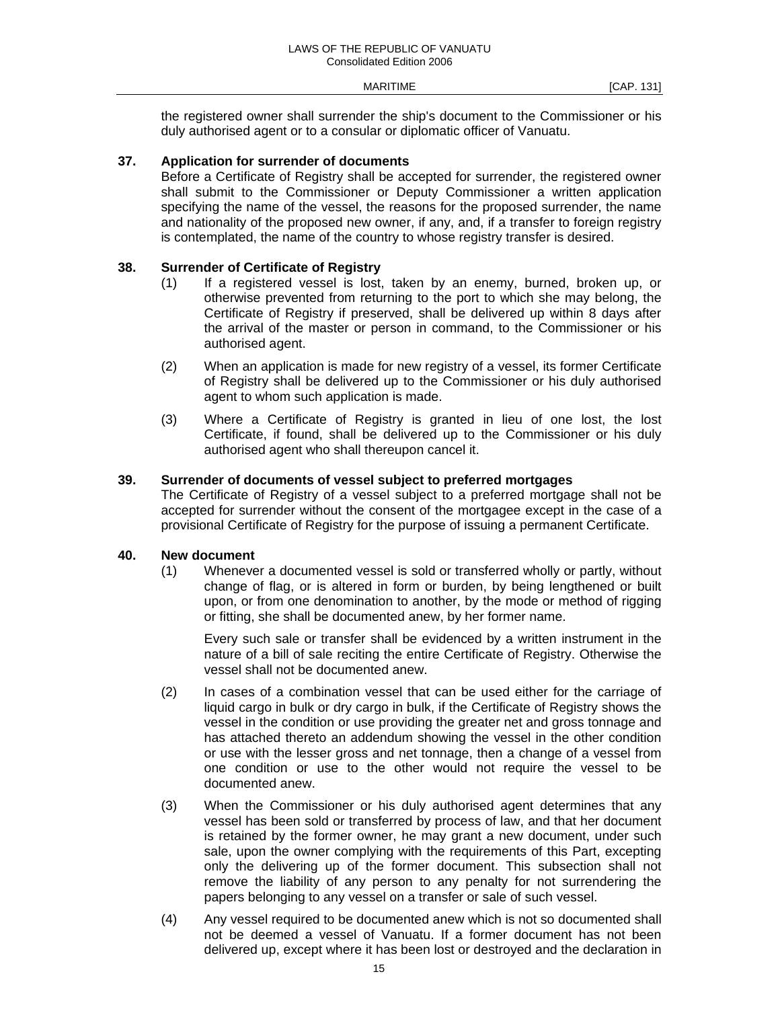the registered owner shall surrender the ship's document to the Commissioner or his duly authorised agent or to a consular or diplomatic officer of Vanuatu.

#### **37. Application for surrender of documents**

 Before a Certificate of Registry shall be accepted for surrender, the registered owner shall submit to the Commissioner or Deputy Commissioner a written application specifying the name of the vessel, the reasons for the proposed surrender, the name and nationality of the proposed new owner, if any, and, if a transfer to foreign registry is contemplated, the name of the country to whose registry transfer is desired.

# **38. Surrender of Certificate of Registry**

- (1) If a registered vessel is lost, taken by an enemy, burned, broken up, or otherwise prevented from returning to the port to which she may belong, the Certificate of Registry if preserved, shall be delivered up within 8 days after the arrival of the master or person in command, to the Commissioner or his authorised agent.
- (2) When an application is made for new registry of a vessel, its former Certificate of Registry shall be delivered up to the Commissioner or his duly authorised agent to whom such application is made.
- (3) Where a Certificate of Registry is granted in lieu of one lost, the lost Certificate, if found, shall be delivered up to the Commissioner or his duly authorised agent who shall thereupon cancel it.

## **39. Surrender of documents of vessel subject to preferred mortgages**

 The Certificate of Registry of a vessel subject to a preferred mortgage shall not be accepted for surrender without the consent of the mortgagee except in the case of a provisional Certificate of Registry for the purpose of issuing a permanent Certificate.

#### **40. New document**

 (1) Whenever a documented vessel is sold or transferred wholly or partly, without change of flag, or is altered in form or burden, by being lengthened or built upon, or from one denomination to another, by the mode or method of rigging or fitting, she shall be documented anew, by her former name.

 Every such sale or transfer shall be evidenced by a written instrument in the nature of a bill of sale reciting the entire Certificate of Registry. Otherwise the vessel shall not be documented anew.

- (2) In cases of a combination vessel that can be used either for the carriage of liquid cargo in bulk or dry cargo in bulk, if the Certificate of Registry shows the vessel in the condition or use providing the greater net and gross tonnage and has attached thereto an addendum showing the vessel in the other condition or use with the lesser gross and net tonnage, then a change of a vessel from one condition or use to the other would not require the vessel to be documented anew.
- (3) When the Commissioner or his duly authorised agent determines that any vessel has been sold or transferred by process of law, and that her document is retained by the former owner, he may grant a new document, under such sale, upon the owner complying with the requirements of this Part, excepting only the delivering up of the former document. This subsection shall not remove the liability of any person to any penalty for not surrendering the papers belonging to any vessel on a transfer or sale of such vessel.
- (4) Any vessel required to be documented anew which is not so documented shall not be deemed a vessel of Vanuatu. If a former document has not been delivered up, except where it has been lost or destroyed and the declaration in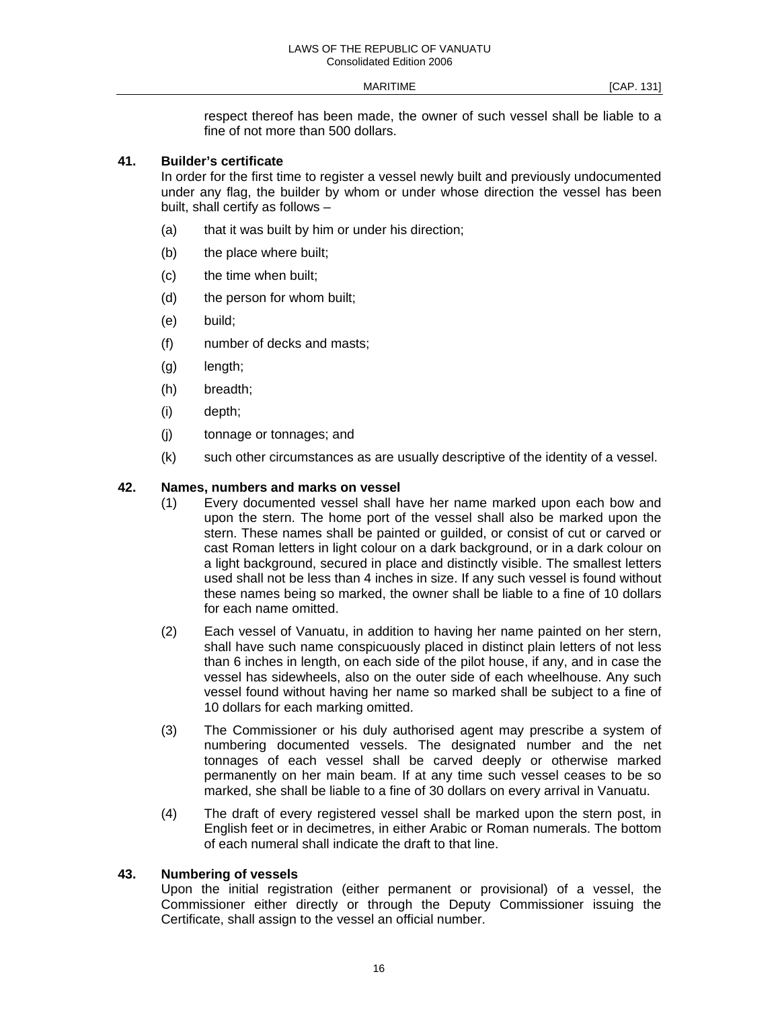respect thereof has been made, the owner of such vessel shall be liable to a fine of not more than 500 dollars.

## **41. Builder's certificate**

 In order for the first time to register a vessel newly built and previously undocumented under any flag, the builder by whom or under whose direction the vessel has been built, shall certify as follows –

- (a) that it was built by him or under his direction;
- (b) the place where built;
- (c) the time when built;
- (d) the person for whom built;
- (e) build;
- (f) number of decks and masts;
- (g) length;
- (h) breadth;
- (i) depth;
- (j) tonnage or tonnages; and
- (k) such other circumstances as are usually descriptive of the identity of a vessel.

## **42. Names, numbers and marks on vessel**

- (1) Every documented vessel shall have her name marked upon each bow and upon the stern. The home port of the vessel shall also be marked upon the stern. These names shall be painted or guilded, or consist of cut or carved or cast Roman letters in light colour on a dark background, or in a dark colour on a light background, secured in place and distinctly visible. The smallest letters used shall not be less than 4 inches in size. If any such vessel is found without these names being so marked, the owner shall be liable to a fine of 10 dollars for each name omitted.
- (2) Each vessel of Vanuatu, in addition to having her name painted on her stern, shall have such name conspicuously placed in distinct plain letters of not less than 6 inches in length, on each side of the pilot house, if any, and in case the vessel has sidewheels, also on the outer side of each wheelhouse. Any such vessel found without having her name so marked shall be subject to a fine of 10 dollars for each marking omitted.
- (3) The Commissioner or his duly authorised agent may prescribe a system of numbering documented vessels. The designated number and the net tonnages of each vessel shall be carved deeply or otherwise marked permanently on her main beam. If at any time such vessel ceases to be so marked, she shall be liable to a fine of 30 dollars on every arrival in Vanuatu.
- (4) The draft of every registered vessel shall be marked upon the stern post, in English feet or in decimetres, in either Arabic or Roman numerals. The bottom of each numeral shall indicate the draft to that line.

#### **43. Numbering of vessels**

 Upon the initial registration (either permanent or provisional) of a vessel, the Commissioner either directly or through the Deputy Commissioner issuing the Certificate, shall assign to the vessel an official number.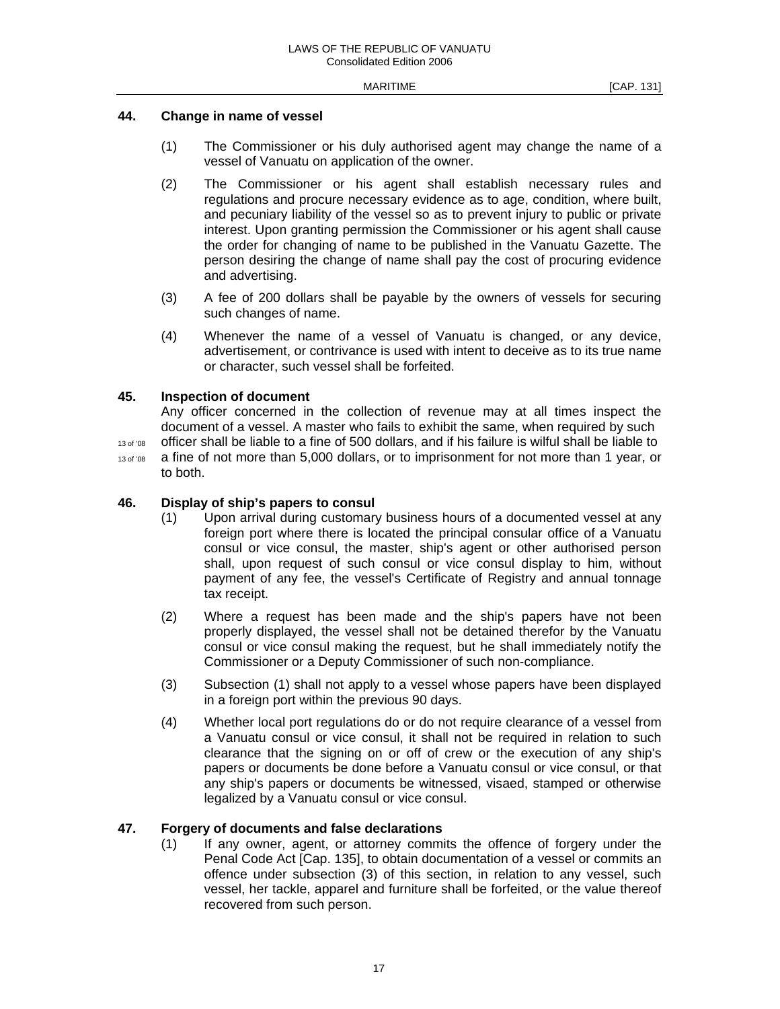#### **44. Change in name of vessel**

- (1) The Commissioner or his duly authorised agent may change the name of a vessel of Vanuatu on application of the owner.
- (2) The Commissioner or his agent shall establish necessary rules and regulations and procure necessary evidence as to age, condition, where built, and pecuniary liability of the vessel so as to prevent injury to public or private interest. Upon granting permission the Commissioner or his agent shall cause the order for changing of name to be published in the Vanuatu Gazette. The person desiring the change of name shall pay the cost of procuring evidence and advertising.
- (3) A fee of 200 dollars shall be payable by the owners of vessels for securing such changes of name.
- (4) Whenever the name of a vessel of Vanuatu is changed, or any device, advertisement, or contrivance is used with intent to deceive as to its true name or character, such vessel shall be forfeited.

#### **45. Inspection of document**

 Any officer concerned in the collection of revenue may at all times inspect the document of a vessel. A master who fails to exhibit the same, when required by such 13 of '08 Officer shall be liable to a fine of 500 dollars, and if his failure is wilful shall be liable to

13 of '08 a fine of not more than 5,000 dollars, or to imprisonment for not more than 1 year, or to both.

#### **46. Display of ship's papers to consul**

- (1) Upon arrival during customary business hours of a documented vessel at any foreign port where there is located the principal consular office of a Vanuatu consul or vice consul, the master, ship's agent or other authorised person shall, upon request of such consul or vice consul display to him, without payment of any fee, the vessel's Certificate of Registry and annual tonnage tax receipt.
- (2) Where a request has been made and the ship's papers have not been properly displayed, the vessel shall not be detained therefor by the Vanuatu consul or vice consul making the request, but he shall immediately notify the Commissioner or a Deputy Commissioner of such non-compliance.
- (3) Subsection (1) shall not apply to a vessel whose papers have been displayed in a foreign port within the previous 90 days.
- (4) Whether local port regulations do or do not require clearance of a vessel from a Vanuatu consul or vice consul, it shall not be required in relation to such clearance that the signing on or off of crew or the execution of any ship's papers or documents be done before a Vanuatu consul or vice consul, or that any ship's papers or documents be witnessed, visaed, stamped or otherwise legalized by a Vanuatu consul or vice consul.

#### **47. Forgery of documents and false declarations**

 (1) If any owner, agent, or attorney commits the offence of forgery under the Penal Code Act [Cap. 135], to obtain documentation of a vessel or commits an offence under subsection (3) of this section, in relation to any vessel, such vessel, her tackle, apparel and furniture shall be forfeited, or the value thereof recovered from such person.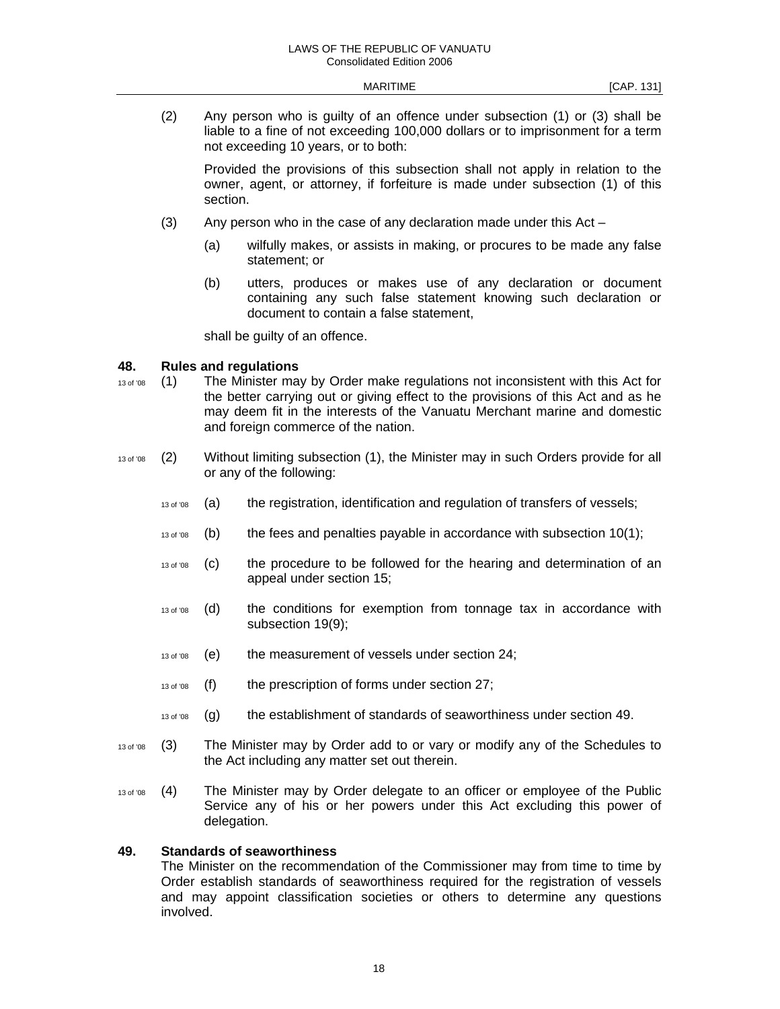(2) Any person who is guilty of an offence under subsection (1) or (3) shall be liable to a fine of not exceeding 100,000 dollars or to imprisonment for a term not exceeding 10 years, or to both:

 Provided the provisions of this subsection shall not apply in relation to the owner, agent, or attorney, if forfeiture is made under subsection (1) of this section.

- $(3)$  Any person who in the case of any declaration made under this Act
	- (a) wilfully makes, or assists in making, or procures to be made any false statement; or
	- (b) utters, produces or makes use of any declaration or document containing any such false statement knowing such declaration or document to contain a false statement,

shall be guilty of an offence.

## **48. Rules and regulations**

- $13 \text{ of } 08$  (1) The Minister may by Order make regulations not inconsistent with this Act for the better carrying out or giving effect to the provisions of this Act and as he may deem fit in the interests of the Vanuatu Merchant marine and domestic and foreign commerce of the nation.
- 13 of '08 (2) Without limiting subsection (1), the Minister may in such Orders provide for all or any of the following:
	- 13 of '08 (a) the registration, identification and regulation of transfers of vessels;
	- $13 \sigma$  (b) the fees and penalties payable in accordance with subsection 10(1);
	- 13 of '08 (c) the procedure to be followed for the hearing and determination of an appeal under section 15;
	- 13 of '08 (d) the conditions for exemption from tonnage tax in accordance with subsection 19(9);
	- 13 of '08 (e) the measurement of vessels under section 24;
	- 13 of '08 (f) the prescription of forms under section 27;
	- 13 of '08 (g) the establishment of standards of seaworthiness under section 49.
- $13 \text{ of } 08$  (3) The Minister may by Order add to or vary or modify any of the Schedules to the Act including any matter set out therein.
- 13 of '08 (4) The Minister may by Order delegate to an officer or employee of the Public Service any of his or her powers under this Act excluding this power of delegation.

#### **49. Standards of seaworthiness**

 The Minister on the recommendation of the Commissioner may from time to time by Order establish standards of seaworthiness required for the registration of vessels and may appoint classification societies or others to determine any questions involved.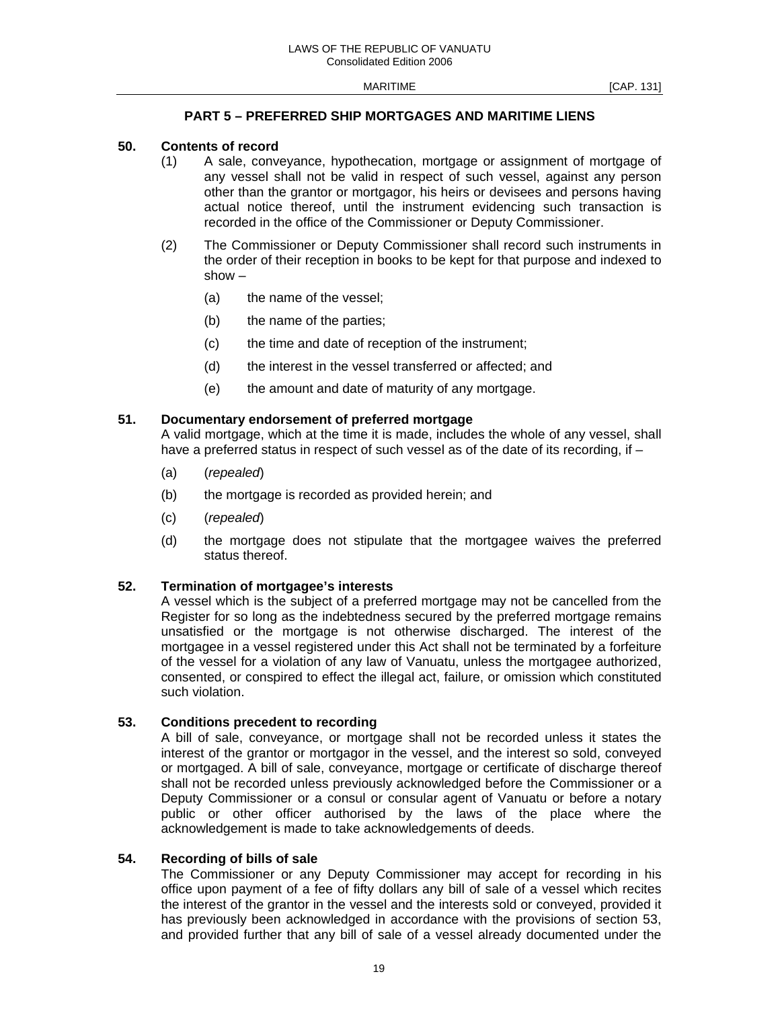### **PART 5 – PREFERRED SHIP MORTGAGES AND MARITIME LIENS**

#### **50. Contents of record**

- (1) A sale, conveyance, hypothecation, mortgage or assignment of mortgage of any vessel shall not be valid in respect of such vessel, against any person other than the grantor or mortgagor, his heirs or devisees and persons having actual notice thereof, until the instrument evidencing such transaction is recorded in the office of the Commissioner or Deputy Commissioner.
- (2) The Commissioner or Deputy Commissioner shall record such instruments in the order of their reception in books to be kept for that purpose and indexed to show –
	- (a) the name of the vessel;
	- (b) the name of the parties;
	- (c) the time and date of reception of the instrument;
	- (d) the interest in the vessel transferred or affected; and
	- (e) the amount and date of maturity of any mortgage.

## **51. Documentary endorsement of preferred mortgage**

 A valid mortgage, which at the time it is made, includes the whole of any vessel, shall have a preferred status in respect of such vessel as of the date of its recording, if -

- (a) (*repealed*)
- (b) the mortgage is recorded as provided herein; and
- (c) (*repealed*)
- (d) the mortgage does not stipulate that the mortgagee waives the preferred status thereof.

#### **52. Termination of mortgagee's interests**

 A vessel which is the subject of a preferred mortgage may not be cancelled from the Register for so long as the indebtedness secured by the preferred mortgage remains unsatisfied or the mortgage is not otherwise discharged. The interest of the mortgagee in a vessel registered under this Act shall not be terminated by a forfeiture of the vessel for a violation of any law of Vanuatu, unless the mortgagee authorized, consented, or conspired to effect the illegal act, failure, or omission which constituted such violation.

#### **53. Conditions precedent to recording**

 A bill of sale, conveyance, or mortgage shall not be recorded unless it states the interest of the grantor or mortgagor in the vessel, and the interest so sold, conveyed or mortgaged. A bill of sale, conveyance, mortgage or certificate of discharge thereof shall not be recorded unless previously acknowledged before the Commissioner or a Deputy Commissioner or a consul or consular agent of Vanuatu or before a notary public or other officer authorised by the laws of the place where the acknowledgement is made to take acknowledgements of deeds.

#### **54. Recording of bills of sale**

 The Commissioner or any Deputy Commissioner may accept for recording in his office upon payment of a fee of fifty dollars any bill of sale of a vessel which recites the interest of the grantor in the vessel and the interests sold or conveyed, provided it has previously been acknowledged in accordance with the provisions of section 53, and provided further that any bill of sale of a vessel already documented under the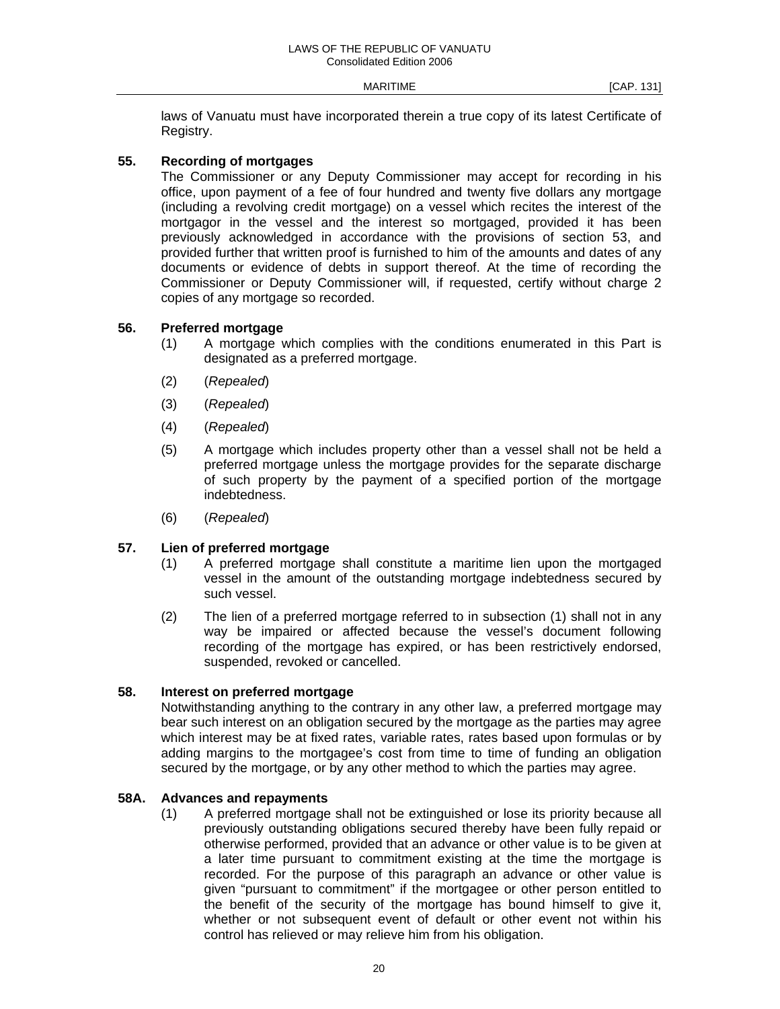laws of Vanuatu must have incorporated therein a true copy of its latest Certificate of Registry.

#### **55. Recording of mortgages**

 The Commissioner or any Deputy Commissioner may accept for recording in his office, upon payment of a fee of four hundred and twenty five dollars any mortgage (including a revolving credit mortgage) on a vessel which recites the interest of the mortgagor in the vessel and the interest so mortgaged, provided it has been previously acknowledged in accordance with the provisions of section 53, and provided further that written proof is furnished to him of the amounts and dates of any documents or evidence of debts in support thereof. At the time of recording the Commissioner or Deputy Commissioner will, if requested, certify without charge 2 copies of any mortgage so recorded.

#### **56. Preferred mortgage**

- (1) A mortgage which complies with the conditions enumerated in this Part is designated as a preferred mortgage.
- (2) (*Repealed*)
- (3) (*Repealed*)
- (4) (*Repealed*)
- (5) A mortgage which includes property other than a vessel shall not be held a preferred mortgage unless the mortgage provides for the separate discharge of such property by the payment of a specified portion of the mortgage indebtedness.
- (6) (*Repealed*)

#### **57. Lien of preferred mortgage**

- (1) A preferred mortgage shall constitute a maritime lien upon the mortgaged vessel in the amount of the outstanding mortgage indebtedness secured by such vessel.
- (2) The lien of a preferred mortgage referred to in subsection (1) shall not in any way be impaired or affected because the vessel's document following recording of the mortgage has expired, or has been restrictively endorsed, suspended, revoked or cancelled.

#### **58. Interest on preferred mortgage**

 Notwithstanding anything to the contrary in any other law, a preferred mortgage may bear such interest on an obligation secured by the mortgage as the parties may agree which interest may be at fixed rates, variable rates, rates based upon formulas or by adding margins to the mortgagee's cost from time to time of funding an obligation secured by the mortgage, or by any other method to which the parties may agree.

#### **58A. Advances and repayments**

 (1) A preferred mortgage shall not be extinguished or lose its priority because all previously outstanding obligations secured thereby have been fully repaid or otherwise performed, provided that an advance or other value is to be given at a later time pursuant to commitment existing at the time the mortgage is recorded. For the purpose of this paragraph an advance or other value is given "pursuant to commitment" if the mortgagee or other person entitled to the benefit of the security of the mortgage has bound himself to give it, whether or not subsequent event of default or other event not within his control has relieved or may relieve him from his obligation.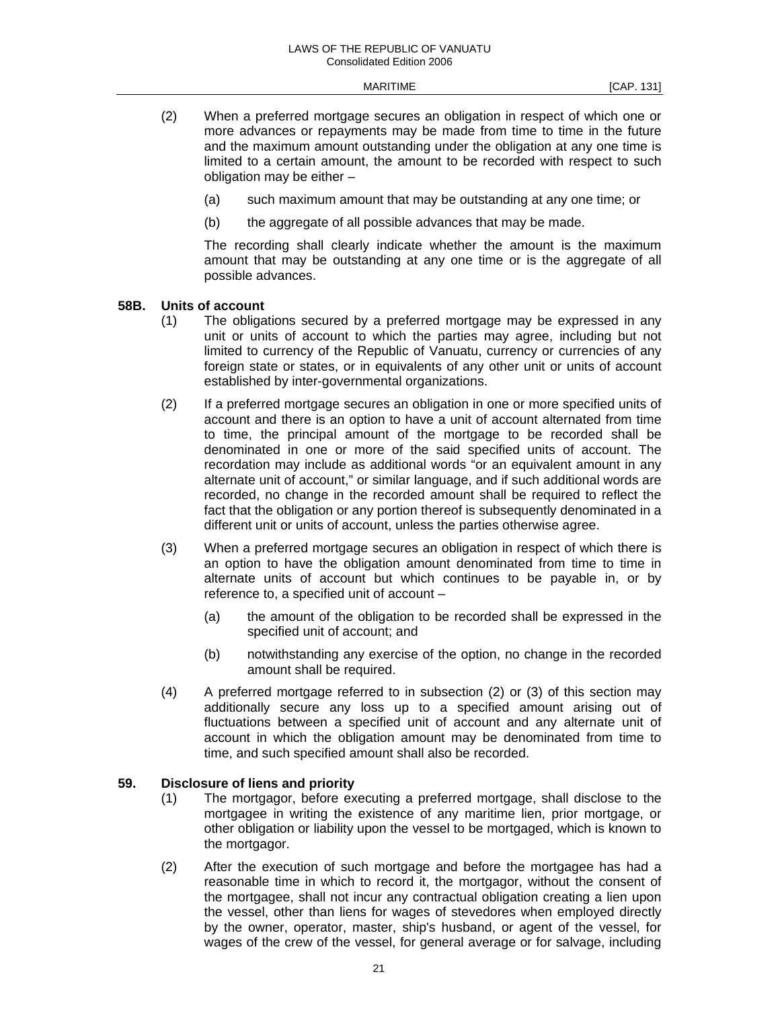- (2) When a preferred mortgage secures an obligation in respect of which one or more advances or repayments may be made from time to time in the future and the maximum amount outstanding under the obligation at any one time is limited to a certain amount, the amount to be recorded with respect to such obligation may be either –
	- (a) such maximum amount that may be outstanding at any one time; or
	- (b) the aggregate of all possible advances that may be made.

 The recording shall clearly indicate whether the amount is the maximum amount that may be outstanding at any one time or is the aggregate of all possible advances.

#### **58B. Units of account**

- (1) The obligations secured by a preferred mortgage may be expressed in any unit or units of account to which the parties may agree, including but not limited to currency of the Republic of Vanuatu, currency or currencies of any foreign state or states, or in equivalents of any other unit or units of account established by inter-governmental organizations.
- (2) If a preferred mortgage secures an obligation in one or more specified units of account and there is an option to have a unit of account alternated from time to time, the principal amount of the mortgage to be recorded shall be denominated in one or more of the said specified units of account. The recordation may include as additional words "or an equivalent amount in any alternate unit of account," or similar language, and if such additional words are recorded, no change in the recorded amount shall be required to reflect the fact that the obligation or any portion thereof is subsequently denominated in a different unit or units of account, unless the parties otherwise agree.
- (3) When a preferred mortgage secures an obligation in respect of which there is an option to have the obligation amount denominated from time to time in alternate units of account but which continues to be payable in, or by reference to, a specified unit of account –
	- (a) the amount of the obligation to be recorded shall be expressed in the specified unit of account; and
	- (b) notwithstanding any exercise of the option, no change in the recorded amount shall be required.
- (4) A preferred mortgage referred to in subsection (2) or (3) of this section may additionally secure any loss up to a specified amount arising out of fluctuations between a specified unit of account and any alternate unit of account in which the obligation amount may be denominated from time to time, and such specified amount shall also be recorded.

#### **59. Disclosure of liens and priority**

- (1) The mortgagor, before executing a preferred mortgage, shall disclose to the mortgagee in writing the existence of any maritime lien, prior mortgage, or other obligation or liability upon the vessel to be mortgaged, which is known to the mortgagor.
- (2) After the execution of such mortgage and before the mortgagee has had a reasonable time in which to record it, the mortgagor, without the consent of the mortgagee, shall not incur any contractual obligation creating a lien upon the vessel, other than liens for wages of stevedores when employed directly by the owner, operator, master, ship's husband, or agent of the vessel, for wages of the crew of the vessel, for general average or for salvage, including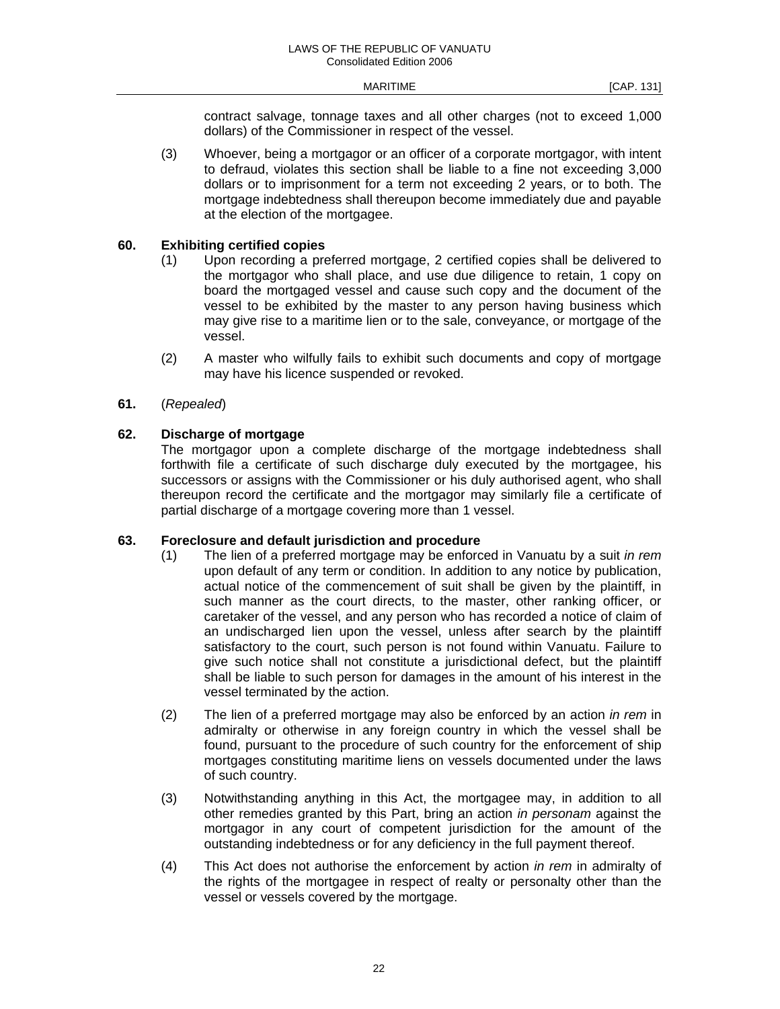contract salvage, tonnage taxes and all other charges (not to exceed 1,000 dollars) of the Commissioner in respect of the vessel.

 (3) Whoever, being a mortgagor or an officer of a corporate mortgagor, with intent to defraud, violates this section shall be liable to a fine not exceeding 3,000 dollars or to imprisonment for a term not exceeding 2 years, or to both. The mortgage indebtedness shall thereupon become immediately due and payable at the election of the mortgagee.

# **60. Exhibiting certified copies**

- (1) Upon recording a preferred mortgage, 2 certified copies shall be delivered to the mortgagor who shall place, and use due diligence to retain, 1 copy on board the mortgaged vessel and cause such copy and the document of the vessel to be exhibited by the master to any person having business which may give rise to a maritime lien or to the sale, conveyance, or mortgage of the vessel.
- (2) A master who wilfully fails to exhibit such documents and copy of mortgage may have his licence suspended or revoked.

## **61.** (*Repealed*)

## **62. Discharge of mortgage**

 The mortgagor upon a complete discharge of the mortgage indebtedness shall forthwith file a certificate of such discharge duly executed by the mortgagee, his successors or assigns with the Commissioner or his duly authorised agent, who shall thereupon record the certificate and the mortgagor may similarly file a certificate of partial discharge of a mortgage covering more than 1 vessel.

#### **63. Foreclosure and default jurisdiction and procedure**

- (1) The lien of a preferred mortgage may be enforced in Vanuatu by a suit *in rem* upon default of any term or condition. In addition to any notice by publication, actual notice of the commencement of suit shall be given by the plaintiff, in such manner as the court directs, to the master, other ranking officer, or caretaker of the vessel, and any person who has recorded a notice of claim of an undischarged lien upon the vessel, unless after search by the plaintiff satisfactory to the court, such person is not found within Vanuatu. Failure to give such notice shall not constitute a jurisdictional defect, but the plaintiff shall be liable to such person for damages in the amount of his interest in the vessel terminated by the action.
- (2) The lien of a preferred mortgage may also be enforced by an action *in rem* in admiralty or otherwise in any foreign country in which the vessel shall be found, pursuant to the procedure of such country for the enforcement of ship mortgages constituting maritime liens on vessels documented under the laws of such country.
- (3) Notwithstanding anything in this Act, the mortgagee may, in addition to all other remedies granted by this Part, bring an action *in personam* against the mortgagor in any court of competent jurisdiction for the amount of the outstanding indebtedness or for any deficiency in the full payment thereof.
- (4) This Act does not authorise the enforcement by action *in rem* in admiralty of the rights of the mortgagee in respect of realty or personalty other than the vessel or vessels covered by the mortgage.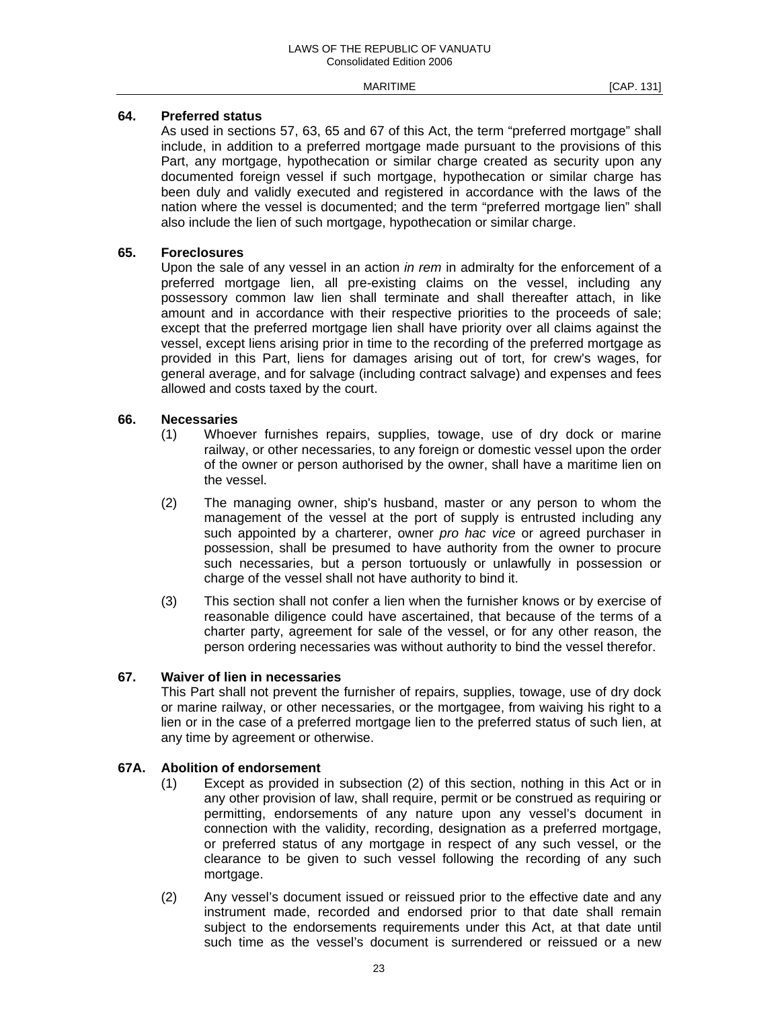#### **64. Preferred status**

 As used in sections 57, 63, 65 and 67 of this Act, the term "preferred mortgage" shall include, in addition to a preferred mortgage made pursuant to the provisions of this Part, any mortgage, hypothecation or similar charge created as security upon any documented foreign vessel if such mortgage, hypothecation or similar charge has been duly and validly executed and registered in accordance with the laws of the nation where the vessel is documented; and the term "preferred mortgage lien" shall also include the lien of such mortgage, hypothecation or similar charge.

## **65. Foreclosures**

 Upon the sale of any vessel in an action *in rem* in admiralty for the enforcement of a preferred mortgage lien, all pre-existing claims on the vessel, including any possessory common law lien shall terminate and shall thereafter attach, in like amount and in accordance with their respective priorities to the proceeds of sale; except that the preferred mortgage lien shall have priority over all claims against the vessel, except liens arising prior in time to the recording of the preferred mortgage as provided in this Part, liens for damages arising out of tort, for crew's wages, for general average, and for salvage (including contract salvage) and expenses and fees allowed and costs taxed by the court.

## **66. Necessaries**

- (1) Whoever furnishes repairs, supplies, towage, use of dry dock or marine railway, or other necessaries, to any foreign or domestic vessel upon the order of the owner or person authorised by the owner, shall have a maritime lien on the vessel.
- (2) The managing owner, ship's husband, master or any person to whom the management of the vessel at the port of supply is entrusted including any such appointed by a charterer, owner *pro hac vice* or agreed purchaser in possession, shall be presumed to have authority from the owner to procure such necessaries, but a person tortuously or unlawfully in possession or charge of the vessel shall not have authority to bind it.
- (3) This section shall not confer a lien when the furnisher knows or by exercise of reasonable diligence could have ascertained, that because of the terms of a charter party, agreement for sale of the vessel, or for any other reason, the person ordering necessaries was without authority to bind the vessel therefor.

#### **67. Waiver of lien in necessaries**

 This Part shall not prevent the furnisher of repairs, supplies, towage, use of dry dock or marine railway, or other necessaries, or the mortgagee, from waiving his right to a lien or in the case of a preferred mortgage lien to the preferred status of such lien, at any time by agreement or otherwise.

# **67A. Abolition of endorsement**

- (1) Except as provided in subsection (2) of this section, nothing in this Act or in any other provision of law, shall require, permit or be construed as requiring or permitting, endorsements of any nature upon any vessel's document in connection with the validity, recording, designation as a preferred mortgage, or preferred status of any mortgage in respect of any such vessel, or the clearance to be given to such vessel following the recording of any such mortgage.
- (2) Any vessel's document issued or reissued prior to the effective date and any instrument made, recorded and endorsed prior to that date shall remain subject to the endorsements requirements under this Act, at that date until such time as the vessel's document is surrendered or reissued or a new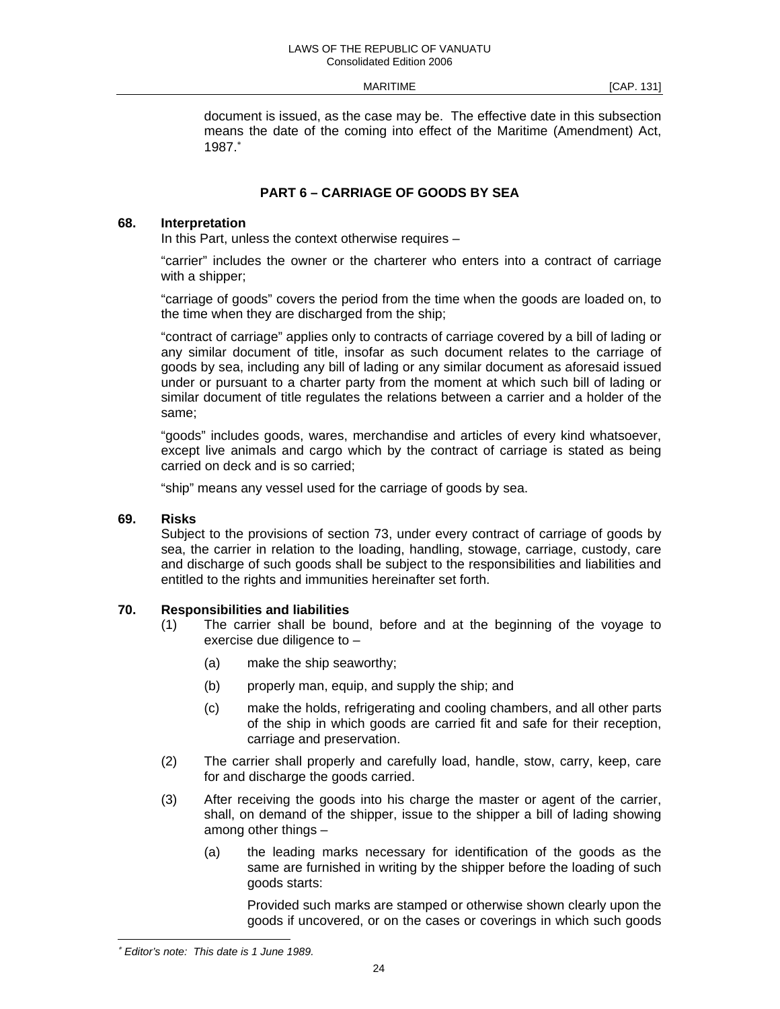document is issued, as the case may be. The effective date in this subsection means the date of the coming into effect of the Maritime (Amendment) Act, 1987.

# **PART 6 – CARRIAGE OF GOODS BY SEA**

#### **68. Interpretation**

In this Part, unless the context otherwise requires –

 "carrier" includes the owner or the charterer who enters into a contract of carriage with a shipper;

 "carriage of goods" covers the period from the time when the goods are loaded on, to the time when they are discharged from the ship;

 "contract of carriage" applies only to contracts of carriage covered by a bill of lading or any similar document of title, insofar as such document relates to the carriage of goods by sea, including any bill of lading or any similar document as aforesaid issued under or pursuant to a charter party from the moment at which such bill of lading or similar document of title regulates the relations between a carrier and a holder of the same;

 "goods" includes goods, wares, merchandise and articles of every kind whatsoever, except live animals and cargo which by the contract of carriage is stated as being carried on deck and is so carried;

"ship" means any vessel used for the carriage of goods by sea.

#### **69. Risks**

 Subject to the provisions of section 73, under every contract of carriage of goods by sea, the carrier in relation to the loading, handling, stowage, carriage, custody, care and discharge of such goods shall be subject to the responsibilities and liabilities and entitled to the rights and immunities hereinafter set forth.

#### **70. Responsibilities and liabilities**

- (1) The carrier shall be bound, before and at the beginning of the voyage to exercise due diligence to –
	- (a) make the ship seaworthy;
	- (b) properly man, equip, and supply the ship; and
	- (c) make the holds, refrigerating and cooling chambers, and all other parts of the ship in which goods are carried fit and safe for their reception, carriage and preservation.
- (2) The carrier shall properly and carefully load, handle, stow, carry, keep, care for and discharge the goods carried.
- (3) After receiving the goods into his charge the master or agent of the carrier, shall, on demand of the shipper, issue to the shipper a bill of lading showing among other things –
	- (a) the leading marks necessary for identification of the goods as the same are furnished in writing by the shipper before the loading of such goods starts:

 Provided such marks are stamped or otherwise shown clearly upon the goods if uncovered, or on the cases or coverings in which such goods

-

*Editor's note: This date is 1 June 1989.*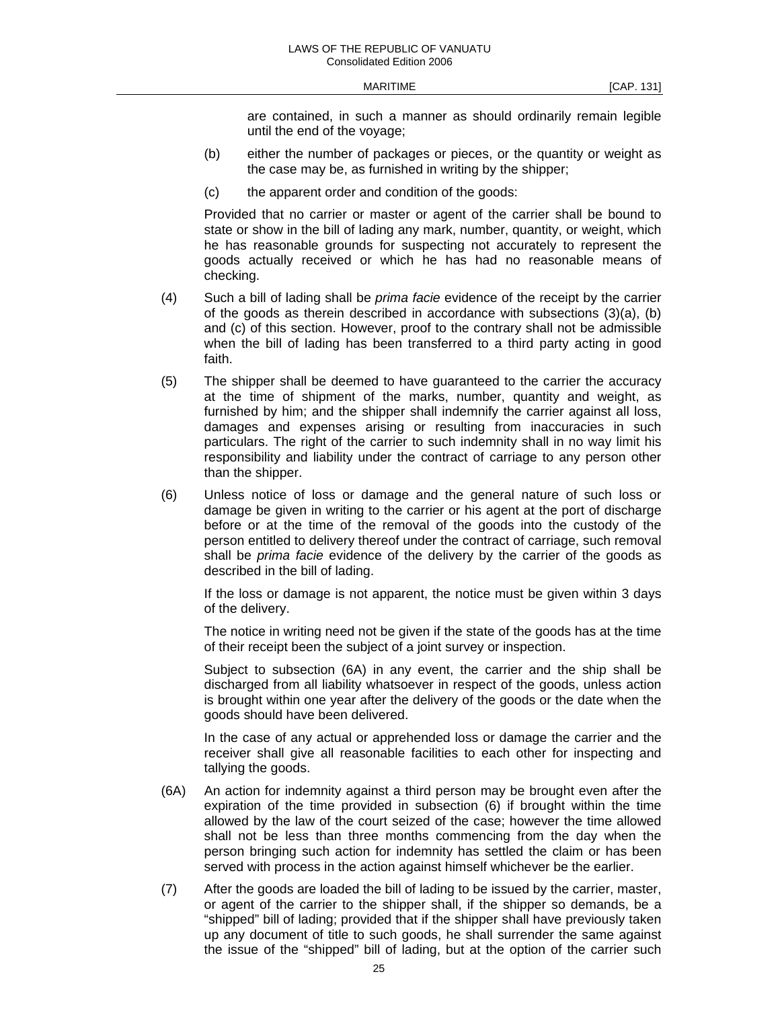are contained, in such a manner as should ordinarily remain legible until the end of the voyage;

- (b) either the number of packages or pieces, or the quantity or weight as the case may be, as furnished in writing by the shipper;
- (c) the apparent order and condition of the goods:

 Provided that no carrier or master or agent of the carrier shall be bound to state or show in the bill of lading any mark, number, quantity, or weight, which he has reasonable grounds for suspecting not accurately to represent the goods actually received or which he has had no reasonable means of checking.

- (4) Such a bill of lading shall be *prima facie* evidence of the receipt by the carrier of the goods as therein described in accordance with subsections (3)(a), (b) and (c) of this section. However, proof to the contrary shall not be admissible when the bill of lading has been transferred to a third party acting in good faith.
- (5) The shipper shall be deemed to have guaranteed to the carrier the accuracy at the time of shipment of the marks, number, quantity and weight, as furnished by him; and the shipper shall indemnify the carrier against all loss, damages and expenses arising or resulting from inaccuracies in such particulars. The right of the carrier to such indemnity shall in no way limit his responsibility and liability under the contract of carriage to any person other than the shipper.
- (6) Unless notice of loss or damage and the general nature of such loss or damage be given in writing to the carrier or his agent at the port of discharge before or at the time of the removal of the goods into the custody of the person entitled to delivery thereof under the contract of carriage, such removal shall be *prima facie* evidence of the delivery by the carrier of the goods as described in the bill of lading.

 If the loss or damage is not apparent, the notice must be given within 3 days of the delivery.

 The notice in writing need not be given if the state of the goods has at the time of their receipt been the subject of a joint survey or inspection.

 Subject to subsection (6A) in any event, the carrier and the ship shall be discharged from all liability whatsoever in respect of the goods, unless action is brought within one year after the delivery of the goods or the date when the goods should have been delivered.

 In the case of any actual or apprehended loss or damage the carrier and the receiver shall give all reasonable facilities to each other for inspecting and tallying the goods.

- (6A) An action for indemnity against a third person may be brought even after the expiration of the time provided in subsection (6) if brought within the time allowed by the law of the court seized of the case; however the time allowed shall not be less than three months commencing from the day when the person bringing such action for indemnity has settled the claim or has been served with process in the action against himself whichever be the earlier.
- (7) After the goods are loaded the bill of lading to be issued by the carrier, master, or agent of the carrier to the shipper shall, if the shipper so demands, be a "shipped" bill of lading; provided that if the shipper shall have previously taken up any document of title to such goods, he shall surrender the same against the issue of the "shipped" bill of lading, but at the option of the carrier such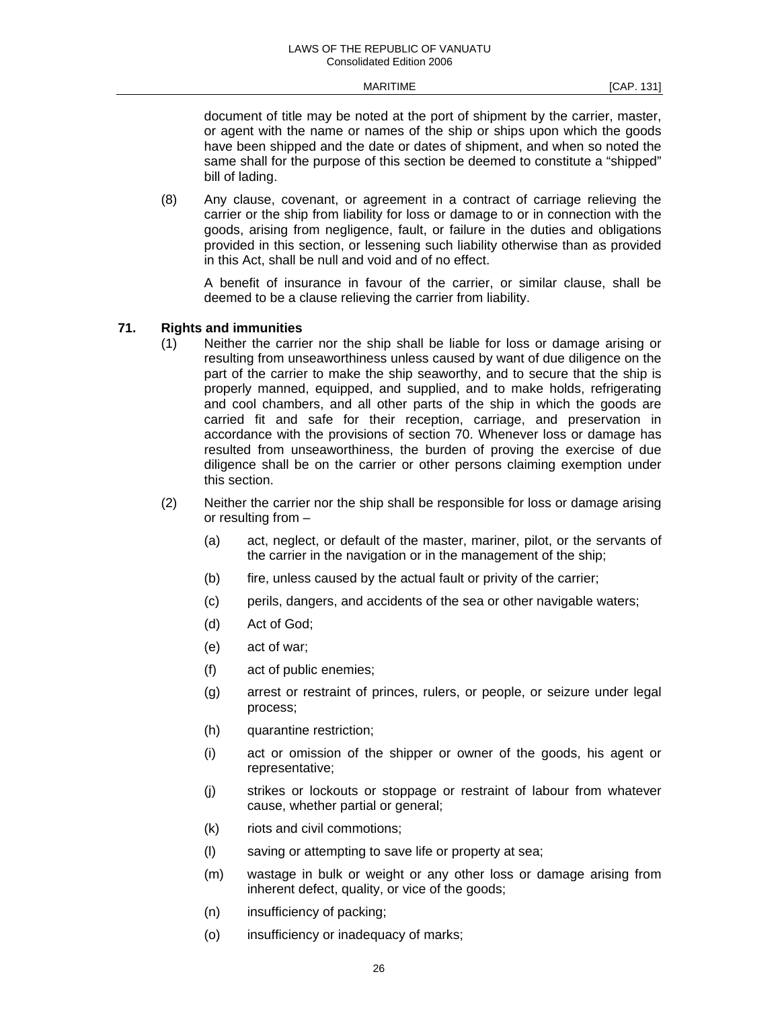document of title may be noted at the port of shipment by the carrier, master, or agent with the name or names of the ship or ships upon which the goods have been shipped and the date or dates of shipment, and when so noted the same shall for the purpose of this section be deemed to constitute a "shipped" bill of lading.

 (8) Any clause, covenant, or agreement in a contract of carriage relieving the carrier or the ship from liability for loss or damage to or in connection with the goods, arising from negligence, fault, or failure in the duties and obligations provided in this section, or lessening such liability otherwise than as provided in this Act, shall be null and void and of no effect.

 A benefit of insurance in favour of the carrier, or similar clause, shall be deemed to be a clause relieving the carrier from liability.

#### **71. Rights and immunities**

- (1) Neither the carrier nor the ship shall be liable for loss or damage arising or resulting from unseaworthiness unless caused by want of due diligence on the part of the carrier to make the ship seaworthy, and to secure that the ship is properly manned, equipped, and supplied, and to make holds, refrigerating and cool chambers, and all other parts of the ship in which the goods are carried fit and safe for their reception, carriage, and preservation in accordance with the provisions of section 70. Whenever loss or damage has resulted from unseaworthiness, the burden of proving the exercise of due diligence shall be on the carrier or other persons claiming exemption under this section.
- (2) Neither the carrier nor the ship shall be responsible for loss or damage arising or resulting from –
	- (a) act, neglect, or default of the master, mariner, pilot, or the servants of the carrier in the navigation or in the management of the ship;
	- (b) fire, unless caused by the actual fault or privity of the carrier;
	- (c) perils, dangers, and accidents of the sea or other navigable waters;
	- (d) Act of God;
	- (e) act of war;
	- (f) act of public enemies;
	- (g) arrest or restraint of princes, rulers, or people, or seizure under legal process;
	- (h) quarantine restriction;
	- (i) act or omission of the shipper or owner of the goods, his agent or representative;
	- (j) strikes or lockouts or stoppage or restraint of labour from whatever cause, whether partial or general;
	- (k) riots and civil commotions;
	- (l) saving or attempting to save life or property at sea;
	- (m) wastage in bulk or weight or any other loss or damage arising from inherent defect, quality, or vice of the goods;
	- (n) insufficiency of packing;
	- (o) insufficiency or inadequacy of marks;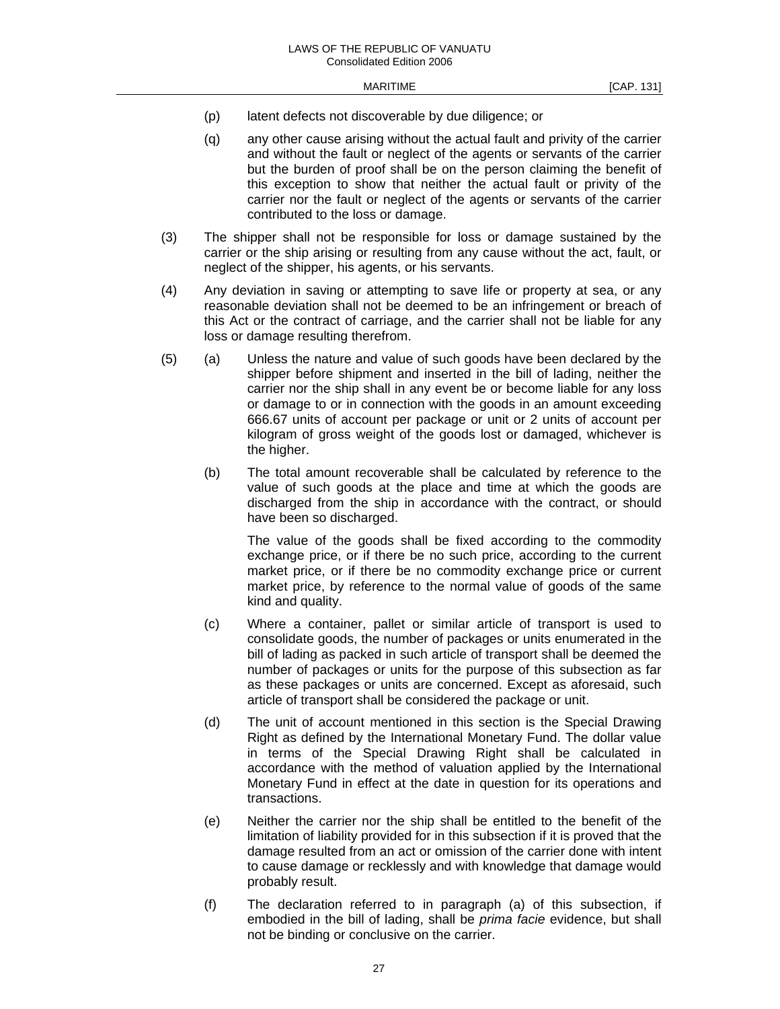- (p) latent defects not discoverable by due diligence; or
- (q) any other cause arising without the actual fault and privity of the carrier and without the fault or neglect of the agents or servants of the carrier but the burden of proof shall be on the person claiming the benefit of this exception to show that neither the actual fault or privity of the carrier nor the fault or neglect of the agents or servants of the carrier contributed to the loss or damage.
- (3) The shipper shall not be responsible for loss or damage sustained by the carrier or the ship arising or resulting from any cause without the act, fault, or neglect of the shipper, his agents, or his servants.
- (4) Any deviation in saving or attempting to save life or property at sea, or any reasonable deviation shall not be deemed to be an infringement or breach of this Act or the contract of carriage, and the carrier shall not be liable for any loss or damage resulting therefrom.
- (5) (a) Unless the nature and value of such goods have been declared by the shipper before shipment and inserted in the bill of lading, neither the carrier nor the ship shall in any event be or become liable for any loss or damage to or in connection with the goods in an amount exceeding 666.67 units of account per package or unit or 2 units of account per kilogram of gross weight of the goods lost or damaged, whichever is the higher.
	- (b) The total amount recoverable shall be calculated by reference to the value of such goods at the place and time at which the goods are discharged from the ship in accordance with the contract, or should have been so discharged.

 The value of the goods shall be fixed according to the commodity exchange price, or if there be no such price, according to the current market price, or if there be no commodity exchange price or current market price, by reference to the normal value of goods of the same kind and quality.

- (c) Where a container, pallet or similar article of transport is used to consolidate goods, the number of packages or units enumerated in the bill of lading as packed in such article of transport shall be deemed the number of packages or units for the purpose of this subsection as far as these packages or units are concerned. Except as aforesaid, such article of transport shall be considered the package or unit.
- (d) The unit of account mentioned in this section is the Special Drawing Right as defined by the International Monetary Fund. The dollar value in terms of the Special Drawing Right shall be calculated in accordance with the method of valuation applied by the International Monetary Fund in effect at the date in question for its operations and transactions.
- (e) Neither the carrier nor the ship shall be entitled to the benefit of the limitation of liability provided for in this subsection if it is proved that the damage resulted from an act or omission of the carrier done with intent to cause damage or recklessly and with knowledge that damage would probably result.
- (f) The declaration referred to in paragraph (a) of this subsection, if embodied in the bill of lading, shall be *prima facie* evidence, but shall not be binding or conclusive on the carrier.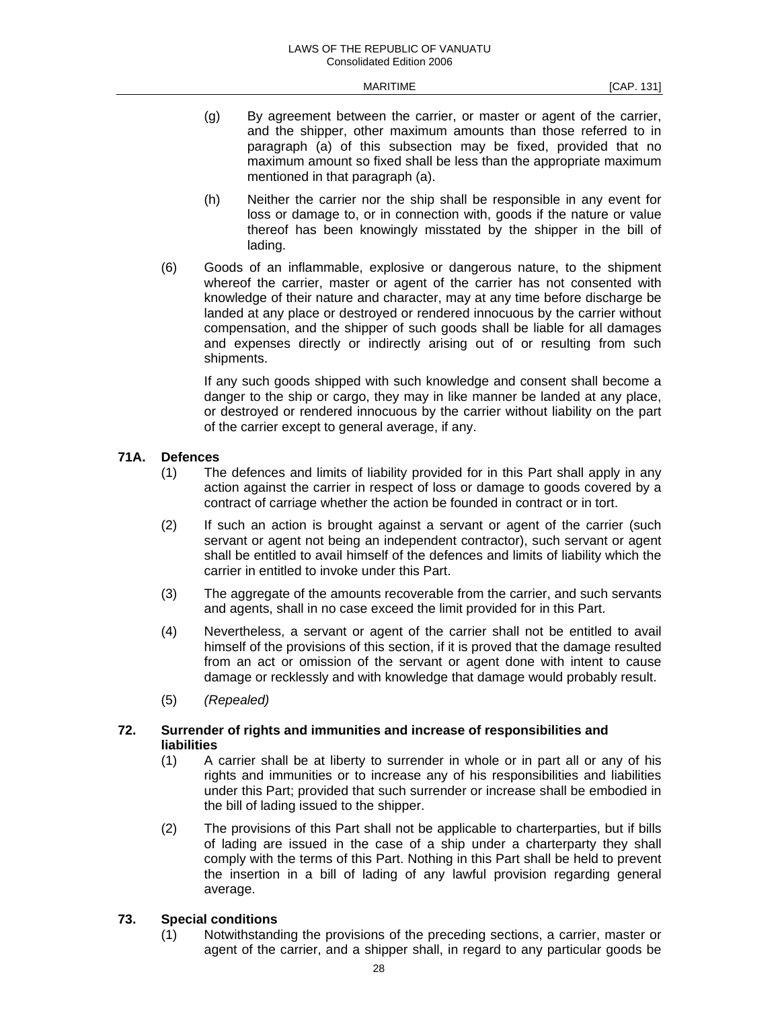- (g) By agreement between the carrier, or master or agent of the carrier, and the shipper, other maximum amounts than those referred to in paragraph (a) of this subsection may be fixed, provided that no maximum amount so fixed shall be less than the appropriate maximum mentioned in that paragraph (a).
- (h) Neither the carrier nor the ship shall be responsible in any event for loss or damage to, or in connection with, goods if the nature or value thereof has been knowingly misstated by the shipper in the bill of lading.
- (6) Goods of an inflammable, explosive or dangerous nature, to the shipment whereof the carrier, master or agent of the carrier has not consented with knowledge of their nature and character, may at any time before discharge be landed at any place or destroyed or rendered innocuous by the carrier without compensation, and the shipper of such goods shall be liable for all damages and expenses directly or indirectly arising out of or resulting from such shipments.

 If any such goods shipped with such knowledge and consent shall become a danger to the ship or cargo, they may in like manner be landed at any place, or destroyed or rendered innocuous by the carrier without liability on the part of the carrier except to general average, if any.

#### **71A. Defences**

- (1) The defences and limits of liability provided for in this Part shall apply in any action against the carrier in respect of loss or damage to goods covered by a contract of carriage whether the action be founded in contract or in tort.
- (2) If such an action is brought against a servant or agent of the carrier (such servant or agent not being an independent contractor), such servant or agent shall be entitled to avail himself of the defences and limits of liability which the carrier in entitled to invoke under this Part.
- (3) The aggregate of the amounts recoverable from the carrier, and such servants and agents, shall in no case exceed the limit provided for in this Part.
- (4) Nevertheless, a servant or agent of the carrier shall not be entitled to avail himself of the provisions of this section, if it is proved that the damage resulted from an act or omission of the servant or agent done with intent to cause damage or recklessly and with knowledge that damage would probably result.
- (5) *(Repealed)*

## **72. Surrender of rights and immunities and increase of responsibilities and liabilities**

- (1) A carrier shall be at liberty to surrender in whole or in part all or any of his rights and immunities or to increase any of his responsibilities and liabilities under this Part; provided that such surrender or increase shall be embodied in the bill of lading issued to the shipper.
- (2) The provisions of this Part shall not be applicable to charterparties, but if bills of lading are issued in the case of a ship under a charterparty they shall comply with the terms of this Part. Nothing in this Part shall be held to prevent the insertion in a bill of lading of any lawful provision regarding general average.

# **73. Special conditions**

 (1) Notwithstanding the provisions of the preceding sections, a carrier, master or agent of the carrier, and a shipper shall, in regard to any particular goods be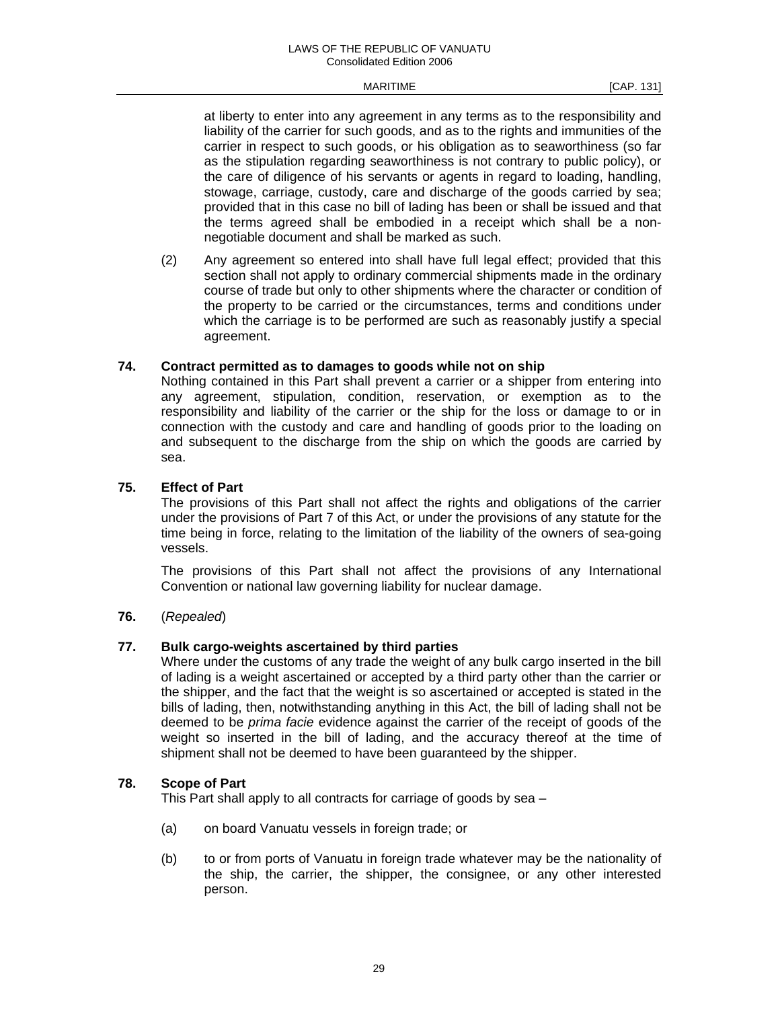at liberty to enter into any agreement in any terms as to the responsibility and liability of the carrier for such goods, and as to the rights and immunities of the carrier in respect to such goods, or his obligation as to seaworthiness (so far as the stipulation regarding seaworthiness is not contrary to public policy), or the care of diligence of his servants or agents in regard to loading, handling, stowage, carriage, custody, care and discharge of the goods carried by sea; provided that in this case no bill of lading has been or shall be issued and that the terms agreed shall be embodied in a receipt which shall be a nonnegotiable document and shall be marked as such.

 (2) Any agreement so entered into shall have full legal effect; provided that this section shall not apply to ordinary commercial shipments made in the ordinary course of trade but only to other shipments where the character or condition of the property to be carried or the circumstances, terms and conditions under which the carriage is to be performed are such as reasonably justify a special agreement.

# **74. Contract permitted as to damages to goods while not on ship**

 Nothing contained in this Part shall prevent a carrier or a shipper from entering into any agreement, stipulation, condition, reservation, or exemption as to the responsibility and liability of the carrier or the ship for the loss or damage to or in connection with the custody and care and handling of goods prior to the loading on and subsequent to the discharge from the ship on which the goods are carried by sea.

## **75. Effect of Part**

 The provisions of this Part shall not affect the rights and obligations of the carrier under the provisions of Part 7 of this Act, or under the provisions of any statute for the time being in force, relating to the limitation of the liability of the owners of sea-going vessels.

 The provisions of this Part shall not affect the provisions of any International Convention or national law governing liability for nuclear damage.

# **76.** (*Repealed*)

#### **77. Bulk cargo-weights ascertained by third parties**

 Where under the customs of any trade the weight of any bulk cargo inserted in the bill of lading is a weight ascertained or accepted by a third party other than the carrier or the shipper, and the fact that the weight is so ascertained or accepted is stated in the bills of lading, then, notwithstanding anything in this Act, the bill of lading shall not be deemed to be *prima facie* evidence against the carrier of the receipt of goods of the weight so inserted in the bill of lading, and the accuracy thereof at the time of shipment shall not be deemed to have been guaranteed by the shipper.

#### **78. Scope of Part**

This Part shall apply to all contracts for carriage of goods by sea –

- (a) on board Vanuatu vessels in foreign trade; or
- (b) to or from ports of Vanuatu in foreign trade whatever may be the nationality of the ship, the carrier, the shipper, the consignee, or any other interested person.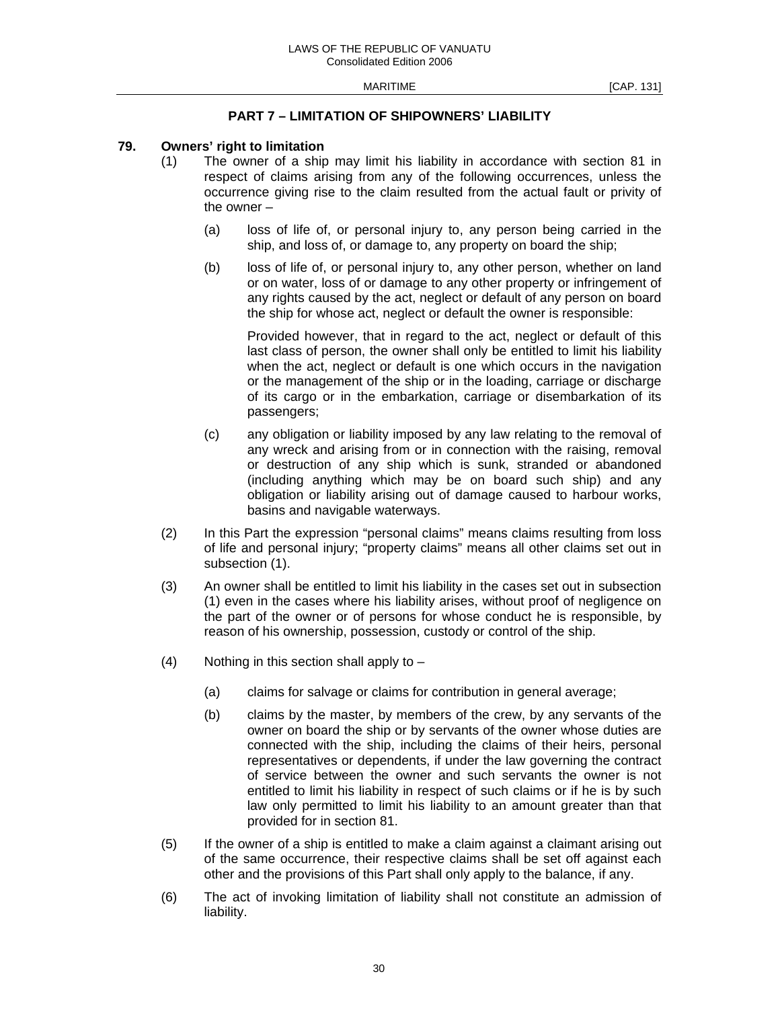# **PART 7 – LIMITATION OF SHIPOWNERS' LIABILITY**

#### **79. Owners' right to limitation**

- (1) The owner of a ship may limit his liability in accordance with section 81 in respect of claims arising from any of the following occurrences, unless the occurrence giving rise to the claim resulted from the actual fault or privity of the owner –
	- (a) loss of life of, or personal injury to, any person being carried in the ship, and loss of, or damage to, any property on board the ship;
	- (b) loss of life of, or personal injury to, any other person, whether on land or on water, loss of or damage to any other property or infringement of any rights caused by the act, neglect or default of any person on board the ship for whose act, neglect or default the owner is responsible:

 Provided however, that in regard to the act, neglect or default of this last class of person, the owner shall only be entitled to limit his liability when the act, neglect or default is one which occurs in the navigation or the management of the ship or in the loading, carriage or discharge of its cargo or in the embarkation, carriage or disembarkation of its passengers;

- (c) any obligation or liability imposed by any law relating to the removal of any wreck and arising from or in connection with the raising, removal or destruction of any ship which is sunk, stranded or abandoned (including anything which may be on board such ship) and any obligation or liability arising out of damage caused to harbour works, basins and navigable waterways.
- (2) In this Part the expression "personal claims" means claims resulting from loss of life and personal injury; "property claims" means all other claims set out in subsection (1).
- (3) An owner shall be entitled to limit his liability in the cases set out in subsection (1) even in the cases where his liability arises, without proof of negligence on the part of the owner or of persons for whose conduct he is responsible, by reason of his ownership, possession, custody or control of the ship.
- (4) Nothing in this section shall apply to
	- (a) claims for salvage or claims for contribution in general average;
	- (b) claims by the master, by members of the crew, by any servants of the owner on board the ship or by servants of the owner whose duties are connected with the ship, including the claims of their heirs, personal representatives or dependents, if under the law governing the contract of service between the owner and such servants the owner is not entitled to limit his liability in respect of such claims or if he is by such law only permitted to limit his liability to an amount greater than that provided for in section 81.
- (5) If the owner of a ship is entitled to make a claim against a claimant arising out of the same occurrence, their respective claims shall be set off against each other and the provisions of this Part shall only apply to the balance, if any.
- (6) The act of invoking limitation of liability shall not constitute an admission of liability.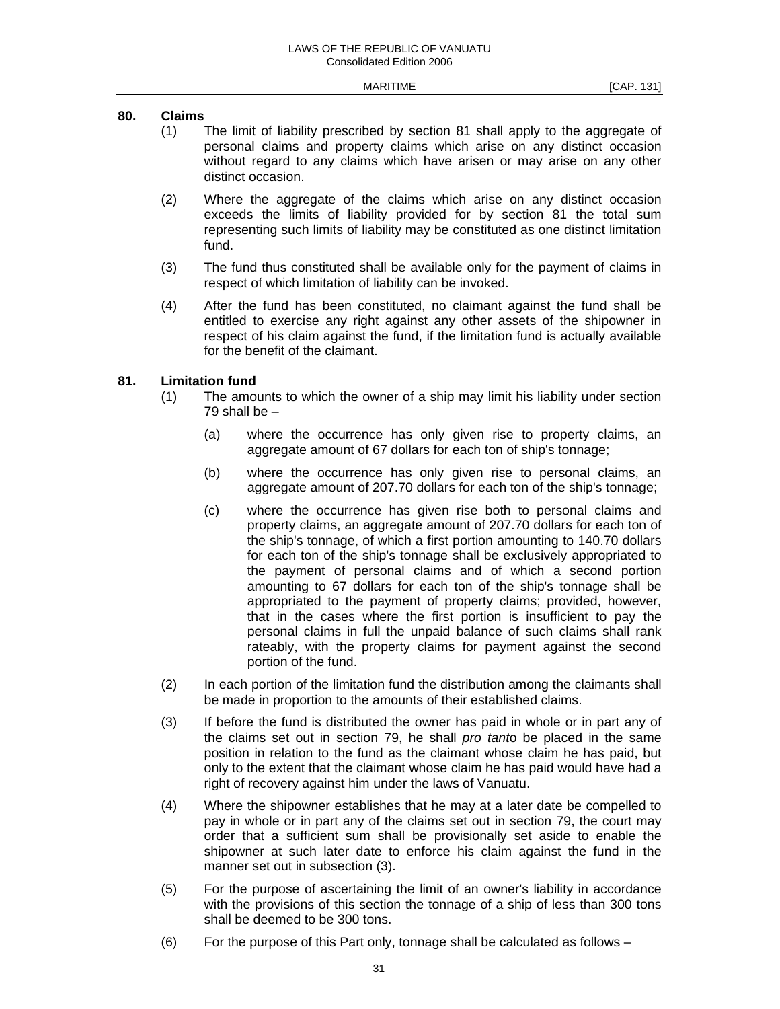#### **80. Claims**

- (1) The limit of liability prescribed by section 81 shall apply to the aggregate of personal claims and property claims which arise on any distinct occasion without regard to any claims which have arisen or may arise on any other distinct occasion.
- (2) Where the aggregate of the claims which arise on any distinct occasion exceeds the limits of liability provided for by section 81 the total sum representing such limits of liability may be constituted as one distinct limitation fund.
- (3) The fund thus constituted shall be available only for the payment of claims in respect of which limitation of liability can be invoked.
- (4) After the fund has been constituted, no claimant against the fund shall be entitled to exercise any right against any other assets of the shipowner in respect of his claim against the fund, if the limitation fund is actually available for the benefit of the claimant.

#### **81. Limitation fund**

- (1) The amounts to which the owner of a ship may limit his liability under section 79 shall be  $-$ 
	- (a) where the occurrence has only given rise to property claims, an aggregate amount of 67 dollars for each ton of ship's tonnage;
	- (b) where the occurrence has only given rise to personal claims, an aggregate amount of 207.70 dollars for each ton of the ship's tonnage;
	- (c) where the occurrence has given rise both to personal claims and property claims, an aggregate amount of 207.70 dollars for each ton of the ship's tonnage, of which a first portion amounting to 140.70 dollars for each ton of the ship's tonnage shall be exclusively appropriated to the payment of personal claims and of which a second portion amounting to 67 dollars for each ton of the ship's tonnage shall be appropriated to the payment of property claims; provided, however, that in the cases where the first portion is insufficient to pay the personal claims in full the unpaid balance of such claims shall rank rateably, with the property claims for payment against the second portion of the fund.
- (2) In each portion of the limitation fund the distribution among the claimants shall be made in proportion to the amounts of their established claims.
- (3) If before the fund is distributed the owner has paid in whole or in part any of the claims set out in section 79, he shall *pro tant*o be placed in the same position in relation to the fund as the claimant whose claim he has paid, but only to the extent that the claimant whose claim he has paid would have had a right of recovery against him under the laws of Vanuatu.
- (4) Where the shipowner establishes that he may at a later date be compelled to pay in whole or in part any of the claims set out in section 79, the court may order that a sufficient sum shall be provisionally set aside to enable the shipowner at such later date to enforce his claim against the fund in the manner set out in subsection (3).
- (5) For the purpose of ascertaining the limit of an owner's liability in accordance with the provisions of this section the tonnage of a ship of less than 300 tons shall be deemed to be 300 tons.
- (6) For the purpose of this Part only, tonnage shall be calculated as follows –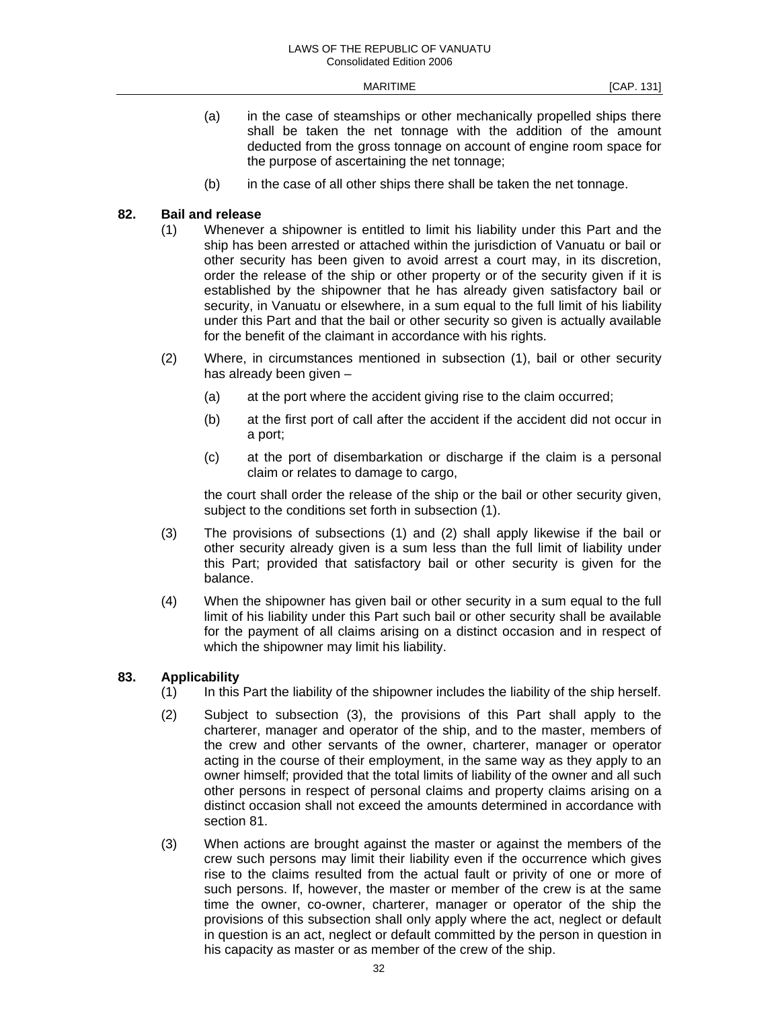- (a) in the case of steamships or other mechanically propelled ships there shall be taken the net tonnage with the addition of the amount deducted from the gross tonnage on account of engine room space for the purpose of ascertaining the net tonnage;
- (b) in the case of all other ships there shall be taken the net tonnage.

#### **82. Bail and release**

- (1) Whenever a shipowner is entitled to limit his liability under this Part and the ship has been arrested or attached within the jurisdiction of Vanuatu or bail or other security has been given to avoid arrest a court may, in its discretion, order the release of the ship or other property or of the security given if it is established by the shipowner that he has already given satisfactory bail or security, in Vanuatu or elsewhere, in a sum equal to the full limit of his liability under this Part and that the bail or other security so given is actually available for the benefit of the claimant in accordance with his rights.
- (2) Where, in circumstances mentioned in subsection (1), bail or other security has already been given –
	- (a) at the port where the accident giving rise to the claim occurred;
	- (b) at the first port of call after the accident if the accident did not occur in a port;
	- (c) at the port of disembarkation or discharge if the claim is a personal claim or relates to damage to cargo,

 the court shall order the release of the ship or the bail or other security given, subject to the conditions set forth in subsection (1).

- (3) The provisions of subsections (1) and (2) shall apply likewise if the bail or other security already given is a sum less than the full limit of liability under this Part; provided that satisfactory bail or other security is given for the balance.
- (4) When the shipowner has given bail or other security in a sum equal to the full limit of his liability under this Part such bail or other security shall be available for the payment of all claims arising on a distinct occasion and in respect of which the shipowner may limit his liability.

#### **83. Applicability**

- (1) In this Part the liability of the shipowner includes the liability of the ship herself.
- (2) Subject to subsection (3), the provisions of this Part shall apply to the charterer, manager and operator of the ship, and to the master, members of the crew and other servants of the owner, charterer, manager or operator acting in the course of their employment, in the same way as they apply to an owner himself; provided that the total limits of liability of the owner and all such other persons in respect of personal claims and property claims arising on a distinct occasion shall not exceed the amounts determined in accordance with section 81.
- (3) When actions are brought against the master or against the members of the crew such persons may limit their liability even if the occurrence which gives rise to the claims resulted from the actual fault or privity of one or more of such persons. If, however, the master or member of the crew is at the same time the owner, co-owner, charterer, manager or operator of the ship the provisions of this subsection shall only apply where the act, neglect or default in question is an act, neglect or default committed by the person in question in his capacity as master or as member of the crew of the ship.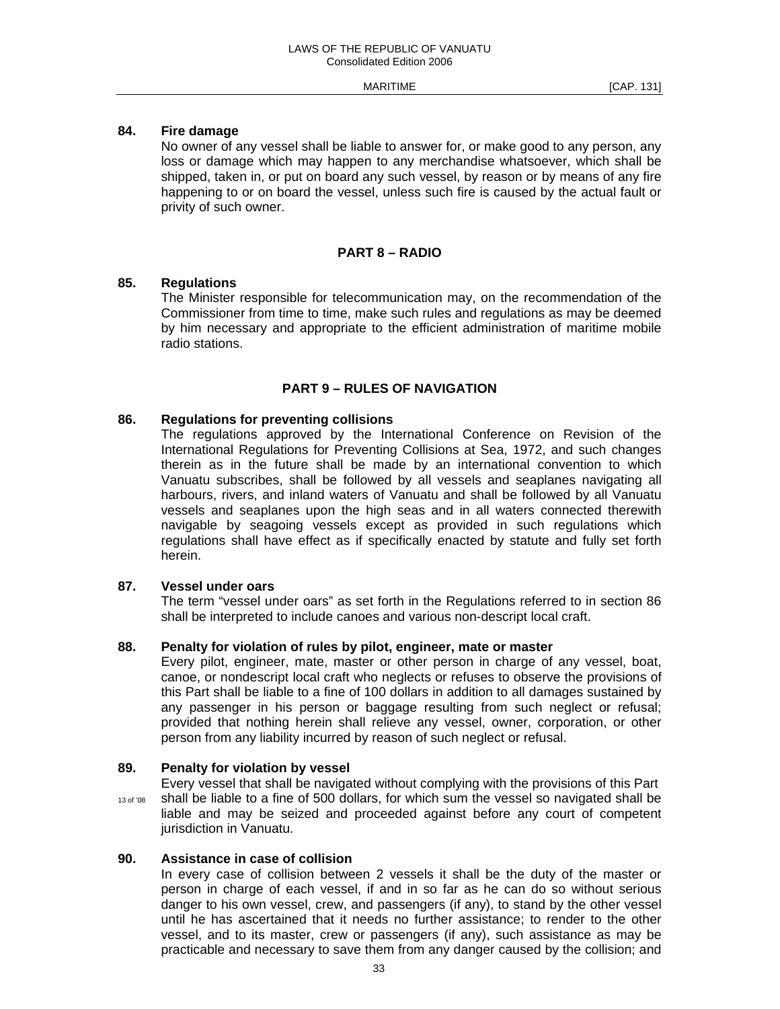#### **84. Fire damage**

 No owner of any vessel shall be liable to answer for, or make good to any person, any loss or damage which may happen to any merchandise whatsoever, which shall be shipped, taken in, or put on board any such vessel, by reason or by means of any fire happening to or on board the vessel, unless such fire is caused by the actual fault or privity of such owner.

## **PART 8 – RADIO**

## **85. Regulations**

 The Minister responsible for telecommunication may, on the recommendation of the Commissioner from time to time, make such rules and regulations as may be deemed by him necessary and appropriate to the efficient administration of maritime mobile radio stations.

## **PART 9 – RULES OF NAVIGATION**

## **86. Regulations for preventing collisions**

 The regulations approved by the International Conference on Revision of the International Regulations for Preventing Collisions at Sea, 1972, and such changes therein as in the future shall be made by an international convention to which Vanuatu subscribes, shall be followed by all vessels and seaplanes navigating all harbours, rivers, and inland waters of Vanuatu and shall be followed by all Vanuatu vessels and seaplanes upon the high seas and in all waters connected therewith navigable by seagoing vessels except as provided in such regulations which regulations shall have effect as if specifically enacted by statute and fully set forth herein.

#### **87. Vessel under oars**

 The term "vessel under oars" as set forth in the Regulations referred to in section 86 shall be interpreted to include canoes and various non-descript local craft.

#### **88. Penalty for violation of rules by pilot, engineer, mate or master**

 Every pilot, engineer, mate, master or other person in charge of any vessel, boat, canoe, or nondescript local craft who neglects or refuses to observe the provisions of this Part shall be liable to a fine of 100 dollars in addition to all damages sustained by any passenger in his person or baggage resulting from such neglect or refusal; provided that nothing herein shall relieve any vessel, owner, corporation, or other person from any liability incurred by reason of such neglect or refusal.

#### **89. Penalty for violation by vessel**

 Every vessel that shall be navigated without complying with the provisions of this Part 13 of '08 Shall be liable to a fine of 500 dollars, for which sum the vessel so navigated shall be liable and may be seized and proceeded against before any court of competent jurisdiction in Vanuatu.

#### **90. Assistance in case of collision**

 In every case of collision between 2 vessels it shall be the duty of the master or person in charge of each vessel, if and in so far as he can do so without serious danger to his own vessel, crew, and passengers (if any), to stand by the other vessel until he has ascertained that it needs no further assistance; to render to the other vessel, and to its master, crew or passengers (if any), such assistance as may be practicable and necessary to save them from any danger caused by the collision; and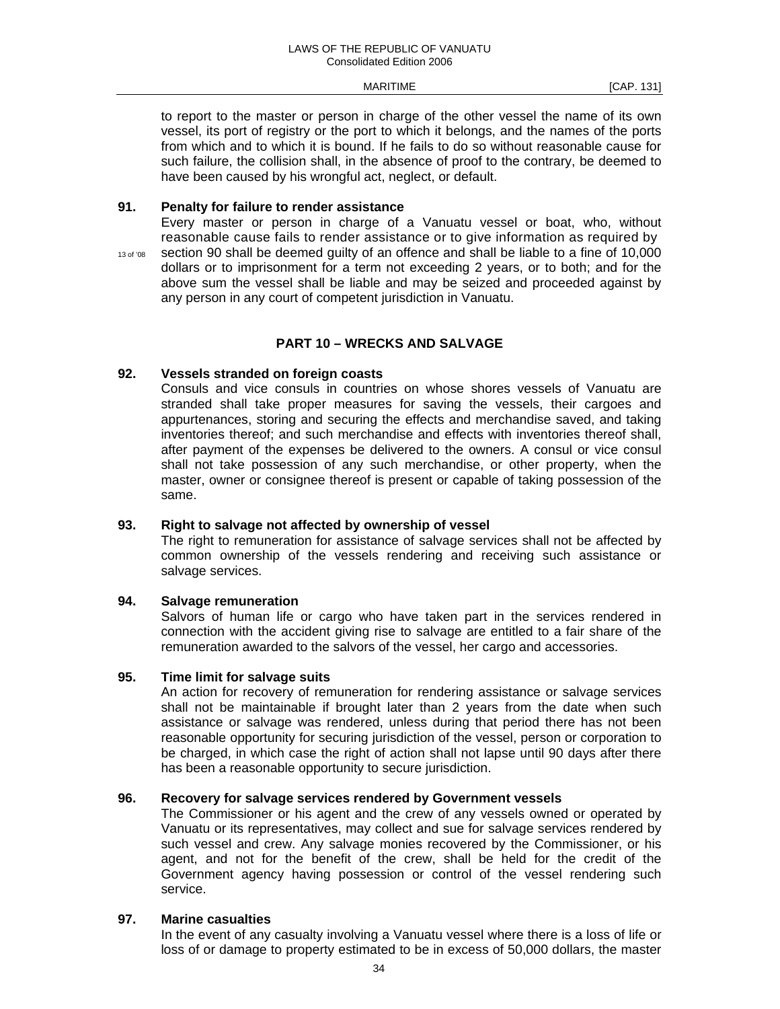to report to the master or person in charge of the other vessel the name of its own vessel, its port of registry or the port to which it belongs, and the names of the ports from which and to which it is bound. If he fails to do so without reasonable cause for such failure, the collision shall, in the absence of proof to the contrary, be deemed to have been caused by his wrongful act, neglect, or default.

## **91. Penalty for failure to render assistance**

 Every master or person in charge of a Vanuatu vessel or boat, who, without reasonable cause fails to render assistance or to give information as required by 13 of '08 Section 90 shall be deemed quilty of an offence and shall be liable to a fine of 10,000 dollars or to imprisonment for a term not exceeding 2 years, or to both; and for the above sum the vessel shall be liable and may be seized and proceeded against by any person in any court of competent jurisdiction in Vanuatu.

# **PART 10 – WRECKS AND SALVAGE**

## **92. Vessels stranded on foreign coasts**

 Consuls and vice consuls in countries on whose shores vessels of Vanuatu are stranded shall take proper measures for saving the vessels, their cargoes and appurtenances, storing and securing the effects and merchandise saved, and taking inventories thereof; and such merchandise and effects with inventories thereof shall, after payment of the expenses be delivered to the owners. A consul or vice consul shall not take possession of any such merchandise, or other property, when the master, owner or consignee thereof is present or capable of taking possession of the same.

### **93. Right to salvage not affected by ownership of vessel**

 The right to remuneration for assistance of salvage services shall not be affected by common ownership of the vessels rendering and receiving such assistance or salvage services.

# **94. Salvage remuneration**

 Salvors of human life or cargo who have taken part in the services rendered in connection with the accident giving rise to salvage are entitled to a fair share of the remuneration awarded to the salvors of the vessel, her cargo and accessories.

#### **95. Time limit for salvage suits**

 An action for recovery of remuneration for rendering assistance or salvage services shall not be maintainable if brought later than 2 years from the date when such assistance or salvage was rendered, unless during that period there has not been reasonable opportunity for securing jurisdiction of the vessel, person or corporation to be charged, in which case the right of action shall not lapse until 90 days after there has been a reasonable opportunity to secure jurisdiction.

## **96. Recovery for salvage services rendered by Government vessels**

 The Commissioner or his agent and the crew of any vessels owned or operated by Vanuatu or its representatives, may collect and sue for salvage services rendered by such vessel and crew. Any salvage monies recovered by the Commissioner, or his agent, and not for the benefit of the crew, shall be held for the credit of the Government agency having possession or control of the vessel rendering such service.

# **97. Marine casualties**

 In the event of any casualty involving a Vanuatu vessel where there is a loss of life or loss of or damage to property estimated to be in excess of 50,000 dollars, the master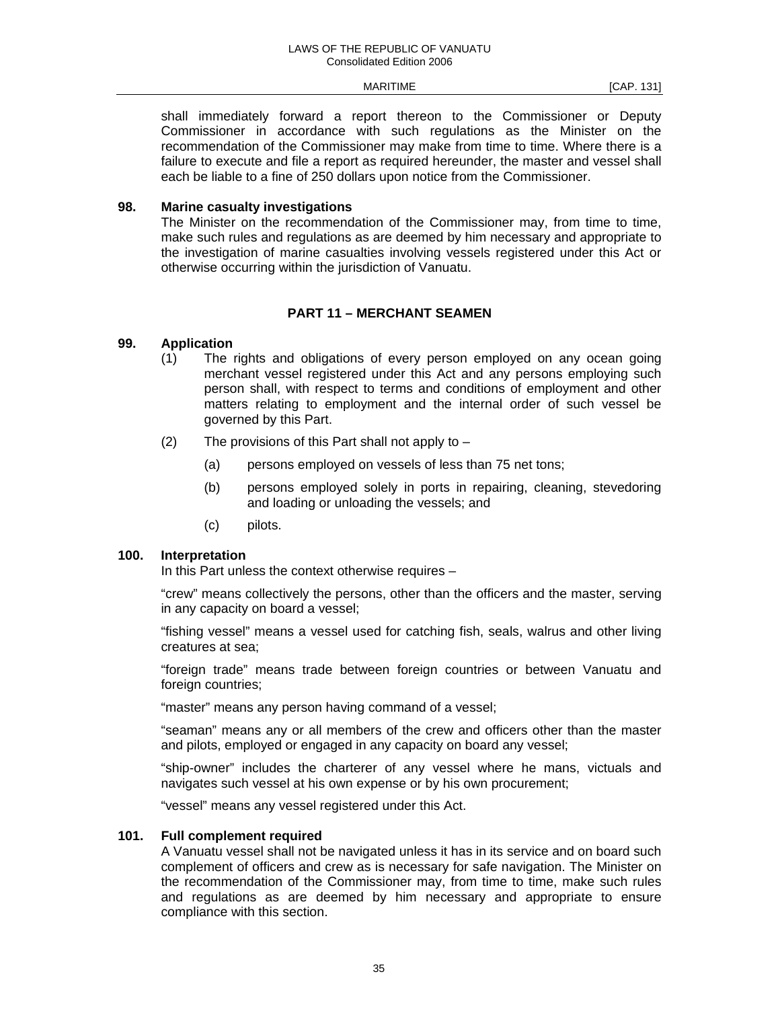shall immediately forward a report thereon to the Commissioner or Deputy Commissioner in accordance with such regulations as the Minister on the recommendation of the Commissioner may make from time to time. Where there is a failure to execute and file a report as required hereunder, the master and vessel shall each be liable to a fine of 250 dollars upon notice from the Commissioner.

#### **98. Marine casualty investigations**

 The Minister on the recommendation of the Commissioner may, from time to time, make such rules and regulations as are deemed by him necessary and appropriate to the investigation of marine casualties involving vessels registered under this Act or otherwise occurring within the jurisdiction of Vanuatu.

## **PART 11 – MERCHANT SEAMEN**

## **99. Application**

- (1) The rights and obligations of every person employed on any ocean going merchant vessel registered under this Act and any persons employing such person shall, with respect to terms and conditions of employment and other matters relating to employment and the internal order of such vessel be governed by this Part.
- (2) The provisions of this Part shall not apply to  $-$ 
	- (a) persons employed on vessels of less than 75 net tons;
	- (b) persons employed solely in ports in repairing, cleaning, stevedoring and loading or unloading the vessels; and
	- (c) pilots.

#### **100. Interpretation**

In this Part unless the context otherwise requires –

 "crew" means collectively the persons, other than the officers and the master, serving in any capacity on board a vessel;

 "fishing vessel" means a vessel used for catching fish, seals, walrus and other living creatures at sea;

 "foreign trade" means trade between foreign countries or between Vanuatu and foreign countries;

"master" means any person having command of a vessel;

 "seaman" means any or all members of the crew and officers other than the master and pilots, employed or engaged in any capacity on board any vessel;

 "ship-owner" includes the charterer of any vessel where he mans, victuals and navigates such vessel at his own expense or by his own procurement;

"vessel" means any vessel registered under this Act.

#### **101. Full complement required**

 A Vanuatu vessel shall not be navigated unless it has in its service and on board such complement of officers and crew as is necessary for safe navigation. The Minister on the recommendation of the Commissioner may, from time to time, make such rules and regulations as are deemed by him necessary and appropriate to ensure compliance with this section.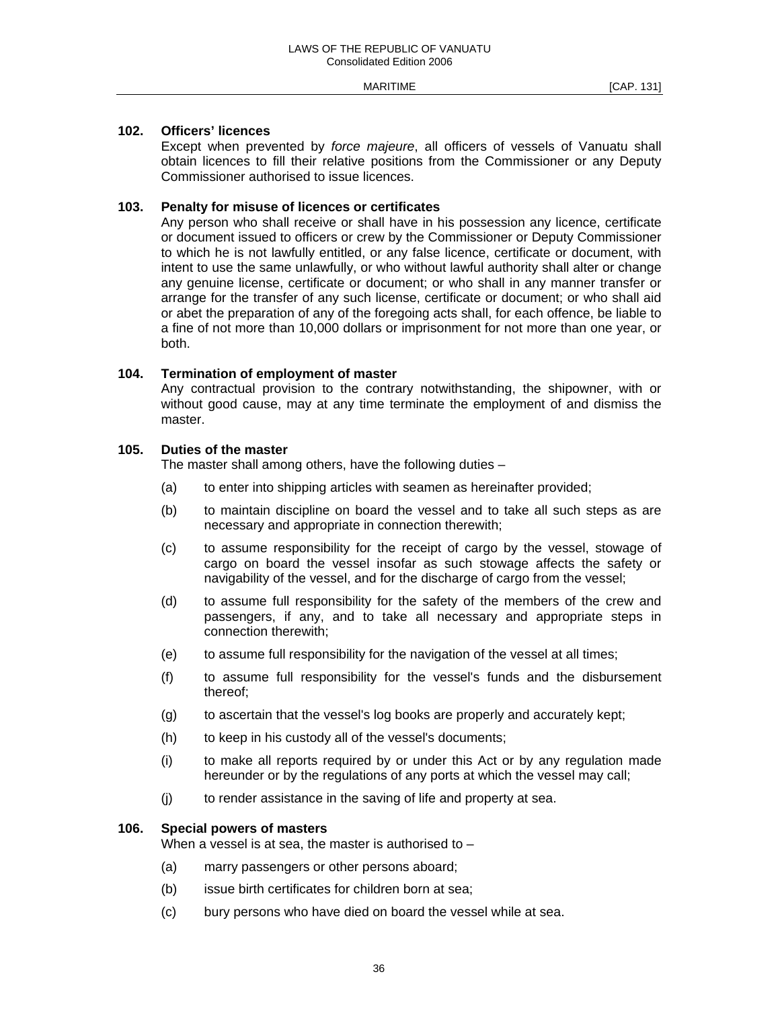#### **102. Officers' licences**

 Except when prevented by *force majeure*, all officers of vessels of Vanuatu shall obtain licences to fill their relative positions from the Commissioner or any Deputy Commissioner authorised to issue licences.

#### **103. Penalty for misuse of licences or certificates**

 Any person who shall receive or shall have in his possession any licence, certificate or document issued to officers or crew by the Commissioner or Deputy Commissioner to which he is not lawfully entitled, or any false licence, certificate or document, with intent to use the same unlawfully, or who without lawful authority shall alter or change any genuine license, certificate or document; or who shall in any manner transfer or arrange for the transfer of any such license, certificate or document; or who shall aid or abet the preparation of any of the foregoing acts shall, for each offence, be liable to a fine of not more than 10,000 dollars or imprisonment for not more than one year, or both.

#### **104. Termination of employment of master**

 Any contractual provision to the contrary notwithstanding, the shipowner, with or without good cause, may at any time terminate the employment of and dismiss the master.

# **105. Duties of the master**

The master shall among others, have the following duties –

- (a) to enter into shipping articles with seamen as hereinafter provided;
- (b) to maintain discipline on board the vessel and to take all such steps as are necessary and appropriate in connection therewith;
- (c) to assume responsibility for the receipt of cargo by the vessel, stowage of cargo on board the vessel insofar as such stowage affects the safety or navigability of the vessel, and for the discharge of cargo from the vessel;
- (d) to assume full responsibility for the safety of the members of the crew and passengers, if any, and to take all necessary and appropriate steps in connection therewith;
- (e) to assume full responsibility for the navigation of the vessel at all times;
- (f) to assume full responsibility for the vessel's funds and the disbursement thereof;
- (g) to ascertain that the vessel's log books are properly and accurately kept;
- (h) to keep in his custody all of the vessel's documents;
- (i) to make all reports required by or under this Act or by any regulation made hereunder or by the regulations of any ports at which the vessel may call;
- (j) to render assistance in the saving of life and property at sea.

#### **106. Special powers of masters**

When a vessel is at sea, the master is authorised to  $-$ 

- (a) marry passengers or other persons aboard;
- (b) issue birth certificates for children born at sea;
- (c) bury persons who have died on board the vessel while at sea.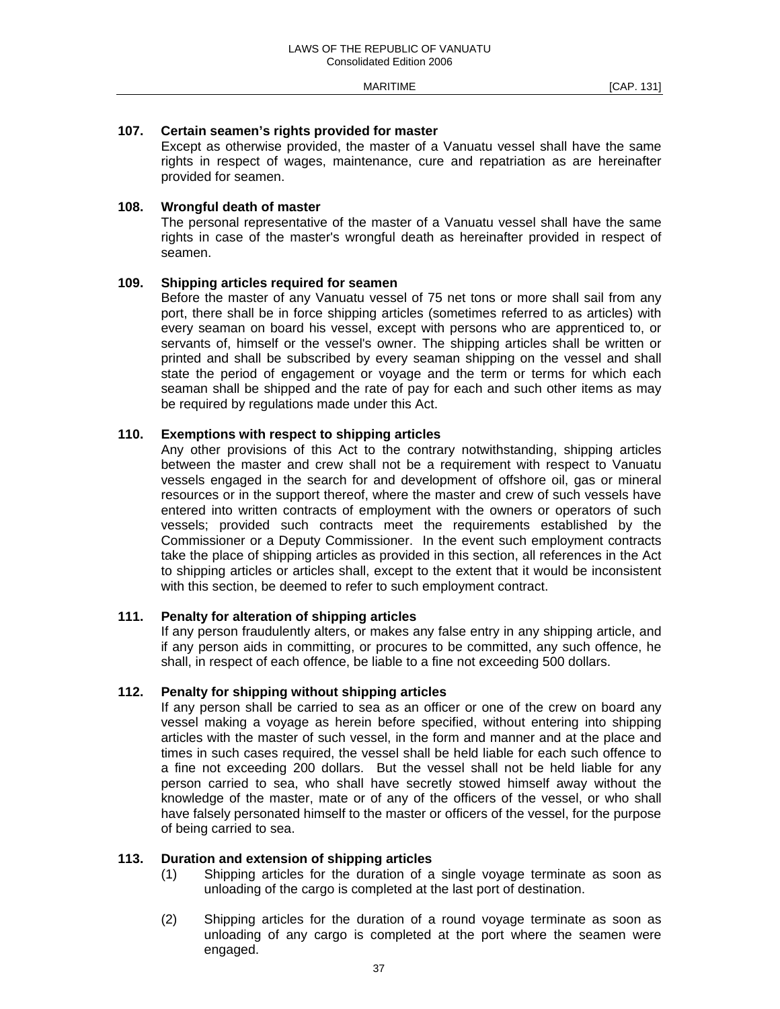#### **107. Certain seamen's rights provided for master**

 Except as otherwise provided, the master of a Vanuatu vessel shall have the same rights in respect of wages, maintenance, cure and repatriation as are hereinafter provided for seamen.

#### **108. Wrongful death of master**

 The personal representative of the master of a Vanuatu vessel shall have the same rights in case of the master's wrongful death as hereinafter provided in respect of seamen.

#### **109. Shipping articles required for seamen**

 Before the master of any Vanuatu vessel of 75 net tons or more shall sail from any port, there shall be in force shipping articles (sometimes referred to as articles) with every seaman on board his vessel, except with persons who are apprenticed to, or servants of, himself or the vessel's owner. The shipping articles shall be written or printed and shall be subscribed by every seaman shipping on the vessel and shall state the period of engagement or voyage and the term or terms for which each seaman shall be shipped and the rate of pay for each and such other items as may be required by regulations made under this Act.

## **110. Exemptions with respect to shipping articles**

 Any other provisions of this Act to the contrary notwithstanding, shipping articles between the master and crew shall not be a requirement with respect to Vanuatu vessels engaged in the search for and development of offshore oil, gas or mineral resources or in the support thereof, where the master and crew of such vessels have entered into written contracts of employment with the owners or operators of such vessels; provided such contracts meet the requirements established by the Commissioner or a Deputy Commissioner. In the event such employment contracts take the place of shipping articles as provided in this section, all references in the Act to shipping articles or articles shall, except to the extent that it would be inconsistent with this section, be deemed to refer to such employment contract.

#### **111. Penalty for alteration of shipping articles**

 If any person fraudulently alters, or makes any false entry in any shipping article, and if any person aids in committing, or procures to be committed, any such offence, he shall, in respect of each offence, be liable to a fine not exceeding 500 dollars.

#### **112. Penalty for shipping without shipping articles**

 If any person shall be carried to sea as an officer or one of the crew on board any vessel making a voyage as herein before specified, without entering into shipping articles with the master of such vessel, in the form and manner and at the place and times in such cases required, the vessel shall be held liable for each such offence to a fine not exceeding 200 dollars. But the vessel shall not be held liable for any person carried to sea, who shall have secretly stowed himself away without the knowledge of the master, mate or of any of the officers of the vessel, or who shall have falsely personated himself to the master or officers of the vessel, for the purpose of being carried to sea.

#### **113. Duration and extension of shipping articles**

- (1) Shipping articles for the duration of a single voyage terminate as soon as unloading of the cargo is completed at the last port of destination.
- (2) Shipping articles for the duration of a round voyage terminate as soon as unloading of any cargo is completed at the port where the seamen were engaged.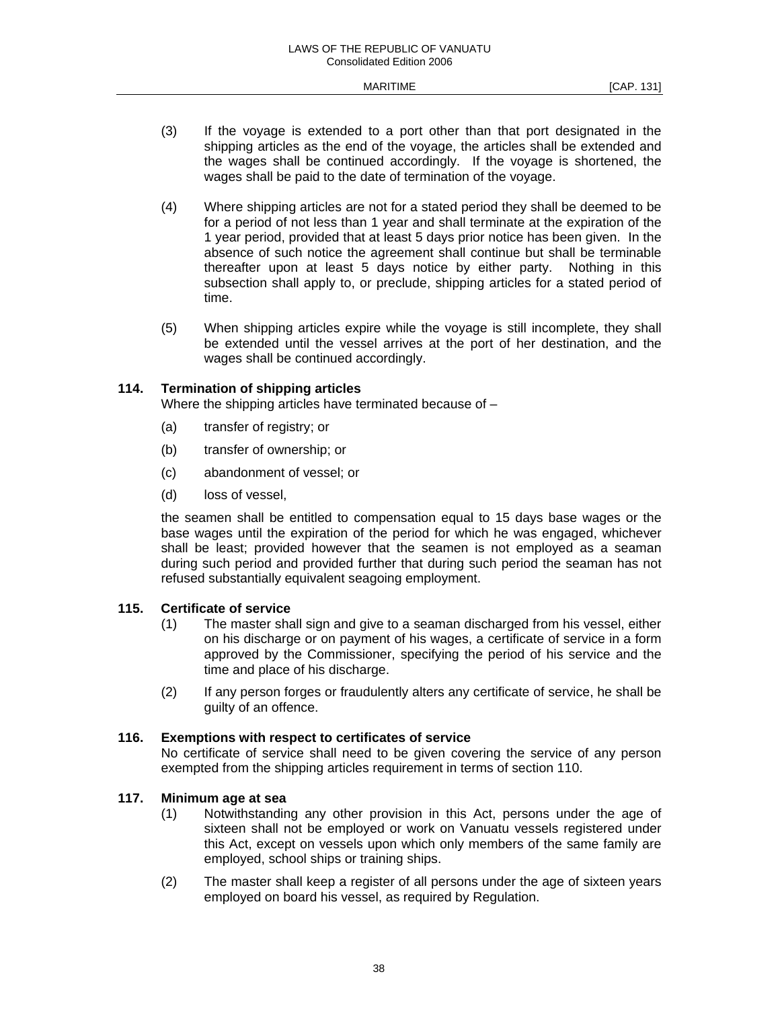- (3) If the voyage is extended to a port other than that port designated in the shipping articles as the end of the voyage, the articles shall be extended and the wages shall be continued accordingly. If the voyage is shortened, the wages shall be paid to the date of termination of the voyage.
- (4) Where shipping articles are not for a stated period they shall be deemed to be for a period of not less than 1 year and shall terminate at the expiration of the 1 year period, provided that at least 5 days prior notice has been given. In the absence of such notice the agreement shall continue but shall be terminable thereafter upon at least 5 days notice by either party. Nothing in this subsection shall apply to, or preclude, shipping articles for a stated period of time.
- (5) When shipping articles expire while the voyage is still incomplete, they shall be extended until the vessel arrives at the port of her destination, and the wages shall be continued accordingly.

## **114. Termination of shipping articles**

Where the shipping articles have terminated because of –

- (a) transfer of registry; or
- (b) transfer of ownership; or
- (c) abandonment of vessel; or
- (d) loss of vessel,

 the seamen shall be entitled to compensation equal to 15 days base wages or the base wages until the expiration of the period for which he was engaged, whichever shall be least; provided however that the seamen is not employed as a seaman during such period and provided further that during such period the seaman has not refused substantially equivalent seagoing employment.

#### **115. Certificate of service**

- (1) The master shall sign and give to a seaman discharged from his vessel, either on his discharge or on payment of his wages, a certificate of service in a form approved by the Commissioner, specifying the period of his service and the time and place of his discharge.
- (2) If any person forges or fraudulently alters any certificate of service, he shall be guilty of an offence.

#### **116. Exemptions with respect to certificates of service**

 No certificate of service shall need to be given covering the service of any person exempted from the shipping articles requirement in terms of section 110.

#### **117. Minimum age at sea**

- (1) Notwithstanding any other provision in this Act, persons under the age of sixteen shall not be employed or work on Vanuatu vessels registered under this Act, except on vessels upon which only members of the same family are employed, school ships or training ships.
- (2) The master shall keep a register of all persons under the age of sixteen years employed on board his vessel, as required by Regulation.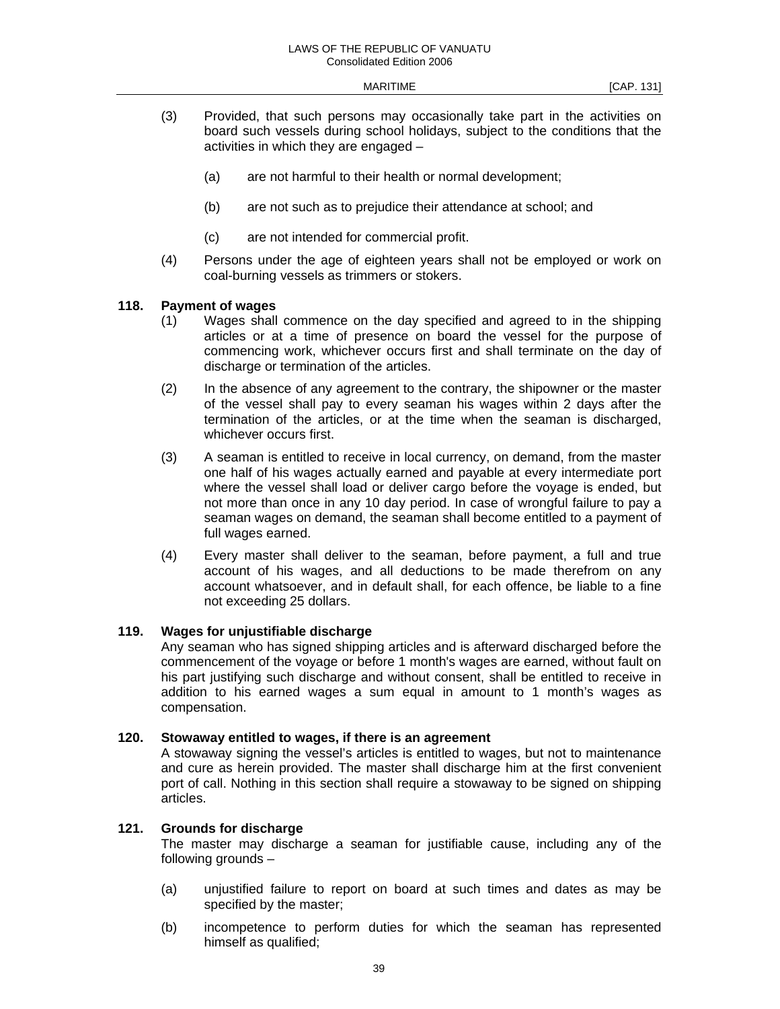- (3) Provided, that such persons may occasionally take part in the activities on board such vessels during school holidays, subject to the conditions that the activities in which they are engaged –
	- (a) are not harmful to their health or normal development;
	- (b) are not such as to prejudice their attendance at school; and
	- (c) are not intended for commercial profit.
- (4) Persons under the age of eighteen years shall not be employed or work on coal-burning vessels as trimmers or stokers.

#### **118. Payment of wages**

- (1) Wages shall commence on the day specified and agreed to in the shipping articles or at a time of presence on board the vessel for the purpose of commencing work, whichever occurs first and shall terminate on the day of discharge or termination of the articles.
- (2) In the absence of any agreement to the contrary, the shipowner or the master of the vessel shall pay to every seaman his wages within 2 days after the termination of the articles, or at the time when the seaman is discharged, whichever occurs first.
- (3) A seaman is entitled to receive in local currency, on demand, from the master one half of his wages actually earned and payable at every intermediate port where the vessel shall load or deliver cargo before the voyage is ended, but not more than once in any 10 day period. In case of wrongful failure to pay a seaman wages on demand, the seaman shall become entitled to a payment of full wages earned.
- (4) Every master shall deliver to the seaman, before payment, a full and true account of his wages, and all deductions to be made therefrom on any account whatsoever, and in default shall, for each offence, be liable to a fine not exceeding 25 dollars.

#### **119. Wages for unjustifiable discharge**

 Any seaman who has signed shipping articles and is afterward discharged before the commencement of the voyage or before 1 month's wages are earned, without fault on his part justifying such discharge and without consent, shall be entitled to receive in addition to his earned wages a sum equal in amount to 1 month's wages as compensation.

#### **120. Stowaway entitled to wages, if there is an agreement**

 A stowaway signing the vessel's articles is entitled to wages, but not to maintenance and cure as herein provided. The master shall discharge him at the first convenient port of call. Nothing in this section shall require a stowaway to be signed on shipping articles.

#### **121. Grounds for discharge**

 The master may discharge a seaman for justifiable cause, including any of the following grounds –

- (a) unjustified failure to report on board at such times and dates as may be specified by the master;
- (b) incompetence to perform duties for which the seaman has represented himself as qualified;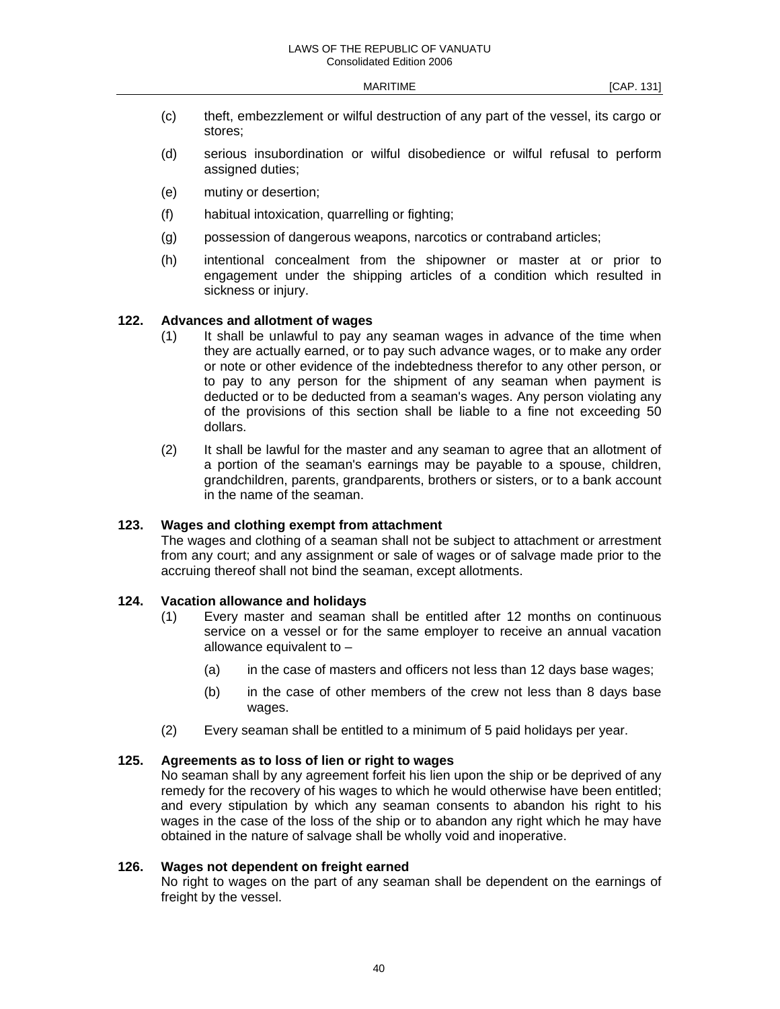- (c) theft, embezzlement or wilful destruction of any part of the vessel, its cargo or stores;
- (d) serious insubordination or wilful disobedience or wilful refusal to perform assigned duties;
- (e) mutiny or desertion;
- (f) habitual intoxication, quarrelling or fighting;
- (g) possession of dangerous weapons, narcotics or contraband articles;
- (h) intentional concealment from the shipowner or master at or prior to engagement under the shipping articles of a condition which resulted in sickness or injury.

#### **122. Advances and allotment of wages**

- (1) It shall be unlawful to pay any seaman wages in advance of the time when they are actually earned, or to pay such advance wages, or to make any order or note or other evidence of the indebtedness therefor to any other person, or to pay to any person for the shipment of any seaman when payment is deducted or to be deducted from a seaman's wages. Any person violating any of the provisions of this section shall be liable to a fine not exceeding 50 dollars.
- (2) It shall be lawful for the master and any seaman to agree that an allotment of a portion of the seaman's earnings may be payable to a spouse, children, grandchildren, parents, grandparents, brothers or sisters, or to a bank account in the name of the seaman.

#### **123. Wages and clothing exempt from attachment**

 The wages and clothing of a seaman shall not be subject to attachment or arrestment from any court; and any assignment or sale of wages or of salvage made prior to the accruing thereof shall not bind the seaman, except allotments.

#### **124. Vacation allowance and holidays**

- (1) Every master and seaman shall be entitled after 12 months on continuous service on a vessel or for the same employer to receive an annual vacation allowance equivalent to –
	- (a) in the case of masters and officers not less than 12 days base wages;
	- (b) in the case of other members of the crew not less than 8 days base wages.
- (2) Every seaman shall be entitled to a minimum of 5 paid holidays per year.

#### **125. Agreements as to loss of lien or right to wages**

 No seaman shall by any agreement forfeit his lien upon the ship or be deprived of any remedy for the recovery of his wages to which he would otherwise have been entitled; and every stipulation by which any seaman consents to abandon his right to his wages in the case of the loss of the ship or to abandon any right which he may have obtained in the nature of salvage shall be wholly void and inoperative.

#### **126. Wages not dependent on freight earned**

 No right to wages on the part of any seaman shall be dependent on the earnings of freight by the vessel.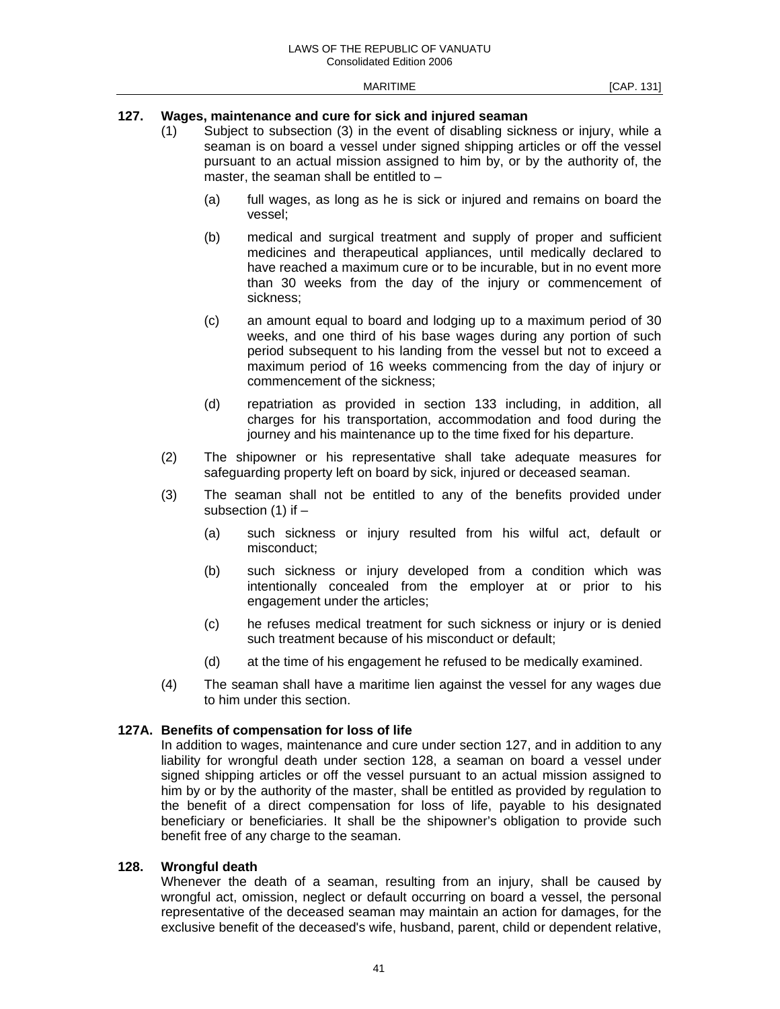### **127. Wages, maintenance and cure for sick and injured seaman**

- (1) Subject to subsection (3) in the event of disabling sickness or injury, while a seaman is on board a vessel under signed shipping articles or off the vessel pursuant to an actual mission assigned to him by, or by the authority of, the master, the seaman shall be entitled to -
	- (a) full wages, as long as he is sick or injured and remains on board the vessel;
	- (b) medical and surgical treatment and supply of proper and sufficient medicines and therapeutical appliances, until medically declared to have reached a maximum cure or to be incurable, but in no event more than 30 weeks from the day of the injury or commencement of sickness;
	- (c) an amount equal to board and lodging up to a maximum period of 30 weeks, and one third of his base wages during any portion of such period subsequent to his landing from the vessel but not to exceed a maximum period of 16 weeks commencing from the day of injury or commencement of the sickness;
	- (d) repatriation as provided in section 133 including, in addition, all charges for his transportation, accommodation and food during the journey and his maintenance up to the time fixed for his departure.
- (2) The shipowner or his representative shall take adequate measures for safeguarding property left on board by sick, injured or deceased seaman.
- (3) The seaman shall not be entitled to any of the benefits provided under subsection  $(1)$  if  $-$ 
	- (a) such sickness or injury resulted from his wilful act, default or misconduct;
	- (b) such sickness or injury developed from a condition which was intentionally concealed from the employer at or prior to his engagement under the articles;
	- (c) he refuses medical treatment for such sickness or injury or is denied such treatment because of his misconduct or default;
	- (d) at the time of his engagement he refused to be medically examined.
- (4) The seaman shall have a maritime lien against the vessel for any wages due to him under this section.

#### **127A. Benefits of compensation for loss of life**

 In addition to wages, maintenance and cure under section 127, and in addition to any liability for wrongful death under section 128, a seaman on board a vessel under signed shipping articles or off the vessel pursuant to an actual mission assigned to him by or by the authority of the master, shall be entitled as provided by regulation to the benefit of a direct compensation for loss of life, payable to his designated beneficiary or beneficiaries. It shall be the shipowner's obligation to provide such benefit free of any charge to the seaman.

#### **128. Wrongful death**

 Whenever the death of a seaman, resulting from an injury, shall be caused by wrongful act, omission, neglect or default occurring on board a vessel, the personal representative of the deceased seaman may maintain an action for damages, for the exclusive benefit of the deceased's wife, husband, parent, child or dependent relative,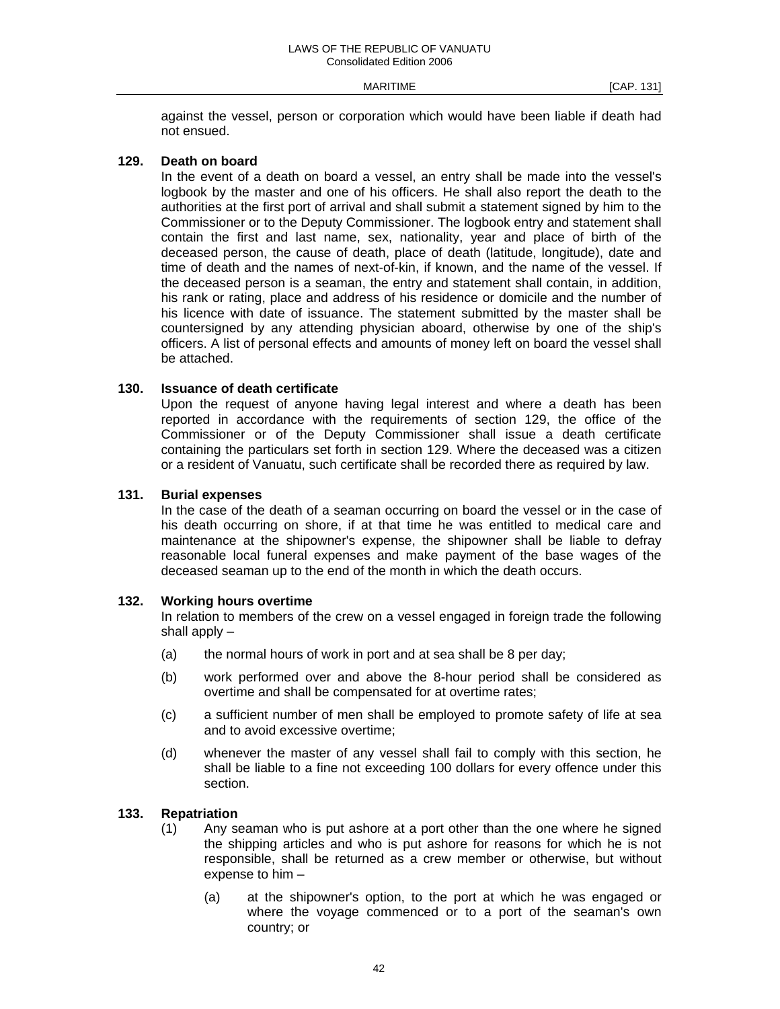against the vessel, person or corporation which would have been liable if death had not ensued.

#### **129. Death on board**

 In the event of a death on board a vessel, an entry shall be made into the vessel's logbook by the master and one of his officers. He shall also report the death to the authorities at the first port of arrival and shall submit a statement signed by him to the Commissioner or to the Deputy Commissioner. The logbook entry and statement shall contain the first and last name, sex, nationality, year and place of birth of the deceased person, the cause of death, place of death (latitude, longitude), date and time of death and the names of next-of-kin, if known, and the name of the vessel. If the deceased person is a seaman, the entry and statement shall contain, in addition, his rank or rating, place and address of his residence or domicile and the number of his licence with date of issuance. The statement submitted by the master shall be countersigned by any attending physician aboard, otherwise by one of the ship's officers. A list of personal effects and amounts of money left on board the vessel shall be attached.

#### **130. Issuance of death certificate**

 Upon the request of anyone having legal interest and where a death has been reported in accordance with the requirements of section 129, the office of the Commissioner or of the Deputy Commissioner shall issue a death certificate containing the particulars set forth in section 129. Where the deceased was a citizen or a resident of Vanuatu, such certificate shall be recorded there as required by law.

#### **131. Burial expenses**

 In the case of the death of a seaman occurring on board the vessel or in the case of his death occurring on shore, if at that time he was entitled to medical care and maintenance at the shipowner's expense, the shipowner shall be liable to defray reasonable local funeral expenses and make payment of the base wages of the deceased seaman up to the end of the month in which the death occurs.

#### **132. Working hours overtime**

 In relation to members of the crew on a vessel engaged in foreign trade the following shall apply –

- (a) the normal hours of work in port and at sea shall be 8 per day;
- (b) work performed over and above the 8-hour period shall be considered as overtime and shall be compensated for at overtime rates;
- (c) a sufficient number of men shall be employed to promote safety of life at sea and to avoid excessive overtime;
- (d) whenever the master of any vessel shall fail to comply with this section, he shall be liable to a fine not exceeding 100 dollars for every offence under this section.

#### **133. Repatriation**

- (1) Any seaman who is put ashore at a port other than the one where he signed the shipping articles and who is put ashore for reasons for which he is not responsible, shall be returned as a crew member or otherwise, but without expense to him –
	- (a) at the shipowner's option, to the port at which he was engaged or where the voyage commenced or to a port of the seaman's own country; or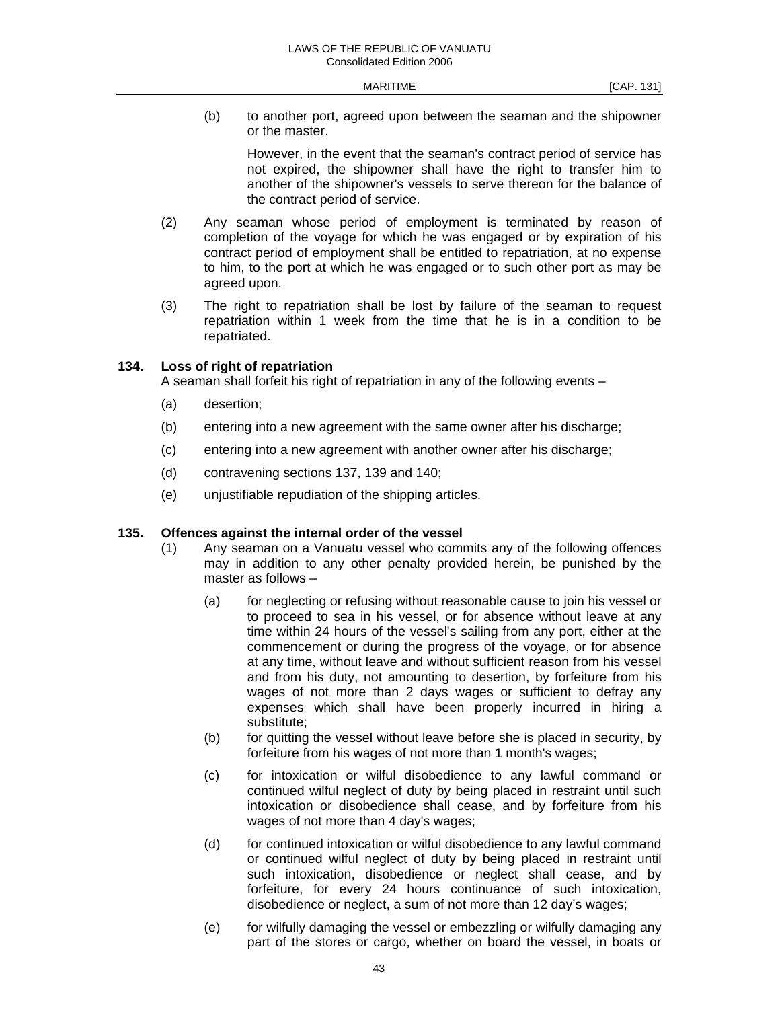(b) to another port, agreed upon between the seaman and the shipowner or the master.

 However, in the event that the seaman's contract period of service has not expired, the shipowner shall have the right to transfer him to another of the shipowner's vessels to serve thereon for the balance of the contract period of service.

- (2) Any seaman whose period of employment is terminated by reason of completion of the voyage for which he was engaged or by expiration of his contract period of employment shall be entitled to repatriation, at no expense to him, to the port at which he was engaged or to such other port as may be agreed upon.
- (3) The right to repatriation shall be lost by failure of the seaman to request repatriation within 1 week from the time that he is in a condition to be repatriated.

#### **134. Loss of right of repatriation**

A seaman shall forfeit his right of repatriation in any of the following events –

- (a) desertion;
- (b) entering into a new agreement with the same owner after his discharge;
- (c) entering into a new agreement with another owner after his discharge;
- (d) contravening sections 137, 139 and 140;
- (e) unjustifiable repudiation of the shipping articles.

#### **135. Offences against the internal order of the vessel**

- (1) Any seaman on a Vanuatu vessel who commits any of the following offences may in addition to any other penalty provided herein, be punished by the master as follows –
	- (a) for neglecting or refusing without reasonable cause to join his vessel or to proceed to sea in his vessel, or for absence without leave at any time within 24 hours of the vessel's sailing from any port, either at the commencement or during the progress of the voyage, or for absence at any time, without leave and without sufficient reason from his vessel and from his duty, not amounting to desertion, by forfeiture from his wages of not more than 2 days wages or sufficient to defray any expenses which shall have been properly incurred in hiring a substitute;
	- (b) for quitting the vessel without leave before she is placed in security, by forfeiture from his wages of not more than 1 month's wages;
	- (c) for intoxication or wilful disobedience to any lawful command or continued wilful neglect of duty by being placed in restraint until such intoxication or disobedience shall cease, and by forfeiture from his wages of not more than 4 day's wages;
	- (d) for continued intoxication or wilful disobedience to any lawful command or continued wilful neglect of duty by being placed in restraint until such intoxication, disobedience or neglect shall cease, and by forfeiture, for every 24 hours continuance of such intoxication, disobedience or neglect, a sum of not more than 12 day's wages;
	- (e) for wilfully damaging the vessel or embezzling or wilfully damaging any part of the stores or cargo, whether on board the vessel, in boats or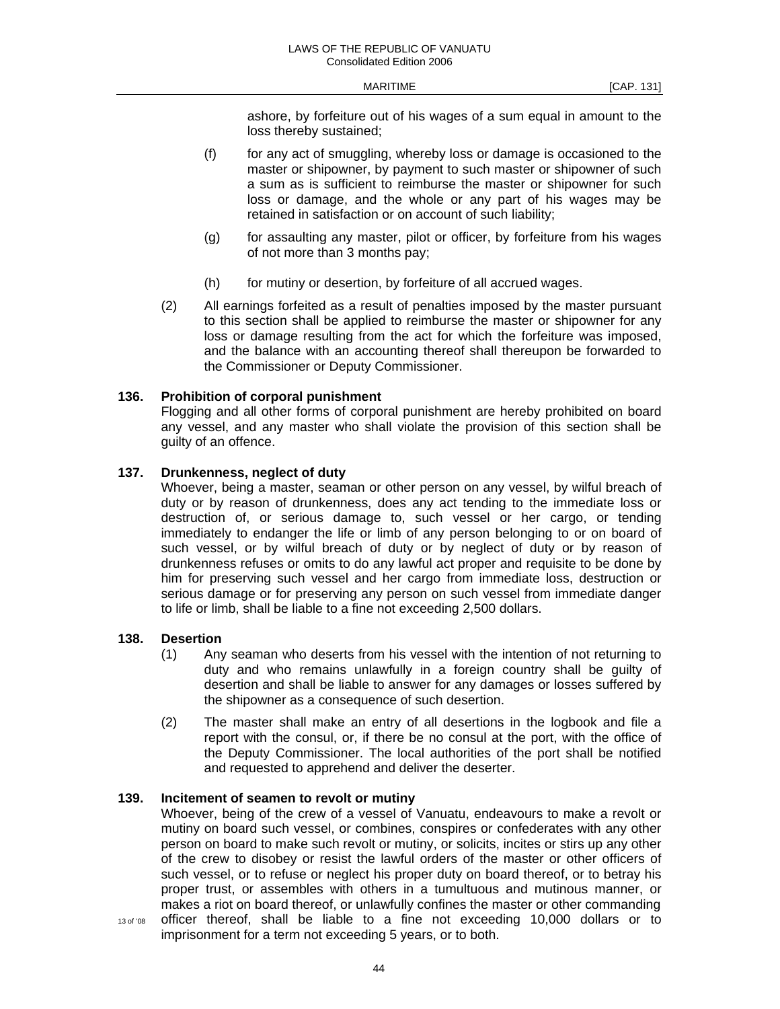ashore, by forfeiture out of his wages of a sum equal in amount to the loss thereby sustained;

- (f) for any act of smuggling, whereby loss or damage is occasioned to the master or shipowner, by payment to such master or shipowner of such a sum as is sufficient to reimburse the master or shipowner for such loss or damage, and the whole or any part of his wages may be retained in satisfaction or on account of such liability;
- (g) for assaulting any master, pilot or officer, by forfeiture from his wages of not more than 3 months pay;
- (h) for mutiny or desertion, by forfeiture of all accrued wages.
- (2) All earnings forfeited as a result of penalties imposed by the master pursuant to this section shall be applied to reimburse the master or shipowner for any loss or damage resulting from the act for which the forfeiture was imposed, and the balance with an accounting thereof shall thereupon be forwarded to the Commissioner or Deputy Commissioner.

#### **136. Prohibition of corporal punishment**

 Flogging and all other forms of corporal punishment are hereby prohibited on board any vessel, and any master who shall violate the provision of this section shall be guilty of an offence.

#### **137. Drunkenness, neglect of duty**

 Whoever, being a master, seaman or other person on any vessel, by wilful breach of duty or by reason of drunkenness, does any act tending to the immediate loss or destruction of, or serious damage to, such vessel or her cargo, or tending immediately to endanger the life or limb of any person belonging to or on board of such vessel, or by wilful breach of duty or by neglect of duty or by reason of drunkenness refuses or omits to do any lawful act proper and requisite to be done by him for preserving such vessel and her cargo from immediate loss, destruction or serious damage or for preserving any person on such vessel from immediate danger to life or limb, shall be liable to a fine not exceeding 2,500 dollars.

#### **138. Desertion**

- (1) Any seaman who deserts from his vessel with the intention of not returning to duty and who remains unlawfully in a foreign country shall be guilty of desertion and shall be liable to answer for any damages or losses suffered by the shipowner as a consequence of such desertion.
- (2) The master shall make an entry of all desertions in the logbook and file a report with the consul, or, if there be no consul at the port, with the office of the Deputy Commissioner. The local authorities of the port shall be notified and requested to apprehend and deliver the deserter.

#### **139. Incitement of seamen to revolt or mutiny**

 Whoever, being of the crew of a vessel of Vanuatu, endeavours to make a revolt or mutiny on board such vessel, or combines, conspires or confederates with any other person on board to make such revolt or mutiny, or solicits, incites or stirs up any other of the crew to disobey or resist the lawful orders of the master or other officers of such vessel, or to refuse or neglect his proper duty on board thereof, or to betray his proper trust, or assembles with others in a tumultuous and mutinous manner, or makes a riot on board thereof, or unlawfully confines the master or other commanding 13 of '08 officer thereof, shall be liable to a fine not exceeding 10,000 dollars or to imprisonment for a term not exceeding 5 years, or to both.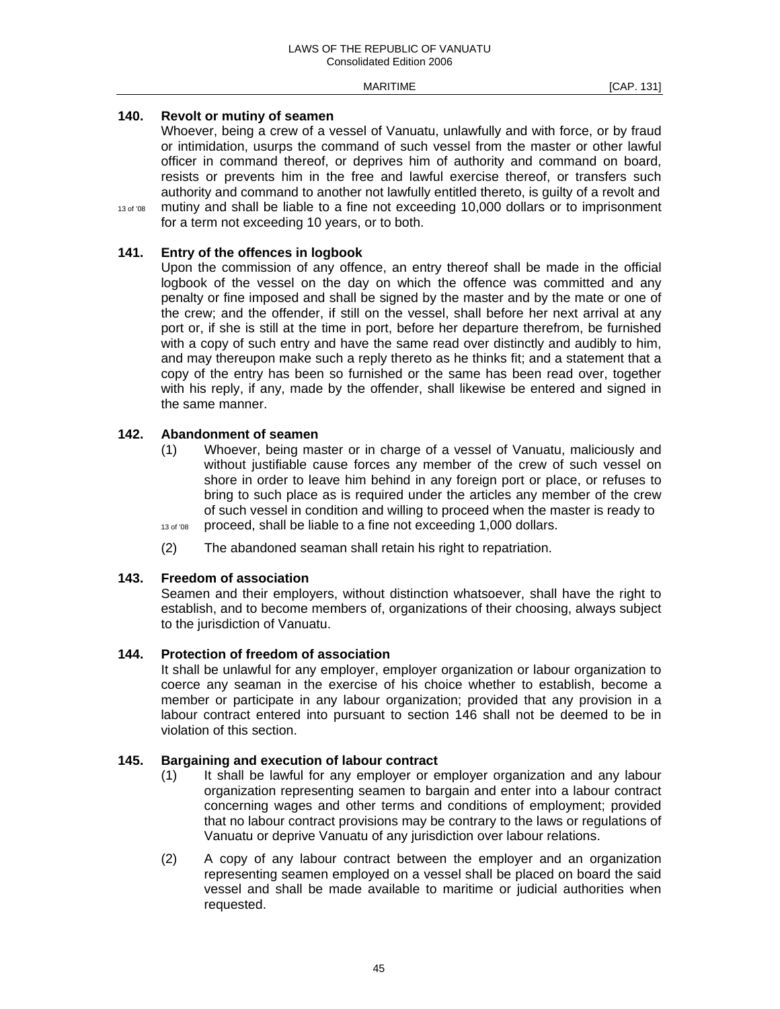#### **140. Revolt or mutiny of seamen**

 Whoever, being a crew of a vessel of Vanuatu, unlawfully and with force, or by fraud or intimidation, usurps the command of such vessel from the master or other lawful officer in command thereof, or deprives him of authority and command on board, resists or prevents him in the free and lawful exercise thereof, or transfers such authority and command to another not lawfully entitled thereto, is guilty of a revolt and 13 of '08 mutiny and shall be liable to a fine not exceeding 10,000 dollars or to imprisonment for a term not exceeding 10 years, or to both.

# **141. Entry of the offences in logbook**

 Upon the commission of any offence, an entry thereof shall be made in the official logbook of the vessel on the day on which the offence was committed and any penalty or fine imposed and shall be signed by the master and by the mate or one of the crew; and the offender, if still on the vessel, shall before her next arrival at any port or, if she is still at the time in port, before her departure therefrom, be furnished with a copy of such entry and have the same read over distinctly and audibly to him, and may thereupon make such a reply thereto as he thinks fit; and a statement that a copy of the entry has been so furnished or the same has been read over, together with his reply, if any, made by the offender, shall likewise be entered and signed in the same manner.

## **142. Abandonment of seamen**

- (1) Whoever, being master or in charge of a vessel of Vanuatu, maliciously and without justifiable cause forces any member of the crew of such vessel on shore in order to leave him behind in any foreign port or place, or refuses to bring to such place as is required under the articles any member of the crew of such vessel in condition and willing to proceed when the master is ready to 13 of '08 proceed, shall be liable to a fine not exceeding 1,000 dollars.
- (2) The abandoned seaman shall retain his right to repatriation.

#### **143. Freedom of association**

 Seamen and their employers, without distinction whatsoever, shall have the right to establish, and to become members of, organizations of their choosing, always subject to the jurisdiction of Vanuatu.

## **144. Protection of freedom of association**

 It shall be unlawful for any employer, employer organization or labour organization to coerce any seaman in the exercise of his choice whether to establish, become a member or participate in any labour organization; provided that any provision in a labour contract entered into pursuant to section 146 shall not be deemed to be in violation of this section.

#### **145. Bargaining and execution of labour contract**

- (1) It shall be lawful for any employer or employer organization and any labour organization representing seamen to bargain and enter into a labour contract concerning wages and other terms and conditions of employment; provided that no labour contract provisions may be contrary to the laws or regulations of Vanuatu or deprive Vanuatu of any jurisdiction over labour relations.
- (2) A copy of any labour contract between the employer and an organization representing seamen employed on a vessel shall be placed on board the said vessel and shall be made available to maritime or judicial authorities when requested.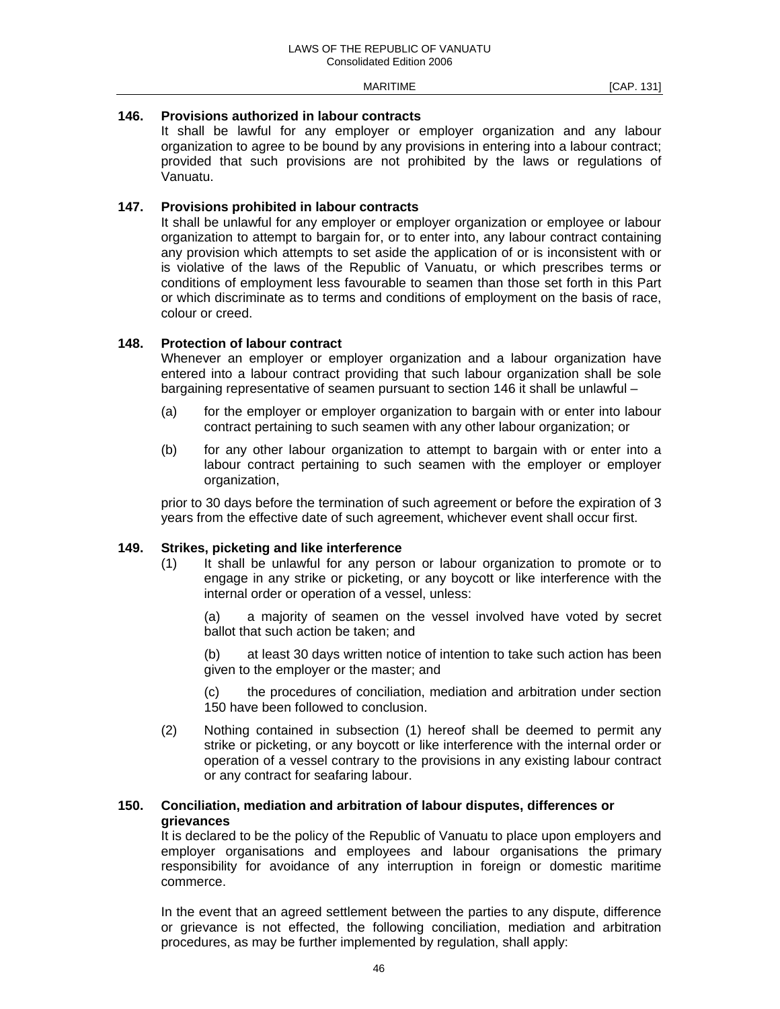#### **146. Provisions authorized in labour contracts**

 It shall be lawful for any employer or employer organization and any labour organization to agree to be bound by any provisions in entering into a labour contract; provided that such provisions are not prohibited by the laws or regulations of Vanuatu.

## **147. Provisions prohibited in labour contracts**

 It shall be unlawful for any employer or employer organization or employee or labour organization to attempt to bargain for, or to enter into, any labour contract containing any provision which attempts to set aside the application of or is inconsistent with or is violative of the laws of the Republic of Vanuatu, or which prescribes terms or conditions of employment less favourable to seamen than those set forth in this Part or which discriminate as to terms and conditions of employment on the basis of race, colour or creed.

## **148. Protection of labour contract**

 Whenever an employer or employer organization and a labour organization have entered into a labour contract providing that such labour organization shall be sole bargaining representative of seamen pursuant to section 146 it shall be unlawful –

- (a) for the employer or employer organization to bargain with or enter into labour contract pertaining to such seamen with any other labour organization; or
- (b) for any other labour organization to attempt to bargain with or enter into a labour contract pertaining to such seamen with the employer or employer organization,

 prior to 30 days before the termination of such agreement or before the expiration of 3 years from the effective date of such agreement, whichever event shall occur first.

# **149. Strikes, picketing and like interference**

 (1) It shall be unlawful for any person or labour organization to promote or to engage in any strike or picketing, or any boycott or like interference with the internal order or operation of a vessel, unless:

 (a) a majority of seamen on the vessel involved have voted by secret ballot that such action be taken; and

 (b) at least 30 days written notice of intention to take such action has been given to the employer or the master; and

 (c) the procedures of conciliation, mediation and arbitration under section 150 have been followed to conclusion.

 (2) Nothing contained in subsection (1) hereof shall be deemed to permit any strike or picketing, or any boycott or like interference with the internal order or operation of a vessel contrary to the provisions in any existing labour contract or any contract for seafaring labour.

# **150. Conciliation, mediation and arbitration of labour disputes, differences or grievances**

 It is declared to be the policy of the Republic of Vanuatu to place upon employers and employer organisations and employees and labour organisations the primary responsibility for avoidance of any interruption in foreign or domestic maritime commerce.

 In the event that an agreed settlement between the parties to any dispute, difference or grievance is not effected, the following conciliation, mediation and arbitration procedures, as may be further implemented by regulation, shall apply: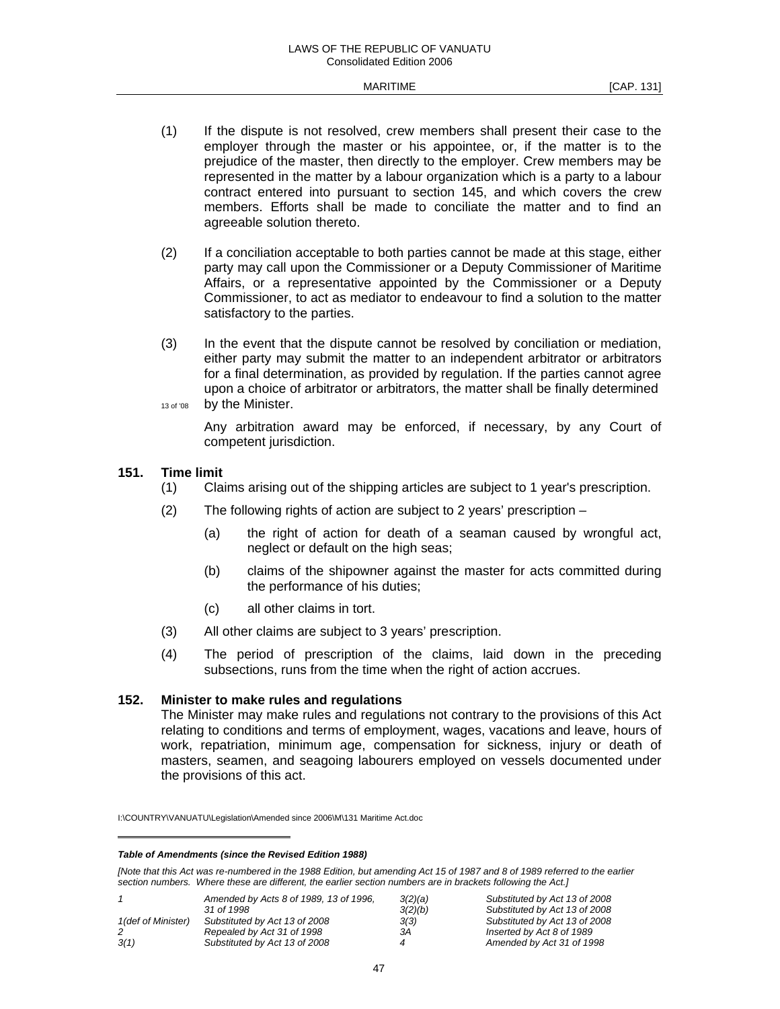- (1) If the dispute is not resolved, crew members shall present their case to the employer through the master or his appointee, or, if the matter is to the prejudice of the master, then directly to the employer. Crew members may be represented in the matter by a labour organization which is a party to a labour contract entered into pursuant to section 145, and which covers the crew members. Efforts shall be made to conciliate the matter and to find an agreeable solution thereto.
- (2) If a conciliation acceptable to both parties cannot be made at this stage, either party may call upon the Commissioner or a Deputy Commissioner of Maritime Affairs, or a representative appointed by the Commissioner or a Deputy Commissioner, to act as mediator to endeavour to find a solution to the matter satisfactory to the parties.
- (3) In the event that the dispute cannot be resolved by conciliation or mediation, either party may submit the matter to an independent arbitrator or arbitrators for a final determination, as provided by regulation. If the parties cannot agree upon a choice of arbitrator or arbitrators, the matter shall be finally determined 13 of '08 by the Minister.

 Any arbitration award may be enforced, if necessary, by any Court of competent jurisdiction.

#### **151. Time limit**

 $\overline{a}$ 

- (1) Claims arising out of the shipping articles are subject to 1 year's prescription.
- (2) The following rights of action are subject to 2 years' prescription
	- (a) the right of action for death of a seaman caused by wrongful act, neglect or default on the high seas;
	- (b) claims of the shipowner against the master for acts committed during the performance of his duties;
	- (c) all other claims in tort.
- (3) All other claims are subject to 3 years' prescription.
- (4) The period of prescription of the claims, laid down in the preceding subsections, runs from the time when the right of action accrues.

#### **152. Minister to make rules and regulations**

 The Minister may make rules and regulations not contrary to the provisions of this Act relating to conditions and terms of employment, wages, vacations and leave, hours of work, repatriation, minimum age, compensation for sickness, injury or death of masters, seamen, and seagoing labourers employed on vessels documented under the provisions of this act.

#### *Table of Amendments (since the Revised Edition 1988)*

*[Note that this Act was re-numbered in the 1988 Edition, but amending Act 15 of 1987 and 8 of 1989 referred to the earlier section numbers. Where these are different, the earlier section numbers are in brackets following the Act.]* 

|                     | Amended by Acts 8 of 1989, 13 of 1996, | 3(2)(a) | Substituted by Act 13 of 2008 |
|---------------------|----------------------------------------|---------|-------------------------------|
|                     | $.31$ of 1998                          | 3(2)(b) | Substituted by Act 13 of 2008 |
| 1 (def of Minister) | Substituted by Act 13 of 2008          | 3(3)    | Substituted by Act 13 of 2008 |
|                     | Repealed by Act 31 of 1998             | ЗА      | Inserted by Act 8 of 1989     |
| 3(1)                | Substituted by Act 13 of 2008          |         | Amended by Act 31 of 1998     |

I:\COUNTRY\VANUATU\Legislation\Amended since 2006\M\131 Maritime Act.doc